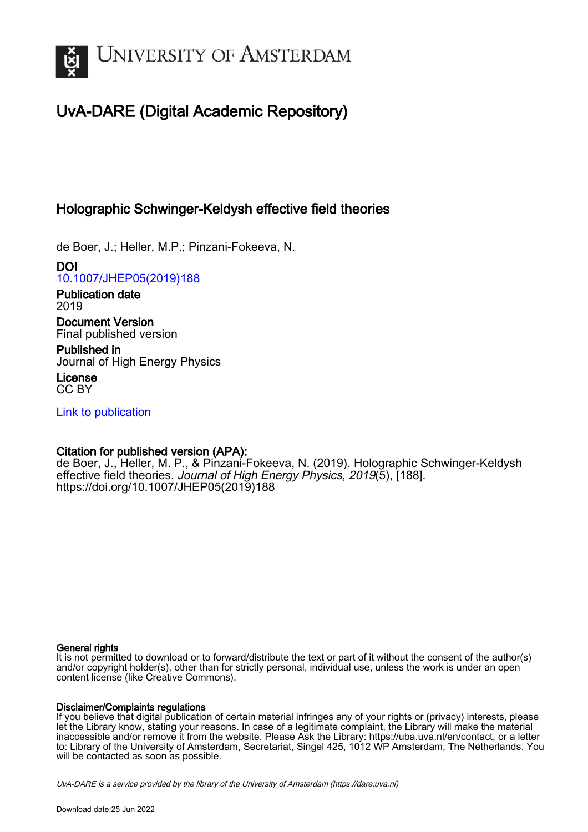

# UvA-DARE (Digital Academic Repository)

# Holographic Schwinger-Keldysh effective field theories

de Boer, J.; Heller, M.P.; Pinzani-Fokeeva, N.

DOI [10.1007/JHEP05\(2019\)188](https://doi.org/10.1007/JHEP05(2019)188)

Publication date 2019

Document Version Final published version

Published in Journal of High Energy Physics

License CC BY

[Link to publication](https://dare.uva.nl/personal/pure/en/publications/holographic-schwingerkeldysh-effective-field-theories(758c1c6f-9509-47b6-aef5-19dc044ce5bf).html)

# Citation for published version (APA):

de Boer, J., Heller, M. P., & Pinzani-Fokeeva, N. (2019). Holographic Schwinger-Keldysh effective field theories. Journal of High Energy Physics, 2019(5), [188]. [https://doi.org/10.1007/JHEP05\(2019\)188](https://doi.org/10.1007/JHEP05(2019)188)

# General rights

It is not permitted to download or to forward/distribute the text or part of it without the consent of the author(s) and/or copyright holder(s), other than for strictly personal, individual use, unless the work is under an open content license (like Creative Commons).

# Disclaimer/Complaints regulations

If you believe that digital publication of certain material infringes any of your rights or (privacy) interests, please let the Library know, stating your reasons. In case of a legitimate complaint, the Library will make the material inaccessible and/or remove it from the website. Please Ask the Library: https://uba.uva.nl/en/contact, or a letter to: Library of the University of Amsterdam, Secretariat, Singel 425, 1012 WP Amsterdam, The Netherlands. You will be contacted as soon as possible.

UvA-DARE is a service provided by the library of the University of Amsterdam (http*s*://dare.uva.nl)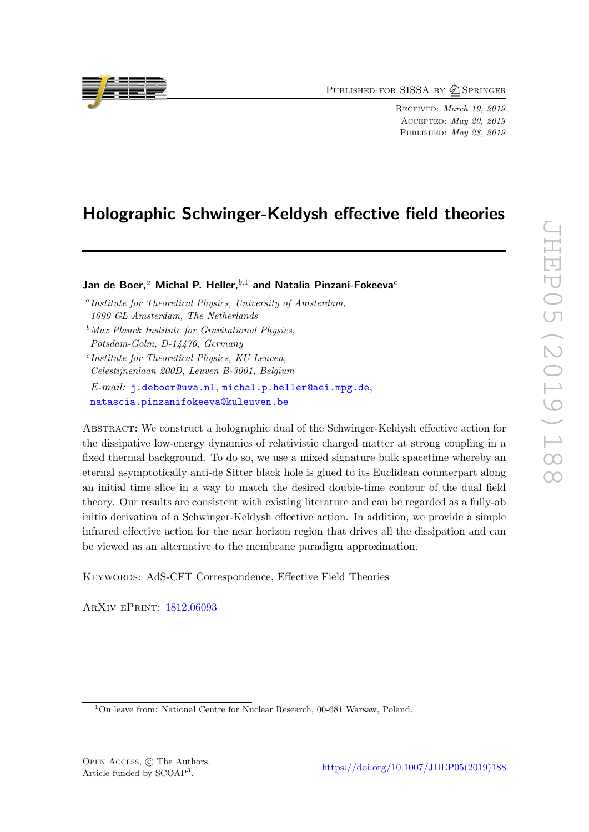PUBLISHED FOR SISSA BY 2 SPRINGER

Received: March 19, 2019 Accepted: May 20, 2019 PUBLISHED: May 28, 2019

# Holographic Schwinger-Keldysh effective field theories

Jan de Boer,<sup>a</sup> Michal P. Heller,<sup>b,1</sup> and Natalia Pinzani-Fokeeva<sup>c</sup>

a Institute for Theoretical Physics, University of Amsterdam, 1090 GL Amsterdam, The Netherlands  $<sup>b</sup>$ Max Planck Institute for Gravitational Physics,</sup> Potsdam-Golm, D-14476, Germany c Institute for Theoretical Physics, KU Leuven,

Celestijnenlaan 200D, Leuven B-3001, Belgium E-mail: [j.deboer@uva.nl](mailto:j.deboer@uva.nl), [michal.p.heller@aei.mpg.de](mailto:michal.p.heller@aei.mpg.de), [natascia.pinzanifokeeva@kuleuven.be](mailto:natascia.pinzanifokeeva@kuleuven.be)

Abstract: We construct a holographic dual of the Schwinger-Keldysh effective action for the dissipative low-energy dynamics of relativistic charged matter at strong coupling in a fixed thermal background. To do so, we use a mixed signature bulk spacetime whereby an eternal asymptotically anti-de Sitter black hole is glued to its Euclidean counterpart along an initial time slice in a way to match the desired double-time contour of the dual field theory. Our results are consistent with existing literature and can be regarded as a fully-ab initio derivation of a Schwinger-Keldysh effective action. In addition, we provide a simple infrared effective action for the near horizon region that drives all the dissipation and can be viewed as an alternative to the membrane paradigm approximation.

KEYWORDS: AdS-CFT Correspondence, Effective Field Theories

ArXiv ePrint: [1812.06093](https://arxiv.org/abs/1812.06093)



<sup>&</sup>lt;sup>1</sup>On leave from: National Centre for Nuclear Research, 00-681 Warsaw, Poland.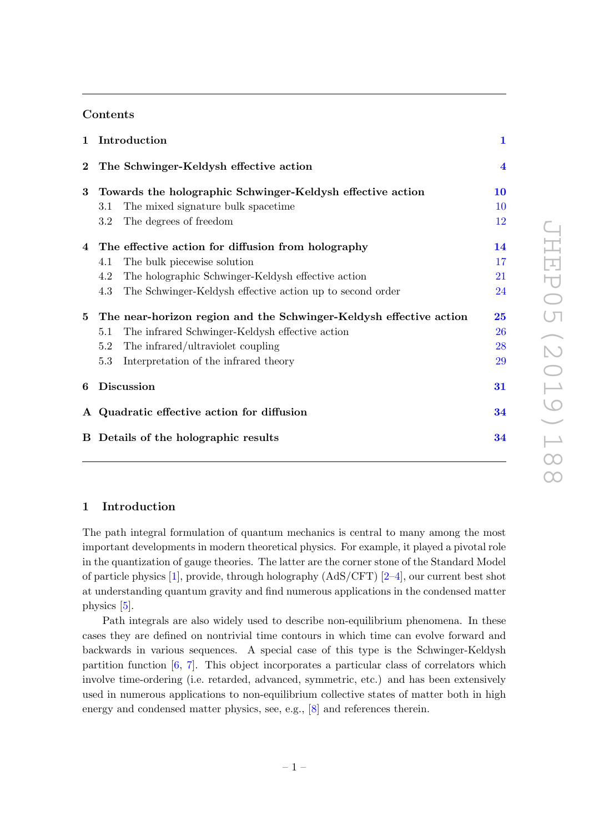# Contents

| $\mathbf{1}$ | Introduction                                                       | $\mathbf{1}$            |
|--------------|--------------------------------------------------------------------|-------------------------|
| $\bf{2}$     | The Schwinger-Keldysh effective action                             | $\overline{\mathbf{4}}$ |
| 3            | Towards the holographic Schwinger-Keldysh effective action         | 10                      |
|              | The mixed signature bulk spacetime<br>3.1                          | 10                      |
|              | The degrees of freedom<br>3.2                                      | 12                      |
|              | 4 The effective action for diffusion from holography               | 14                      |
|              | The bulk piecewise solution<br>4.1                                 | 17                      |
|              | The holographic Schwinger-Keldysh effective action<br>4.2          | 21                      |
|              | The Schwinger-Keldysh effective action up to second order<br>4.3   | 24                      |
| 5            | The near-horizon region and the Schwinger-Keldysh effective action | 25                      |
|              | The infrared Schwinger-Keldysh effective action<br>5.1             | 26                      |
|              | The infrared/ultraviolet coupling<br>5.2                           | 28                      |
|              | Interpretation of the infrared theory<br>5.3                       | 29                      |
| 6            | <b>Discussion</b>                                                  | 31                      |
|              | A Quadratic effective action for diffusion                         | 34                      |
|              | B Details of the holographic results                               | 34                      |
|              |                                                                    |                         |

# <span id="page-2-0"></span>1 Introduction

The path integral formulation of quantum mechanics is central to many among the most important developments in modern theoretical physics. For example, it played a pivotal role in the quantization of gauge theories. The latter are the corner stone of the Standard Model of particle physics [\[1\]](#page-37-0), provide, through holography  $(AdS/CFT)$  [\[2–](#page-37-1)[4\]](#page-37-2), our current best shot at understanding quantum gravity and find numerous applications in the condensed matter physics [\[5\]](#page-37-3).

Path integrals are also widely used to describe non-equilibrium phenomena. In these cases they are defined on nontrivial time contours in which time can evolve forward and backwards in various sequences. A special case of this type is the Schwinger-Keldysh partition function [\[6,](#page-37-4) [7\]](#page-37-5). This object incorporates a particular class of correlators which involve time-ordering (i.e. retarded, advanced, symmetric, etc.) and has been extensively used in numerous applications to non-equilibrium collective states of matter both in high energy and condensed matter physics, see, e.g., [\[8\]](#page-37-6) and references therein.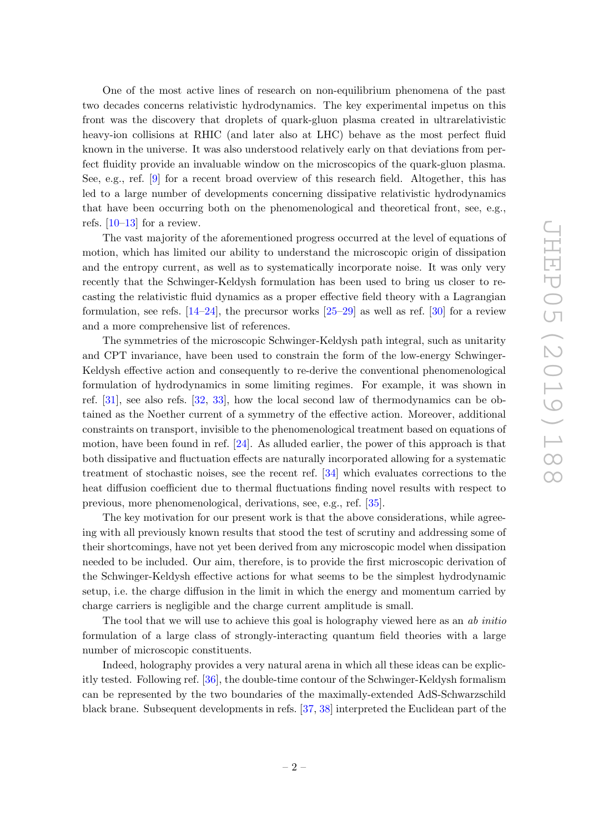One of the most active lines of research on non-equilibrium phenomena of the past two decades concerns relativistic hydrodynamics. The key experimental impetus on this front was the discovery that droplets of quark-gluon plasma created in ultrarelativistic heavy-ion collisions at RHIC (and later also at LHC) behave as the most perfect fluid known in the universe. It was also understood relatively early on that deviations from perfect fluidity provide an invaluable window on the microscopics of the quark-gluon plasma. See, e.g., ref. [\[9\]](#page-37-7) for a recent broad overview of this research field. Altogether, this has led to a large number of developments concerning dissipative relativistic hydrodynamics that have been occurring both on the phenomenological and theoretical front, see, e.g., refs.  $[10-13]$  $[10-13]$  for a review.

The vast majority of the aforementioned progress occurred at the level of equations of motion, which has limited our ability to understand the microscopic origin of dissipation and the entropy current, as well as to systematically incorporate noise. It was only very recently that the Schwinger-Keldysh formulation has been used to bring us closer to recasting the relativistic fluid dynamics as a proper effective field theory with a Lagrangian formulation, see refs.  $[14–24]$  $[14–24]$ , the precursor works  $[25–29]$  $[25–29]$  as well as ref.  $[30]$  for a review and a more comprehensive list of references.

The symmetries of the microscopic Schwinger-Keldysh path integral, such as unitarity and CPT invariance, have been used to constrain the form of the low-energy Schwinger-Keldysh effective action and consequently to re-derive the conventional phenomenological formulation of hydrodynamics in some limiting regimes. For example, it was shown in ref. [\[31\]](#page-38-4), see also refs. [\[32,](#page-38-5) [33\]](#page-38-6), how the local second law of thermodynamics can be obtained as the Noether current of a symmetry of the effective action. Moreover, additional constraints on transport, invisible to the phenomenological treatment based on equations of motion, have been found in ref.  $[24]$ . As alluded earlier, the power of this approach is that both dissipative and fluctuation effects are naturally incorporated allowing for a systematic treatment of stochastic noises, see the recent ref. [\[34\]](#page-38-7) which evaluates corrections to the heat diffusion coefficient due to thermal fluctuations finding novel results with respect to previous, more phenomenological, derivations, see, e.g., ref. [\[35\]](#page-38-8).

The key motivation for our present work is that the above considerations, while agreeing with all previously known results that stood the test of scrutiny and addressing some of their shortcomings, have not yet been derived from any microscopic model when dissipation needed to be included. Our aim, therefore, is to provide the first microscopic derivation of the Schwinger-Keldysh effective actions for what seems to be the simplest hydrodynamic setup, i.e. the charge diffusion in the limit in which the energy and momentum carried by charge carriers is negligible and the charge current amplitude is small.

The tool that we will use to achieve this goal is holography viewed here as an ab initio formulation of a large class of strongly-interacting quantum field theories with a large number of microscopic constituents.

Indeed, holography provides a very natural arena in which all these ideas can be explicitly tested. Following ref. [\[36\]](#page-38-9), the double-time contour of the Schwinger-Keldysh formalism can be represented by the two boundaries of the maximally-extended AdS-Schwarzschild black brane. Subsequent developments in refs. [\[37,](#page-38-10) [38\]](#page-38-11) interpreted the Euclidean part of the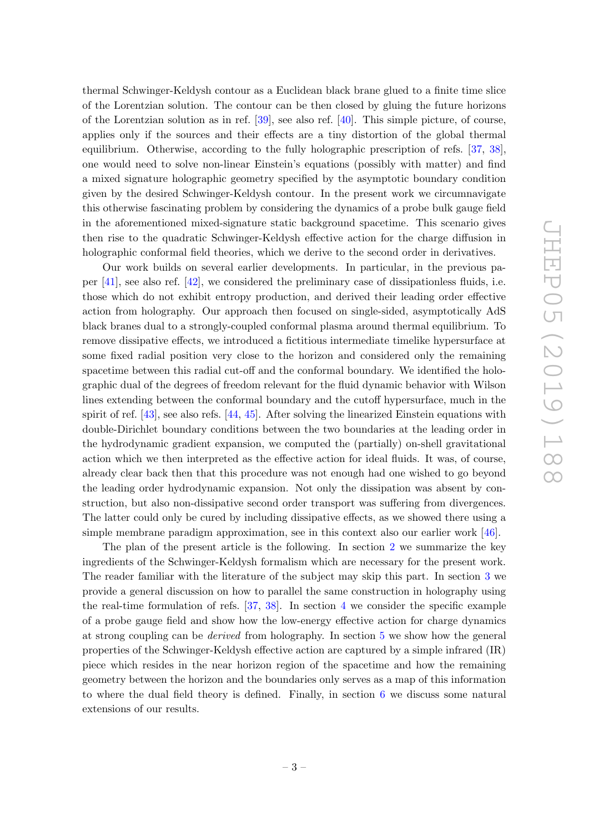thermal Schwinger-Keldysh contour as a Euclidean black brane glued to a finite time slice of the Lorentzian solution. The contour can be then closed by gluing the future horizons of the Lorentzian solution as in ref. [\[39\]](#page-38-12), see also ref. [\[40\]](#page-39-0). This simple picture, of course, applies only if the sources and their effects are a tiny distortion of the global thermal equilibrium. Otherwise, according to the fully holographic prescription of refs. [\[37,](#page-38-10) [38\]](#page-38-11), one would need to solve non-linear Einstein's equations (possibly with matter) and find a mixed signature holographic geometry specified by the asymptotic boundary condition given by the desired Schwinger-Keldysh contour. In the present work we circumnavigate this otherwise fascinating problem by considering the dynamics of a probe bulk gauge field in the aforementioned mixed-signature static background spacetime. This scenario gives then rise to the quadratic Schwinger-Keldysh effective action for the charge diffusion in holographic conformal field theories, which we derive to the second order in derivatives.

Our work builds on several earlier developments. In particular, in the previous paper [\[41\]](#page-39-1), see also ref. [\[42\]](#page-39-2), we considered the preliminary case of dissipationless fluids, i.e. those which do not exhibit entropy production, and derived their leading order effective action from holography. Our approach then focused on single-sided, asymptotically AdS black branes dual to a strongly-coupled conformal plasma around thermal equilibrium. To remove dissipative effects, we introduced a fictitious intermediate timelike hypersurface at some fixed radial position very close to the horizon and considered only the remaining spacetime between this radial cut-off and the conformal boundary. We identified the holographic dual of the degrees of freedom relevant for the fluid dynamic behavior with Wilson lines extending between the conformal boundary and the cutoff hypersurface, much in the spirit of ref.  $[43]$ , see also refs.  $[44, 45]$  $[44, 45]$  $[44, 45]$ . After solving the linearized Einstein equations with double-Dirichlet boundary conditions between the two boundaries at the leading order in the hydrodynamic gradient expansion, we computed the (partially) on-shell gravitational action which we then interpreted as the effective action for ideal fluids. It was, of course, already clear back then that this procedure was not enough had one wished to go beyond the leading order hydrodynamic expansion. Not only the dissipation was absent by construction, but also non-dissipative second order transport was suffering from divergences. The latter could only be cured by including dissipative effects, as we showed there using a simple membrane paradigm approximation, see in this context also our earlier work [\[46\]](#page-39-6).

The plan of the present article is the following. In section [2](#page-5-0) we summarize the key ingredients of the Schwinger-Keldysh formalism which are necessary for the present work. The reader familiar with the literature of the subject may skip this part. In section [3](#page-11-0) we provide a general discussion on how to parallel the same construction in holography using the real-time formulation of refs. [\[37,](#page-38-10) [38\]](#page-38-11). In section [4](#page-15-0) we consider the specific example of a probe gauge field and show how the low-energy effective action for charge dynamics at strong coupling can be derived from holography. In section [5](#page-26-0) we show how the general properties of the Schwinger-Keldysh effective action are captured by a simple infrared (IR) piece which resides in the near horizon region of the spacetime and how the remaining geometry between the horizon and the boundaries only serves as a map of this information to where the dual field theory is defined. Finally, in section [6](#page-32-0) we discuss some natural extensions of our results.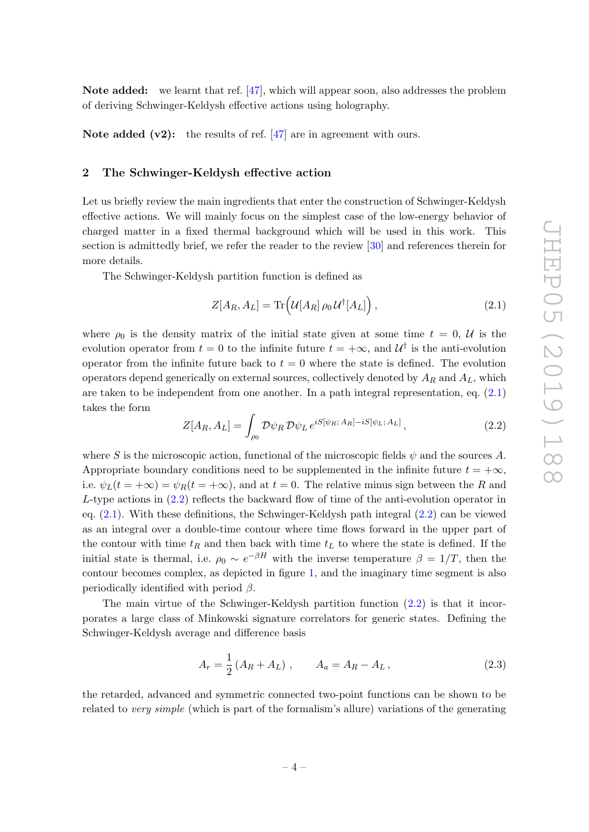Note added: we learnt that ref. [\[47\]](#page-39-7), which will appear soon, also addresses the problem of deriving Schwinger-Keldysh effective actions using holography.

Note added  $(v2)$ : the results of ref. [\[47\]](#page-39-7) are in agreement with ours.

### <span id="page-5-0"></span>2 The Schwinger-Keldysh effective action

Let us briefly review the main ingredients that enter the construction of Schwinger-Keldysh effective actions. We will mainly focus on the simplest case of the low-energy behavior of charged matter in a fixed thermal background which will be used in this work. This section is admittedly brief, we refer the reader to the review [\[30\]](#page-38-3) and references therein for more details.

The Schwinger-Keldysh partition function is defined as

<span id="page-5-1"></span>
$$
Z[A_R, A_L] = \text{Tr}\left(\mathcal{U}[A_R] \rho_0 \mathcal{U}^\dagger[A_L]\right),\tag{2.1}
$$

where  $\rho_0$  is the density matrix of the initial state given at some time  $t = 0, U$  is the evolution operator from  $t = 0$  to the infinite future  $t = +\infty$ , and  $\mathcal{U}^{\dagger}$  is the anti-evolution operator from the infinite future back to  $t = 0$  where the state is defined. The evolution operators depend generically on external sources, collectively denoted by  $A_R$  and  $A_L$ , which are taken to be independent from one another. In a path integral representation, eq. [\(2.1\)](#page-5-1) takes the form

<span id="page-5-2"></span>
$$
Z[A_R, A_L] = \int_{\rho_0} \mathcal{D}\psi_R \, \mathcal{D}\psi_L \, e^{iS[\psi_R; A_R] - iS[\psi_L; A_L]}, \tag{2.2}
$$

where S is the microscopic action, functional of the microscopic fields  $\psi$  and the sources A. Appropriate boundary conditions need to be supplemented in the infinite future  $t = +\infty$ , i.e.  $\psi_L(t = +\infty) = \psi_R(t = +\infty)$ , and at  $t = 0$ . The relative minus sign between the R and  $L$ -type actions in  $(2.2)$  reflects the backward flow of time of the anti-evolution operator in eq. [\(2.1\)](#page-5-1). With these definitions, the Schwinger-Keldysh path integral [\(2.2\)](#page-5-2) can be viewed as an integral over a double-time contour where time flows forward in the upper part of the contour with time  $t_R$  and then back with time  $t_L$  to where the state is defined. If the initial state is thermal, i.e.  $\rho_0 \sim e^{-\beta H}$  with the inverse temperature  $\beta = 1/T$ , then the contour becomes complex, as depicted in figure [1,](#page-6-0) and the imaginary time segment is also periodically identified with period  $\beta$ .

The main virtue of the Schwinger-Keldysh partition function [\(2.2\)](#page-5-2) is that it incorporates a large class of Minkowski signature correlators for generic states. Defining the Schwinger-Keldysh average and difference basis

$$
A_r = \frac{1}{2} \left( A_R + A_L \right) , \qquad A_a = A_R - A_L , \qquad (2.3)
$$

the retarded, advanced and symmetric connected two-point functions can be shown to be related to very simple (which is part of the formalism's allure) variations of the generating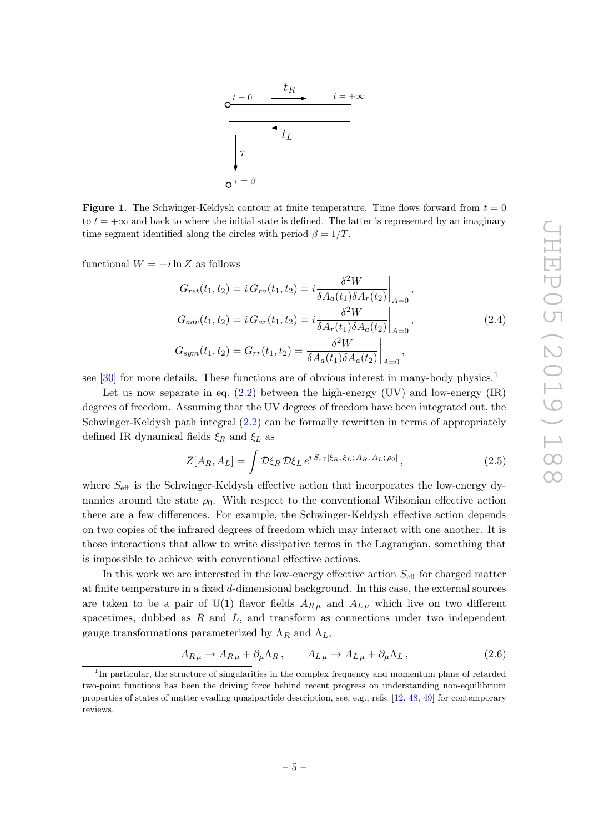

<span id="page-6-0"></span>**Figure 1.** The Schwinger-Keldysh contour at finite temperature. Time flows forward from  $t = 0$ to  $t = +\infty$  and back to where the initial state is defined. The latter is represented by an imaginary time segment identified along the circles with period  $\beta = 1/T$ .

functional  $W = -i \ln Z$  as follows

<span id="page-6-2"></span>
$$
G_{ret}(t_1, t_2) = i G_{ra}(t_1, t_2) = i \frac{\delta^2 W}{\delta A_a(t_1) \delta A_r(t_2)}\Big|_{A=0},
$$
  
\n
$$
G_{adv}(t_1, t_2) = i G_{ar}(t_1, t_2) = i \frac{\delta^2 W}{\delta A_r(t_1) \delta A_a(t_2)}\Big|_{A=0},
$$
  
\n
$$
G_{sym}(t_1, t_2) = G_{rr}(t_1, t_2) = \frac{\delta^2 W}{\delta A_a(t_1) \delta A_a(t_2)}\Big|_{A=0},
$$
\n(2.4)

see [\[30\]](#page-38-3) for more details. These functions are of obvious interest in many-body physics.<sup>[1](#page-6-1)</sup>

Let us now separate in eq.  $(2.2)$  between the high-energy  $(UV)$  and low-energy  $(IR)$ degrees of freedom. Assuming that the UV degrees of freedom have been integrated out, the Schwinger-Keldysh path integral [\(2.2\)](#page-5-2) can be formally rewritten in terms of appropriately defined IR dynamical fields  $\xi_R$  and  $\xi_L$  as

$$
Z[A_R, A_L] = \int \mathcal{D}\xi_R \mathcal{D}\xi_L e^{i S_{\text{eff}}[\xi_R, \xi_L; A_R, A_L; \rho_0]}, \qquad (2.5)
$$

where  $S_{\text{eff}}$  is the Schwinger-Keldysh effective action that incorporates the low-energy dynamics around the state  $\rho_0$ . With respect to the conventional Wilsonian effective action there are a few differences. For example, the Schwinger-Keldysh effective action depends on two copies of the infrared degrees of freedom which may interact with one another. It is those interactions that allow to write dissipative terms in the Lagrangian, something that is impossible to achieve with conventional effective actions.

In this work we are interested in the low-energy effective action  $S_{\text{eff}}$  for charged matter at finite temperature in a fixed d-dimensional background. In this case, the external sources are taken to be a pair of U(1) flavor fields  $A_{R\mu}$  and  $A_{L\mu}$  which live on two different spacetimes, dubbed as  $R$  and  $L$ , and transform as connections under two independent gauge transformations parameterized by  $\Lambda_R$  and  $\Lambda_L$ ,

$$
A_{R\,\mu} \to A_{R\,\mu} + \partial_{\mu}\Lambda_R \,, \qquad A_{L\,\mu} \to A_{L\,\mu} + \partial_{\mu}\Lambda_L \,, \tag{2.6}
$$

<span id="page-6-1"></span><sup>&</sup>lt;sup>1</sup>In particular, the structure of singularities in the complex frequency and momentum plane of retarded two-point functions has been the driving force behind recent progress on understanding non-equilibrium properties of states of matter evading quasiparticle description, see, e.g., refs. [\[12,](#page-37-11) [48,](#page-39-8) [49\]](#page-39-9) for contemporary reviews.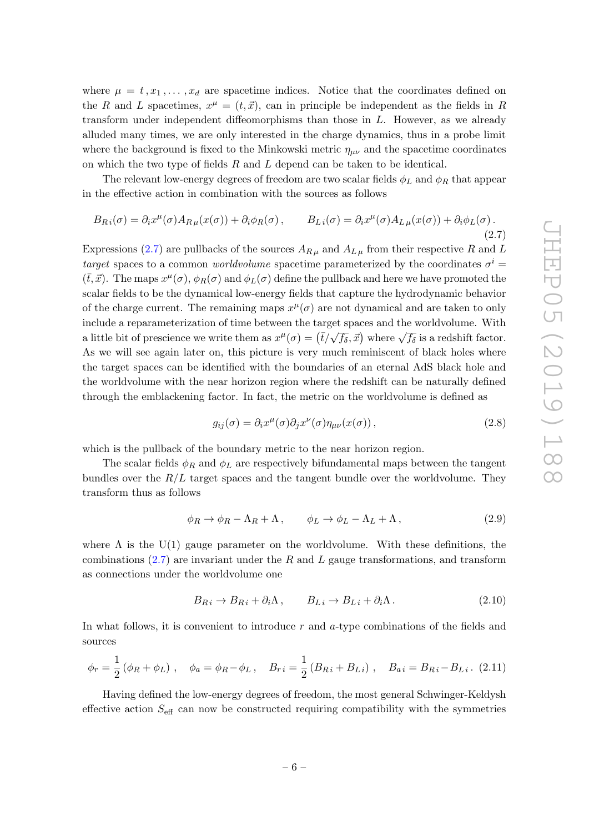where  $\mu = t, x_1, \ldots, x_d$  are spacetime indices. Notice that the coordinates defined on the R and L spacetimes,  $x^{\mu} = (t, \vec{x})$ , can in principle be independent as the fields in R transform under independent diffeomorphisms than those in  $L$ . However, as we already alluded many times, we are only interested in the charge dynamics, thus in a probe limit where the background is fixed to the Minkowski metric  $\eta_{\mu\nu}$  and the spacetime coordinates on which the two type of fields  $R$  and  $L$  depend can be taken to be identical.

The relevant low-energy degrees of freedom are two scalar fields  $\phi_L$  and  $\phi_R$  that appear in the effective action in combination with the sources as follows

<span id="page-7-0"></span>
$$
B_{Ri}(\sigma) = \partial_i x^{\mu}(\sigma) A_{R\mu}(x(\sigma)) + \partial_i \phi_R(\sigma), \qquad B_{Li}(\sigma) = \partial_i x^{\mu}(\sigma) A_{L\mu}(x(\sigma)) + \partial_i \phi_L(\sigma).
$$
\n(2.7)

Expressions [\(2.7\)](#page-7-0) are pullbacks of the sources  $A_{R\mu}$  and  $A_{L\mu}$  from their respective R and L target spaces to a common worldvolume spacetime parameterized by the coordinates  $\sigma^i$  $(\bar{t}, \vec{x})$ . The maps  $x^{\mu}(\sigma)$ ,  $\phi_R(\sigma)$  and  $\phi_L(\sigma)$  define the pullback and here we have promoted the scalar fields to be the dynamical low-energy fields that capture the hydrodynamic behavior of the charge current. The remaining maps  $x^{\mu}(\sigma)$  are not dynamical and are taken to only include a reparameterization of time between the target spaces and the worldvolume. With a little bit of prescience we write them as  $x^{\mu}(\sigma) = (\bar{t}/\sqrt{f_{\delta}}, \vec{x})$  where  $\sqrt{f_{\delta}}$  is a redshift factor. As we will see again later on, this picture is very much reminiscent of black holes where the target spaces can be identified with the boundaries of an eternal AdS black hole and the worldvolume with the near horizon region where the redshift can be naturally defined through the emblackening factor. In fact, the metric on the worldvolume is defined as

$$
g_{ij}(\sigma) = \partial_i x^{\mu}(\sigma) \partial_j x^{\nu}(\sigma) \eta_{\mu\nu}(x(\sigma)), \qquad (2.8)
$$

which is the pullback of the boundary metric to the near horizon region.

The scalar fields  $\phi_R$  and  $\phi_L$  are respectively bifundamental maps between the tangent bundles over the  $R/L$  target spaces and the tangent bundle over the worldvolume. They transform thus as follows

<span id="page-7-1"></span>
$$
\phi_R \to \phi_R - \Lambda_R + \Lambda \,, \qquad \phi_L \to \phi_L - \Lambda_L + \Lambda \,, \tag{2.9}
$$

where  $\Lambda$  is the U(1) gauge parameter on the worldvolume. With these definitions, the combinations  $(2.7)$  are invariant under the R and L gauge transformations, and transform as connections under the worldvolume one

$$
B_{Ri} \to B_{Ri} + \partial_i \Lambda, \qquad B_{Li} \to B_{Li} + \partial_i \Lambda. \tag{2.10}
$$

In what follows, it is convenient to introduce  $r$  and  $a$ -type combinations of the fields and sources

$$
\phi_r = \frac{1}{2} (\phi_R + \phi_L) , \quad \phi_a = \phi_R - \phi_L , \quad B_{r i} = \frac{1}{2} (B_{R i} + B_{L i}) , \quad B_{a i} = B_{R i} - B_{L i} .
$$
 (2.11)

Having defined the low-energy degrees of freedom, the most general Schwinger-Keldysh effective action  $S_{\text{eff}}$  can now be constructed requiring compatibility with the symmetries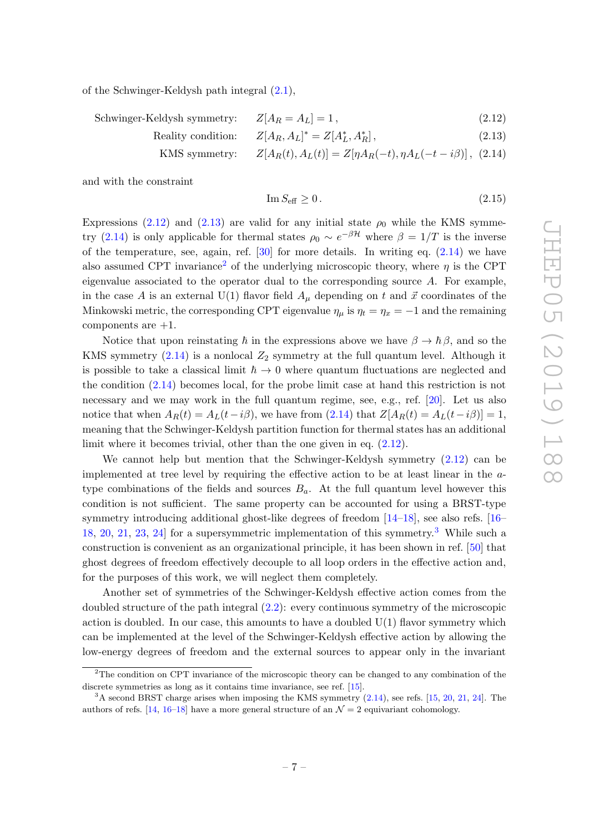of the Schwinger-Keldysh path integral [\(2.1\)](#page-5-1),

<span id="page-8-0"></span>Schwinger-Keldysh symmetry:  $Z[A_R = A_L] = 1$ , (2.12)

Reality condition:  $^* = Z[A_L^*, A_I^*]$  $(2.13)$ 

KMS symmetry:  $Z[A_R(t), A_L(t)] = Z[\eta A_R(-t), \eta A_L(-t - i\beta)]$ , (2.14)

and with the constraint

<span id="page-8-3"></span>
$$
\operatorname{Im} S_{\text{eff}} \ge 0. \tag{2.15}
$$

Expressions [\(2.12\)](#page-8-0) and [\(2.13\)](#page-8-0) are valid for any initial state  $\rho_0$  while the KMS symme-try [\(2.14\)](#page-8-0) is only applicable for thermal states  $\rho_0 \sim e^{-\beta \mathcal{H}}$  where  $\beta = 1/T$  is the inverse of the temperature, see, again, ref.  $[30]$  for more details. In writing eq.  $(2.14)$  we have also assumed CPT invariance<sup>[2](#page-8-1)</sup> of the underlying microscopic theory, where  $\eta$  is the CPT eigenvalue associated to the operator dual to the corresponding source A. For example, in the case A is an external U(1) flavor field  $A_\mu$  depending on t and  $\vec{x}$  coordinates of the Minkowski metric, the corresponding CPT eigenvalue  $\eta_{\mu}$  is  $\eta_t = \eta_x = -1$  and the remaining components are  $+1$ .

Notice that upon reinstating  $\hbar$  in the expressions above we have  $\beta \to \hbar \beta$ , and so the KMS symmetry  $(2.14)$  is a nonlocal  $Z_2$  symmetry at the full quantum level. Although it is possible to take a classical limit  $\hbar \to 0$  where quantum fluctuations are neglected and the condition [\(2.14\)](#page-8-0) becomes local, for the probe limit case at hand this restriction is not necessary and we may work in the full quantum regime, see, e.g., ref. [\[20\]](#page-37-12). Let us also notice that when  $A_R(t) = A_L(t-i\beta)$ , we have from [\(2.14\)](#page-8-0) that  $Z[A_R(t) = A_L(t-i\beta)] = 1$ , meaning that the Schwinger-Keldysh partition function for thermal states has an additional limit where it becomes trivial, other than the one given in eq. [\(2.12\)](#page-8-0).

We cannot help but mention that the Schwinger-Keldysh symmetry  $(2.12)$  can be implemented at tree level by requiring the effective action to be at least linear in the atype combinations of the fields and sources  $B_a$ . At the full quantum level however this condition is not sufficient. The same property can be accounted for using a BRST-type symmetry introducing additional ghost-like degrees of freedom [\[14](#page-37-10)[–18\]](#page-37-13), see also refs. [\[16–](#page-37-14) [18,](#page-37-13) [20,](#page-37-12) [21,](#page-38-13) [23,](#page-38-14) [24\]](#page-38-0) for a supersymmetric implementation of this symmetry.[3](#page-8-2) While such a construction is convenient as an organizational principle, it has been shown in ref. [\[50\]](#page-39-10) that ghost degrees of freedom effectively decouple to all loop orders in the effective action and, for the purposes of this work, we will neglect them completely.

Another set of symmetries of the Schwinger-Keldysh effective action comes from the doubled structure of the path integral [\(2.2\)](#page-5-2): every continuous symmetry of the microscopic action is doubled. In our case, this amounts to have a doubled  $U(1)$  flavor symmetry which can be implemented at the level of the Schwinger-Keldysh effective action by allowing the low-energy degrees of freedom and the external sources to appear only in the invariant

<span id="page-8-1"></span> $2$ The condition on CPT invariance of the microscopic theory can be changed to any combination of the discrete symmetries as long as it contains time invariance, see ref. [\[15\]](#page-37-15).

<span id="page-8-2"></span><sup>&</sup>lt;sup>3</sup>A second BRST charge arises when imposing the KMS symmetry  $(2.14)$ , see refs. [\[15,](#page-37-15) [20,](#page-37-12) [21,](#page-38-13) [24\]](#page-38-0). The authors of refs. [\[14,](#page-37-10) [16–](#page-37-14)[18\]](#page-37-13) have a more general structure of an  $\mathcal{N}=2$  equivariant cohomology.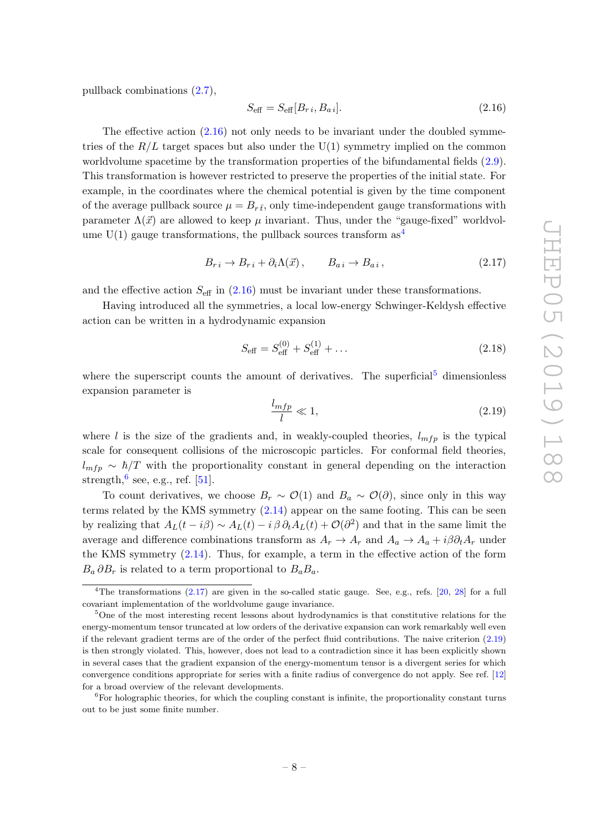pullback combinations [\(2.7\)](#page-7-0),

<span id="page-9-0"></span>
$$
S_{\text{eff}} = S_{\text{eff}}[B_{ri}, B_{ai}]. \tag{2.16}
$$

The effective action  $(2.16)$  not only needs to be invariant under the doubled symmetries of the  $R/L$  target spaces but also under the U(1) symmetry implied on the common worldvolume spacetime by the transformation properties of the bifundamental fields [\(2.9\)](#page-7-1). This transformation is however restricted to preserve the properties of the initial state. For example, in the coordinates where the chemical potential is given by the time component of the average pullback source  $\mu = B_{r\bar{t}}$ , only time-independent gauge transformations with parameter  $\Lambda(\vec{x})$  are allowed to keep  $\mu$  invariant. Thus, under the "gauge-fixed" worldvolume  $U(1)$  gauge transformations, the pullback sources transform as  $4$ 

<span id="page-9-4"></span>
$$
B_{r i} \to B_{r i} + \partial_i \Lambda(\vec{x}), \qquad B_{a i} \to B_{a i}, \qquad (2.17)
$$

and the effective action  $S_{\text{eff}}$  in [\(2.16\)](#page-9-0) must be invariant under these transformations.

Having introduced all the symmetries, a local low-energy Schwinger-Keldysh effective action can be written in a hydrodynamic expansion

$$
S_{\text{eff}} = S_{\text{eff}}^{(0)} + S_{\text{eff}}^{(1)} + \dots \tag{2.18}
$$

where the superscript counts the amount of derivatives. The superficial<sup>[5](#page-9-2)</sup> dimensionless expansion parameter is

<span id="page-9-5"></span>
$$
\frac{l_{mfp}}{l} \ll 1,\tag{2.19}
$$

where l is the size of the gradients and, in weakly-coupled theories,  $l_{mfp}$  is the typical scale for consequent collisions of the microscopic particles. For conformal field theories,  $l_{mfp} \sim \hbar/T$  with the proportionality constant in general depending on the interaction strength,  $6$  see, e.g., ref. [\[51\]](#page-39-11).

To count derivatives, we choose  $B_r \sim \mathcal{O}(1)$  and  $B_a \sim \mathcal{O}(\partial)$ , since only in this way terms related by the KMS symmetry [\(2.14\)](#page-8-0) appear on the same footing. This can be seen by realizing that  $A_L(t - i\beta) \sim A_L(t) - i\beta \partial_t A_L(t) + \mathcal{O}(\partial^2)$  and that in the same limit the average and difference combinations transform as  $A_r \to A_r$  and  $A_a \to A_a + i \beta \partial_t A_r$  under the KMS symmetry [\(2.14\)](#page-8-0). Thus, for example, a term in the effective action of the form  $B_a \partial B_r$  is related to a term proportional to  $B_a B_a$ .

<span id="page-9-1"></span><sup>&</sup>lt;sup>4</sup>The transformations  $(2.17)$  are given in the so-called static gauge. See, e.g., refs.  $[20, 28]$  $[20, 28]$  $[20, 28]$  for a full covariant implementation of the worldvolume gauge invariance.

<span id="page-9-2"></span><sup>&</sup>lt;sup>5</sup>One of the most interesting recent lessons about hydrodynamics is that constitutive relations for the energy-momentum tensor truncated at low orders of the derivative expansion can work remarkably well even if the relevant gradient terms are of the order of the perfect fluid contributions. The naive criterion [\(2.19\)](#page-9-5) is then strongly violated. This, however, does not lead to a contradiction since it has been explicitly shown in several cases that the gradient expansion of the energy-momentum tensor is a divergent series for which convergence conditions appropriate for series with a finite radius of convergence do not apply. See ref. [\[12\]](#page-37-11) for a broad overview of the relevant developments.

<span id="page-9-3"></span> ${}^{6}$ For holographic theories, for which the coupling constant is infinite, the proportionality constant turns out to be just some finite number.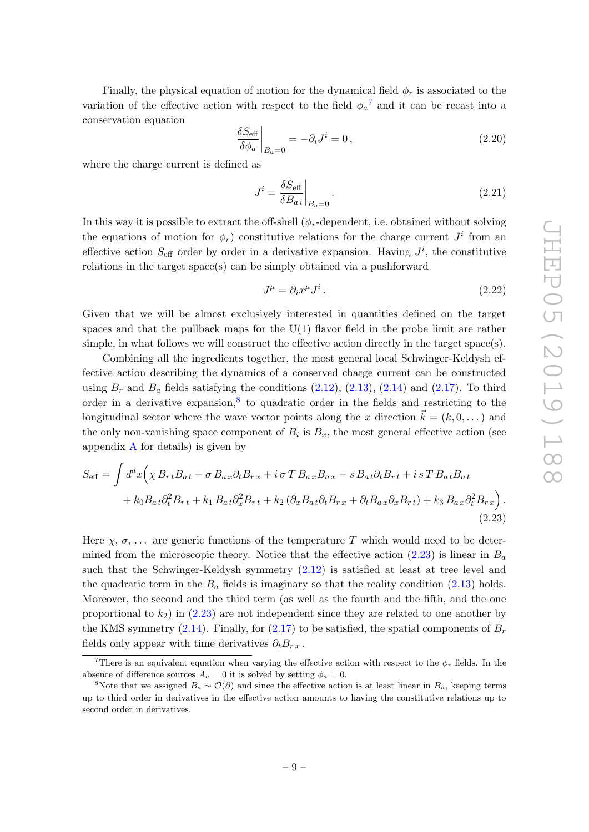Finally, the physical equation of motion for the dynamical field  $\phi_r$  is associated to the variation of the effective action with respect to the field  $\phi_a^7$  $\phi_a^7$  and it can be recast into a conservation equation

$$
\left. \frac{\delta S_{\text{eff}}}{\delta \phi_a} \right|_{B_a=0} = -\partial_i J^i = 0 \,, \tag{2.20}
$$

where the charge current is defined as

$$
J^i = \frac{\delta S_{\text{eff}}}{\delta B_{ai}}\bigg|_{B_a = 0}.
$$
\n(2.21)

In this way it is possible to extract the off-shell  $(\phi_r$ -dependent, i.e. obtained without solving the equations of motion for  $\phi_r$ ) constitutive relations for the charge current  $J^i$  from an effective action  $S_{\text{eff}}$  order by order in a derivative expansion. Having  $J^i$ , the constitutive relations in the target space(s) can be simply obtained via a pushforward

<span id="page-10-3"></span><span id="page-10-2"></span>
$$
J^{\mu} = \partial_i x^{\mu} J^i. \tag{2.22}
$$

Given that we will be almost exclusively interested in quantities defined on the target spaces and that the pullback maps for the U(1) flavor field in the probe limit are rather simple, in what follows we will construct the effective action directly in the target space(s).

Combining all the ingredients together, the most general local Schwinger-Keldysh effective action describing the dynamics of a conserved charge current can be constructed using  $B_r$  and  $B_a$  fields satisfying the conditions  $(2.12)$ ,  $(2.13)$ ,  $(2.14)$  and  $(2.17)$ . To third order in a derivative expansion,<sup>[8](#page-10-1)</sup> to quadratic order in the fields and restricting to the longitudinal sector where the wave vector points along the x direction  $\vec{k} = (k, 0, \dots)$  and the only non-vanishing space component of  $B_i$  is  $B_x$ , the most general effective action (see appendix  $\bf{A}$  $\bf{A}$  $\bf{A}$  for details) is given by

$$
S_{\text{eff}} = \int d^d x \Big( \chi B_{rt} B_{at} - \sigma B_{ax} \partial_t B_{rx} + i \sigma T B_{ax} B_{ax} - s B_{at} \partial_t B_{rt} + i s T B_{at} B_{at} + k_0 B_{at} \partial_t^2 B_{rt} + k_1 B_{at} \partial_x^2 B_{rt} + k_2 \left( \partial_x B_{at} \partial_t B_{rx} + \partial_t B_{ax} \partial_x B_{rt} \right) + k_3 B_{ax} \partial_t^2 B_{rx} \Big).
$$
\n(2.23)

Here  $\chi$ ,  $\sigma$ , ... are generic functions of the temperature T which would need to be determined from the microscopic theory. Notice that the effective action  $(2.23)$  is linear in  $B_a$ such that the Schwinger-Keldysh symmetry [\(2.12\)](#page-8-0) is satisfied at least at tree level and the quadratic term in the  $B_a$  fields is imaginary so that the reality condition  $(2.13)$  holds. Moreover, the second and the third term (as well as the fourth and the fifth, and the one proportional to  $k_2$ ) in [\(2.23\)](#page-10-2) are not independent since they are related to one another by the KMS symmetry [\(2.14\)](#page-8-0). Finally, for [\(2.17\)](#page-9-4) to be satisfied, the spatial components of  $B_r$ fields only appear with time derivatives  $\partial_t B_{r,x}$ .

<span id="page-10-0"></span><sup>&</sup>lt;sup>7</sup>There is an equivalent equation when varying the effective action with respect to the  $\phi_r$  fields. In the absence of difference sources  $A_a = 0$  it is solved by setting  $\phi_a = 0$ .

<span id="page-10-1"></span><sup>&</sup>lt;sup>8</sup>Note that we assigned  $B_a \sim \mathcal{O}(\partial)$  and since the effective action is at least linear in  $B_a$ , keeping terms up to third order in derivatives in the effective action amounts to having the constitutive relations up to second order in derivatives.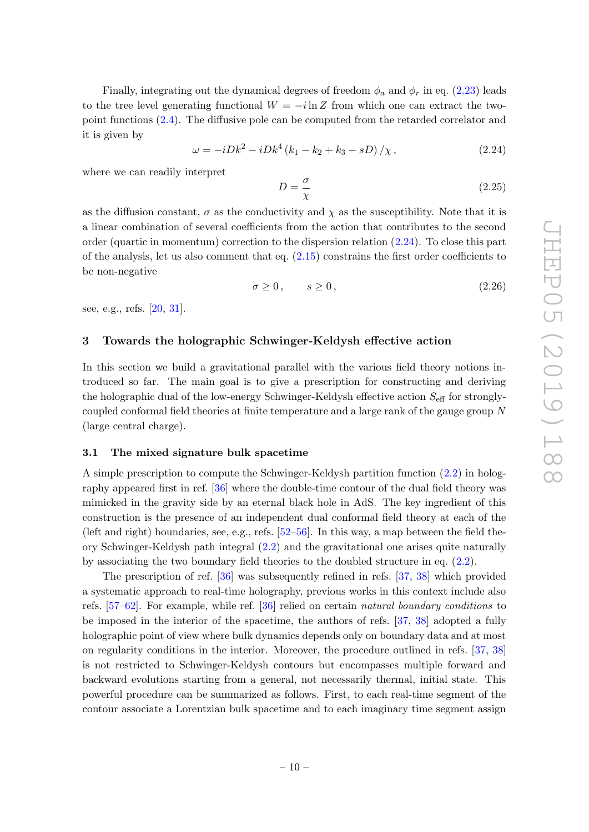Finally, integrating out the dynamical degrees of freedom  $\phi_a$  and  $\phi_r$  in eq. [\(2.23\)](#page-10-2) leads to the tree level generating functional  $W = -i \ln Z$  from which one can extract the twopoint functions [\(2.4\)](#page-6-2). The diffusive pole can be computed from the retarded correlator and it is given by

<span id="page-11-2"></span>
$$
\omega = -iDk^2 - iDk^4 (k_1 - k_2 + k_3 - sD) / \chi, \qquad (2.24)
$$

where we can readily interpret

$$
D = \frac{\sigma}{\chi} \tag{2.25}
$$

as the diffusion constant,  $\sigma$  as the conductivity and  $\chi$  as the susceptibility. Note that it is a linear combination of several coefficients from the action that contributes to the second order (quartic in momentum) correction to the dispersion relation [\(2.24\)](#page-11-2). To close this part of the analysis, let us also comment that eq.  $(2.15)$  constrains the first order coefficients to be non-negative

$$
\sigma \ge 0, \qquad s \ge 0, \tag{2.26}
$$

see, e.g., refs. [\[20,](#page-37-12) [31\]](#page-38-4).

### <span id="page-11-0"></span>3 Towards the holographic Schwinger-Keldysh effective action

In this section we build a gravitational parallel with the various field theory notions introduced so far. The main goal is to give a prescription for constructing and deriving the holographic dual of the low-energy Schwinger-Keldysh effective action  $S_{\text{eff}}$  for stronglycoupled conformal field theories at finite temperature and a large rank of the gauge group N (large central charge).

#### <span id="page-11-1"></span>3.1 The mixed signature bulk spacetime

A simple prescription to compute the Schwinger-Keldysh partition function [\(2.2\)](#page-5-2) in holography appeared first in ref. [\[36\]](#page-38-9) where the double-time contour of the dual field theory was mimicked in the gravity side by an eternal black hole in AdS. The key ingredient of this construction is the presence of an independent dual conformal field theory at each of the (left and right) boundaries, see, e.g., refs. [\[52–](#page-39-12)[56\]](#page-39-13). In this way, a map between the field theory Schwinger-Keldysh path integral [\(2.2\)](#page-5-2) and the gravitational one arises quite naturally by associating the two boundary field theories to the doubled structure in eq. [\(2.2\)](#page-5-2).

The prescription of ref. [\[36\]](#page-38-9) was subsequently refined in refs. [\[37,](#page-38-10) [38\]](#page-38-11) which provided a systematic approach to real-time holography, previous works in this context include also refs. [\[57](#page-39-14)[–62\]](#page-40-0). For example, while ref. [\[36\]](#page-38-9) relied on certain natural boundary conditions to be imposed in the interior of the spacetime, the authors of refs. [\[37,](#page-38-10) [38\]](#page-38-11) adopted a fully holographic point of view where bulk dynamics depends only on boundary data and at most on regularity conditions in the interior. Moreover, the procedure outlined in refs. [\[37,](#page-38-10) [38\]](#page-38-11) is not restricted to Schwinger-Keldysh contours but encompasses multiple forward and backward evolutions starting from a general, not necessarily thermal, initial state. This powerful procedure can be summarized as follows. First, to each real-time segment of the contour associate a Lorentzian bulk spacetime and to each imaginary time segment assign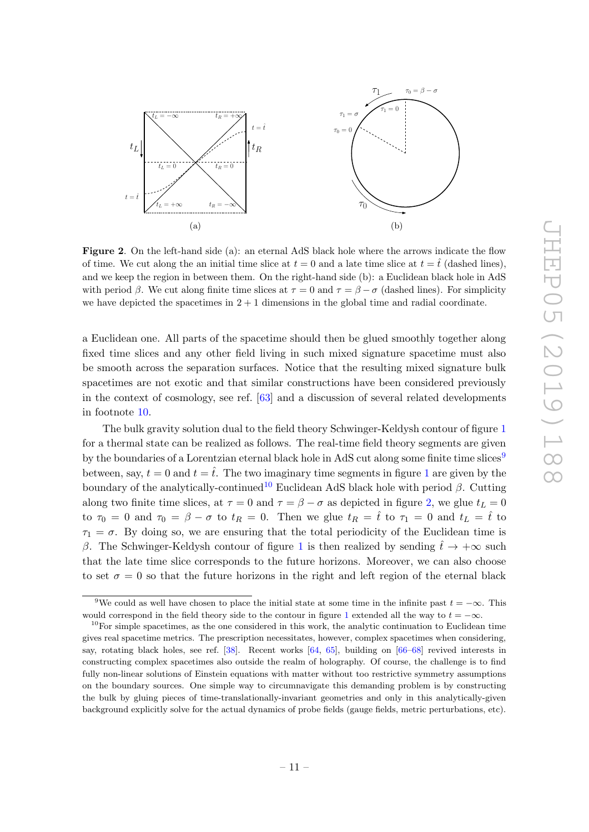

<span id="page-12-2"></span>Figure 2. On the left-hand side (a): an eternal AdS black hole where the arrows indicate the flow of time. We cut along the an initial time slice at  $t = 0$  and a late time slice at  $t = \hat{t}$  (dashed lines), and we keep the region in between them. On the right-hand side (b): a Euclidean black hole in AdS with period  $\beta$ . We cut along finite time slices at  $\tau = 0$  and  $\tau = \beta - \sigma$  (dashed lines). For simplicity we have depicted the spacetimes in  $2 + 1$  dimensions in the global time and radial coordinate.

a Euclidean one. All parts of the spacetime should then be glued smoothly together along fixed time slices and any other field living in such mixed signature spacetime must also be smooth across the separation surfaces. Notice that the resulting mixed signature bulk spacetimes are not exotic and that similar constructions have been considered previously in the context of cosmology, see ref. [\[63\]](#page-40-1) and a discussion of several related developments in footnote [10.](#page-12-0)

The bulk gravity solution dual to the field theory Schwinger-Keldysh contour of figure [1](#page-6-0) for a thermal state can be realized as follows. The real-time field theory segments are given by the boundaries of a Lorentzian eternal black hole in AdS cut along some finite time slices<sup>[9](#page-12-1)</sup> between, say,  $t = 0$  and  $t = \hat{t}$ . The two imaginary time segments in figure [1](#page-6-0) are given by the boundary of the analytically-continued<sup>[10](#page-12-0)</sup> Euclidean AdS black hole with period  $\beta$ . Cutting along two finite time slices, at  $\tau = 0$  and  $\tau = \beta - \sigma$  as depicted in figure [2,](#page-12-2) we glue  $t_L = 0$ to  $\tau_0 = 0$  and  $\tau_0 = \beta - \sigma$  to  $t_R = 0$ . Then we glue  $t_R = \hat{t}$  to  $\tau_1 = 0$  and  $t_L = \hat{t}$  to  $\tau_1 = \sigma$ . By doing so, we are ensuring that the total periodicity of the Euclidean time is β. The Schwinger-Keldysh contour of figure [1](#page-6-0) is then realized by sending  $\hat{t} \to +\infty$  such that the late time slice corresponds to the future horizons. Moreover, we can also choose to set  $\sigma = 0$  so that the future horizons in the right and left region of the eternal black

<span id="page-12-1"></span><sup>&</sup>lt;sup>9</sup>We could as well have chosen to place the initial state at some time in the infinite past  $t = -\infty$ . This would correspond in the field theory side to the contour in figure [1](#page-6-0) extended all the way to  $t = -\infty$ .

<span id="page-12-0"></span> $10$ For simple spacetimes, as the one considered in this work, the analytic continuation to Euclidean time gives real spacetime metrics. The prescription necessitates, however, complex spacetimes when considering, say, rotating black holes, see ref. [\[38\]](#page-38-11). Recent works [\[64,](#page-40-2) [65\]](#page-40-3), building on [\[66–](#page-40-4)[68\]](#page-40-5) revived interests in constructing complex spacetimes also outside the realm of holography. Of course, the challenge is to find fully non-linear solutions of Einstein equations with matter without too restrictive symmetry assumptions on the boundary sources. One simple way to circumnavigate this demanding problem is by constructing the bulk by gluing pieces of time-translationally-invariant geometries and only in this analytically-given background explicitly solve for the actual dynamics of probe fields (gauge fields, metric perturbations, etc).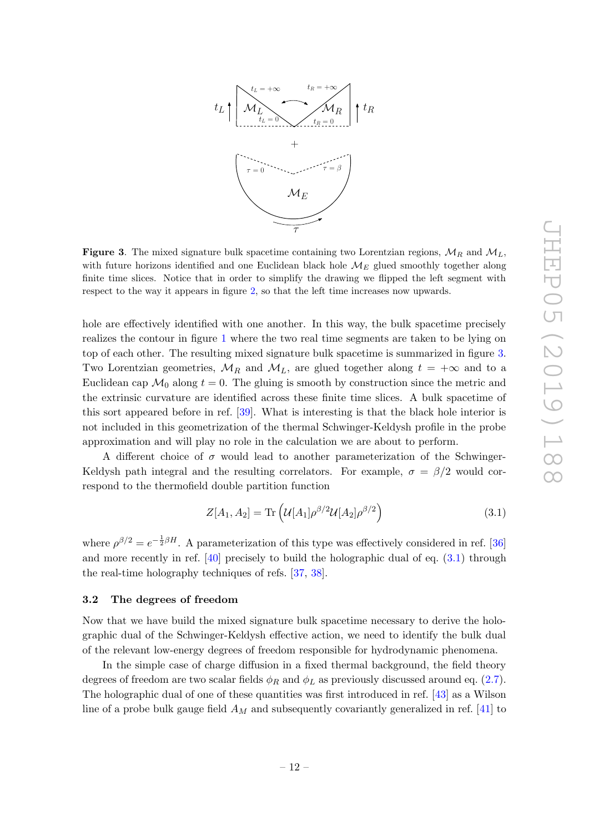

<span id="page-13-1"></span>**Figure 3.** The mixed signature bulk spacetime containing two Lorentzian regions,  $\mathcal{M}_R$  and  $\mathcal{M}_L$ , with future horizons identified and one Euclidean black hole  $\mathcal{M}_E$  glued smoothly together along finite time slices. Notice that in order to simplify the drawing we flipped the left segment with respect to the way it appears in figure [2,](#page-12-2) so that the left time increases now upwards.

hole are effectively identified with one another. In this way, the bulk spacetime precisely realizes the contour in figure [1](#page-6-0) where the two real time segments are taken to be lying on top of each other. The resulting mixed signature bulk spacetime is summarized in figure [3.](#page-13-1) Two Lorentzian geometries,  $\mathcal{M}_R$  and  $\mathcal{M}_L$ , are glued together along  $t = +\infty$  and to a Euclidean cap  $\mathcal{M}_0$  along  $t = 0$ . The gluing is smooth by construction since the metric and the extrinsic curvature are identified across these finite time slices. A bulk spacetime of this sort appeared before in ref. [\[39\]](#page-38-12). What is interesting is that the black hole interior is not included in this geometrization of the thermal Schwinger-Keldysh profile in the probe approximation and will play no role in the calculation we are about to perform.

A different choice of  $\sigma$  would lead to another parameterization of the Schwinger-Keldysh path integral and the resulting correlators. For example,  $\sigma = \beta/2$  would correspond to the thermofield double partition function

<span id="page-13-2"></span>
$$
Z[A_1, A_2] = \text{Tr}\left(\mathcal{U}[A_1] \rho^{\beta/2} \mathcal{U}[A_2] \rho^{\beta/2}\right) \tag{3.1}
$$

where  $\rho^{\beta/2} = e^{-\frac{1}{2}\beta H}$ . A parameterization of this type was effectively considered in ref. [\[36\]](#page-38-9) and more recently in ref. [\[40\]](#page-39-0) precisely to build the holographic dual of eq. [\(3.1\)](#page-13-2) through the real-time holography techniques of refs. [\[37,](#page-38-10) [38\]](#page-38-11).

# <span id="page-13-0"></span>3.2 The degrees of freedom

Now that we have build the mixed signature bulk spacetime necessary to derive the holographic dual of the Schwinger-Keldysh effective action, we need to identify the bulk dual of the relevant low-energy degrees of freedom responsible for hydrodynamic phenomena.

In the simple case of charge diffusion in a fixed thermal background, the field theory degrees of freedom are two scalar fields  $\phi_R$  and  $\phi_L$  as previously discussed around eq. [\(2.7\)](#page-7-0). The holographic dual of one of these quantities was first introduced in ref. [\[43\]](#page-39-3) as a Wilson line of a probe bulk gauge field  $A_M$  and subsequently covariantly generalized in ref. [\[41\]](#page-39-1) to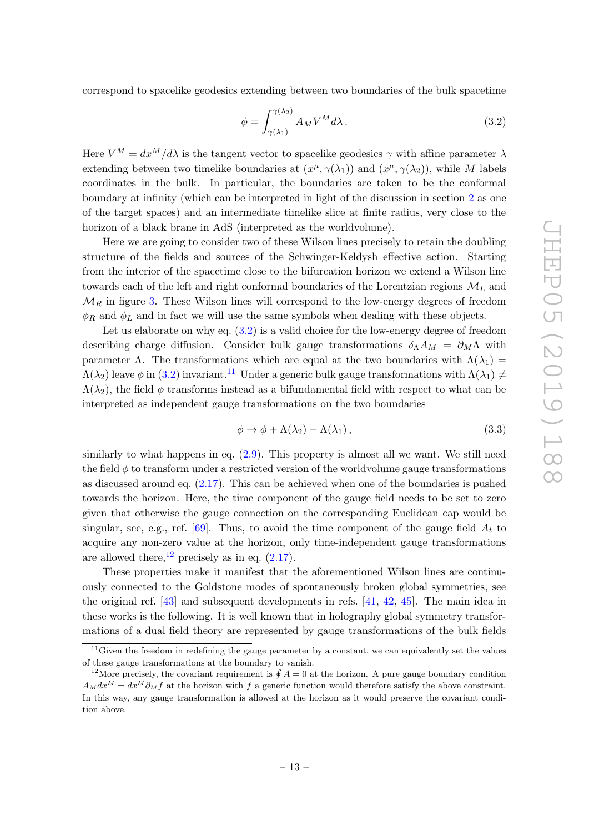correspond to spacelike geodesics extending between two boundaries of the bulk spacetime

<span id="page-14-0"></span>
$$
\phi = \int_{\gamma(\lambda_1)}^{\gamma(\lambda_2)} A_M V^M d\lambda \,. \tag{3.2}
$$

Here  $V^M = dx^M/d\lambda$  is the tangent vector to spacelike geodesics  $\gamma$  with affine parameter  $\lambda$ extending between two timelike boundaries at  $(x^{\mu}, \gamma(\lambda_1))$  and  $(x^{\mu}, \gamma(\lambda_2))$ , while M labels coordinates in the bulk. In particular, the boundaries are taken to be the conformal boundary at infinity (which can be interpreted in light of the discussion in section [2](#page-5-0) as one of the target spaces) and an intermediate timelike slice at finite radius, very close to the horizon of a black brane in AdS (interpreted as the worldvolume).

Here we are going to consider two of these Wilson lines precisely to retain the doubling structure of the fields and sources of the Schwinger-Keldysh effective action. Starting from the interior of the spacetime close to the bifurcation horizon we extend a Wilson line towards each of the left and right conformal boundaries of the Lorentzian regions  $\mathcal{M}_L$  and  $\mathcal{M}_R$  in figure [3.](#page-13-1) These Wilson lines will correspond to the low-energy degrees of freedom  $\phi_R$  and  $\phi_L$  and in fact we will use the same symbols when dealing with these objects.

Let us elaborate on why eq.  $(3.2)$  is a valid choice for the low-energy degree of freedom describing charge diffusion. Consider bulk gauge transformations  $\delta_{\Lambda} A_M = \partial_M \Lambda$  with parameter Λ. The transformations which are equal at the two boundaries with  $\Lambda(\lambda_1)$  =  $\Lambda(\lambda_2)$  leave φ in [\(3.2\)](#page-14-0) invariant.<sup>[11](#page-14-1)</sup> Under a generic bulk gauge transformations with  $\Lambda(\lambda_1) \neq$  $\Lambda(\lambda_2)$ , the field  $\phi$  transforms instead as a bifundamental field with respect to what can be interpreted as independent gauge transformations on the two boundaries

$$
\phi \to \phi + \Lambda(\lambda_2) - \Lambda(\lambda_1), \tag{3.3}
$$

similarly to what happens in eq. [\(2.9\)](#page-7-1). This property is almost all we want. We still need the field  $\phi$  to transform under a restricted version of the worldvolume gauge transformations as discussed around eq. [\(2.17\)](#page-9-4). This can be achieved when one of the boundaries is pushed towards the horizon. Here, the time component of the gauge field needs to be set to zero given that otherwise the gauge connection on the corresponding Euclidean cap would be singular, see, e.g., ref. [\[69\]](#page-40-6). Thus, to avoid the time component of the gauge field  $A_t$  to acquire any non-zero value at the horizon, only time-independent gauge transformations are allowed there,  $^{12}$  $^{12}$  $^{12}$  precisely as in eq. [\(2.17\)](#page-9-4).

These properties make it manifest that the aforementioned Wilson lines are continuously connected to the Goldstone modes of spontaneously broken global symmetries, see the original ref. [\[43\]](#page-39-3) and subsequent developments in refs. [\[41,](#page-39-1) [42,](#page-39-2) [45\]](#page-39-5). The main idea in these works is the following. It is well known that in holography global symmetry transformations of a dual field theory are represented by gauge transformations of the bulk fields

<span id="page-14-1"></span> $11$ Given the freedom in redefining the gauge parameter by a constant, we can equivalently set the values of these gauge transformations at the boundary to vanish.

<span id="page-14-2"></span><sup>&</sup>lt;sup>12</sup>More precisely, the covariant requirement is  $\oint A = 0$  at the horizon. A pure gauge boundary condition  $A_M dx^M = dx^M \partial_M f$  at the horizon with f a generic function would therefore satisfy the above constraint. In this way, any gauge transformation is allowed at the horizon as it would preserve the covariant condition above.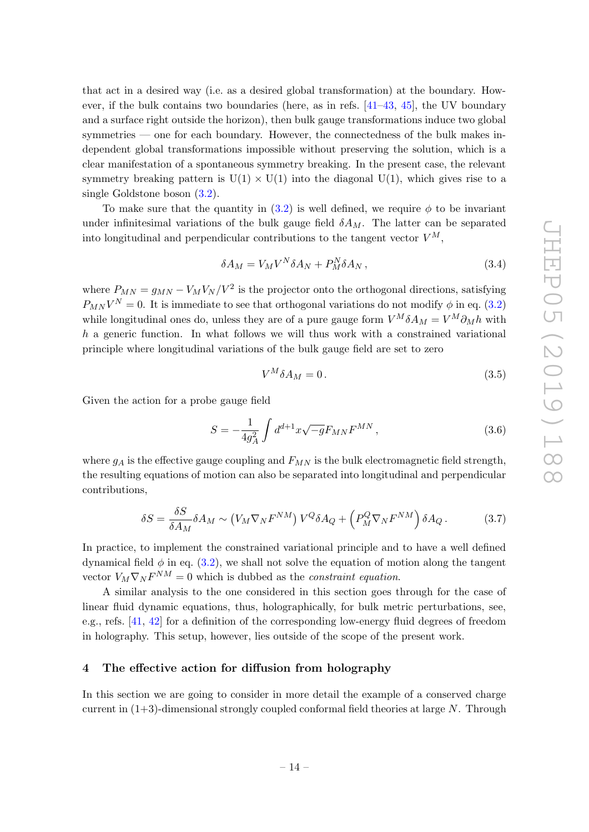that act in a desired way (i.e. as a desired global transformation) at the boundary. However, if the bulk contains two boundaries (here, as in refs. [\[41](#page-39-1)[–43,](#page-39-3) [45\]](#page-39-5), the UV boundary and a surface right outside the horizon), then bulk gauge transformations induce two global symmetries — one for each boundary. However, the connectedness of the bulk makes independent global transformations impossible without preserving the solution, which is a clear manifestation of a spontaneous symmetry breaking. In the present case, the relevant symmetry breaking pattern is  $U(1) \times U(1)$  into the diagonal  $U(1)$ , which gives rise to a single Goldstone boson [\(3.2\)](#page-14-0).

To make sure that the quantity in  $(3.2)$  is well defined, we require  $\phi$  to be invariant under infinitesimal variations of the bulk gauge field  $\delta A_M$ . The latter can be separated into longitudinal and perpendicular contributions to the tangent vector  $V^M$ ,

$$
\delta A_M = V_M V^N \delta A_N + P_M^N \delta A_N \,, \tag{3.4}
$$

where  $P_{MN} = g_{MN} - V_M V_N / V^2$  is the projector onto the orthogonal directions, satisfying  $P_{MN}V^N = 0$ . It is immediate to see that orthogonal variations do not modify  $\phi$  in eq. [\(3.2\)](#page-14-0) while longitudinal ones do, unless they are of a pure gauge form  $V^M \delta A_M = V^M \partial_M h$  with  $h$  a generic function. In what follows we will thus work with a constrained variational principle where longitudinal variations of the bulk gauge field are set to zero

$$
V^M \delta A_M = 0. \tag{3.5}
$$

Given the action for a probe gauge field

<span id="page-15-1"></span>
$$
S = -\frac{1}{4g_A^2} \int d^{d+1}x \sqrt{-g} F_{MN} F^{MN} , \qquad (3.6)
$$

where  $g_A$  is the effective gauge coupling and  $F_{MN}$  is the bulk electromagnetic field strength, the resulting equations of motion can also be separated into longitudinal and perpendicular contributions,

$$
\delta S = \frac{\delta S}{\delta A_M} \delta A_M \sim (V_M \nabla_N F^{NM}) V^Q \delta A_Q + \left( P_M^Q \nabla_N F^{NM} \right) \delta A_Q \,. \tag{3.7}
$$

In practice, to implement the constrained variational principle and to have a well defined dynamical field  $\phi$  in eq. [\(3.2\)](#page-14-0), we shall not solve the equation of motion along the tangent vector  $V_M \nabla_N F^{NM} = 0$  which is dubbed as the *constraint equation*.

A similar analysis to the one considered in this section goes through for the case of linear fluid dynamic equations, thus, holographically, for bulk metric perturbations, see, e.g., refs. [\[41,](#page-39-1) [42\]](#page-39-2) for a definition of the corresponding low-energy fluid degrees of freedom in holography. This setup, however, lies outside of the scope of the present work.

#### <span id="page-15-0"></span>4 The effective action for diffusion from holography

In this section we are going to consider in more detail the example of a conserved charge current in  $(1+3)$ -dimensional strongly coupled conformal field theories at large N. Through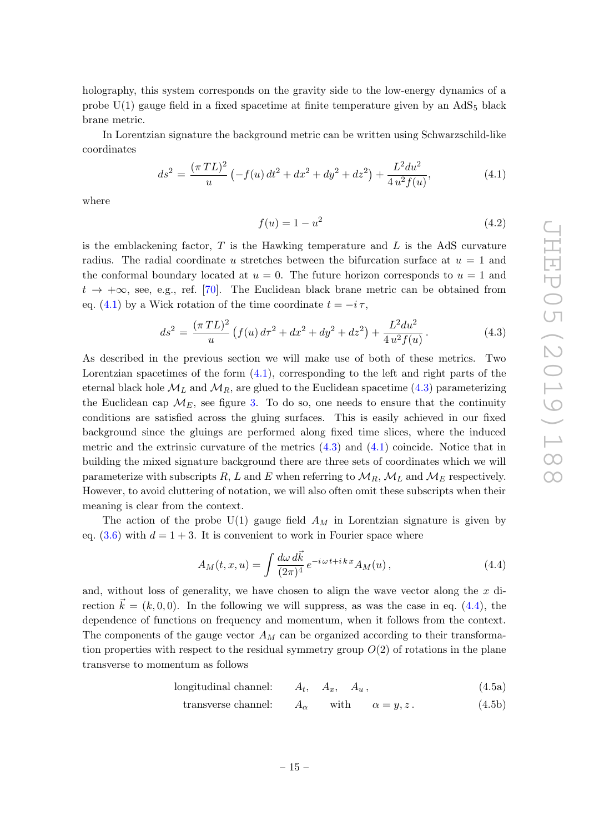holography, this system corresponds on the gravity side to the low-energy dynamics of a probe  $U(1)$  gauge field in a fixed spacetime at finite temperature given by an  $AdS_5$  black brane metric.

In Lorentzian signature the background metric can be written using Schwarzschild-like coordinates

<span id="page-16-0"></span>
$$
ds^{2} = \frac{(\pi TL)^{2}}{u} \left( -f(u) dt^{2} + dx^{2} + dy^{2} + dz^{2} \right) + \frac{L^{2} du^{2}}{4 u^{2} f(u)},
$$
\n(4.1)

where

$$
f(u) = 1 - u^2
$$
\n(4.2)

is the emblackening factor,  $T$  is the Hawking temperature and  $L$  is the AdS curvature radius. The radial coordinate u stretches between the bifurcation surface at  $u = 1$  and the conformal boundary located at  $u = 0$ . The future horizon corresponds to  $u = 1$  and  $t \to +\infty$ , see, e.g., ref. [\[70\]](#page-40-7). The Euclidean black brane metric can be obtained from eq. [\(4.1\)](#page-16-0) by a Wick rotation of the time coordinate  $t = -i \tau$ ,

<span id="page-16-1"></span>
$$
ds^{2} = \frac{(\pi TL)^{2}}{u} \left( f(u) d\tau^{2} + dx^{2} + dy^{2} + dz^{2} \right) + \frac{L^{2} du^{2}}{4 u^{2} f(u)}.
$$
 (4.3)

As described in the previous section we will make use of both of these metrics. Two Lorentzian spacetimes of the form  $(4.1)$ , corresponding to the left and right parts of the eternal black hole  $\mathcal{M}_L$  and  $\mathcal{M}_R$ , are glued to the Euclidean spacetime [\(4.3\)](#page-16-1) parameterizing the Euclidean cap  $\mathcal{M}_E$ , see figure [3.](#page-13-1) To do so, one needs to ensure that the continuity conditions are satisfied across the gluing surfaces. This is easily achieved in our fixed background since the gluings are performed along fixed time slices, where the induced metric and the extrinsic curvature of the metrics  $(4.3)$  and  $(4.1)$  coincide. Notice that in building the mixed signature background there are three sets of coordinates which we will parameterize with subscripts R, L and E when referring to  $\mathcal{M}_R$ ,  $\mathcal{M}_L$  and  $\mathcal{M}_E$  respectively. However, to avoid cluttering of notation, we will also often omit these subscripts when their meaning is clear from the context.

The action of the probe  $U(1)$  gauge field  $A_M$  in Lorentzian signature is given by eq.  $(3.6)$  with  $d = 1 + 3$ . It is convenient to work in Fourier space where

<span id="page-16-2"></span>
$$
A_M(t, x, u) = \int \frac{d\omega \, d\vec{k}}{(2\pi)^4} e^{-i\omega t + i\,k\,x} A_M(u) \,, \tag{4.4}
$$

and, without loss of generality, we have chosen to align the wave vector along the  $x$  direction  $\vec{k} = (k, 0, 0)$ . In the following we will suppress, as was the case in eq. [\(4.4\)](#page-16-2), the dependence of functions on frequency and momentum, when it follows from the context. The components of the gauge vector  $A_M$  can be organized according to their transformation properties with respect to the residual symmetry group  $O(2)$  of rotations in the plane transverse to momentum as follows

longitudinal channel: 
$$
A_t
$$
,  $A_x$ ,  $A_u$ , 
$$
(4.5a)
$$

<span id="page-16-3"></span>transverse channel: 
$$
A_{\alpha}
$$
 with  $\alpha = y, z$ . (4.5b)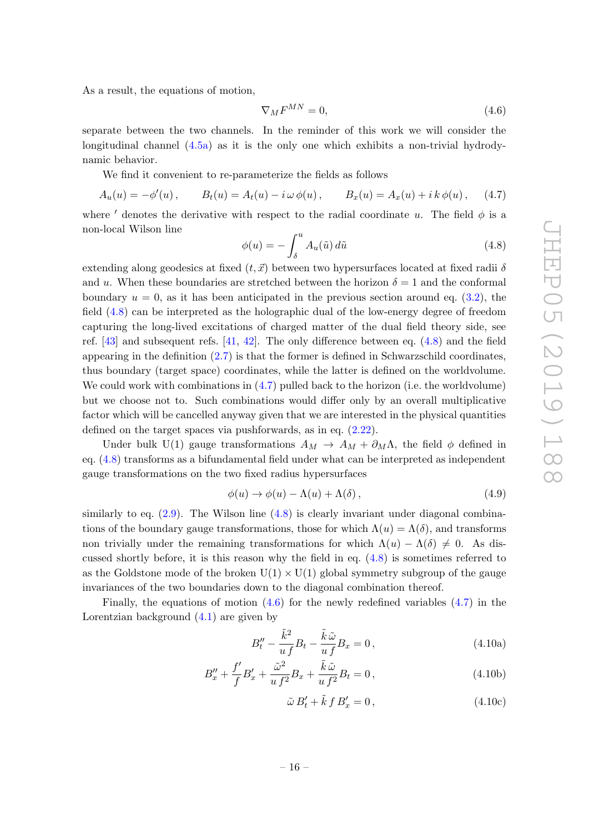As a result, the equations of motion,

<span id="page-17-2"></span>
$$
\nabla_M F^{MN} = 0,\t\t(4.6)
$$

separate between the two channels. In the reminder of this work we will consider the longitudinal channel [\(4.5a\)](#page-16-3) as it is the only one which exhibits a non-trivial hydrodynamic behavior.

We find it convenient to re-parameterize the fields as follows

<span id="page-17-1"></span>
$$
A_u(u) = -\phi'(u), \qquad B_t(u) = A_t(u) - i\,\omega\,\phi(u), \qquad B_x(u) = A_x(u) + i\,k\,\phi(u), \qquad (4.7)
$$

where ' denotes the derivative with respect to the radial coordinate u. The field  $\phi$  is a non-local Wilson line

<span id="page-17-0"></span>
$$
\phi(u) = -\int_{\delta}^{u} A_u(\tilde{u}) d\tilde{u}
$$
\n(4.8)

extending along geodesics at fixed  $(t, \vec{x})$  between two hypersurfaces located at fixed radii  $\delta$ and u. When these boundaries are stretched between the horizon  $\delta = 1$  and the conformal boundary  $u = 0$ , as it has been anticipated in the previous section around eq. [\(3.2\)](#page-14-0), the field [\(4.8\)](#page-17-0) can be interpreted as the holographic dual of the low-energy degree of freedom capturing the long-lived excitations of charged matter of the dual field theory side, see ref. [\[43\]](#page-39-3) and subsequent refs. [\[41,](#page-39-1) [42\]](#page-39-2). The only difference between eq. [\(4.8\)](#page-17-0) and the field appearing in the definition  $(2.7)$  is that the former is defined in Schwarzschild coordinates, thus boundary (target space) coordinates, while the latter is defined on the worldvolume. We could work with combinations in  $(4.7)$  pulled back to the horizon (i.e. the worldvolume) but we choose not to. Such combinations would differ only by an overall multiplicative factor which will be cancelled anyway given that we are interested in the physical quantities defined on the target spaces via pushforwards, as in eq. [\(2.22\)](#page-10-3).

Under bulk U(1) gauge transformations  $A_M \to A_M + \partial_M \Lambda$ , the field  $\phi$  defined in eq. [\(4.8\)](#page-17-0) transforms as a bifundamental field under what can be interpreted as independent gauge transformations on the two fixed radius hypersurfaces

$$
\phi(u) \to \phi(u) - \Lambda(u) + \Lambda(\delta), \tag{4.9}
$$

similarly to eq.  $(2.9)$ . The Wilson line  $(4.8)$  is clearly invariant under diagonal combinations of the boundary gauge transformations, those for which  $\Lambda(u) = \Lambda(\delta)$ , and transforms non trivially under the remaining transformations for which  $\Lambda(u) - \Lambda(\delta) \neq 0$ . As discussed shortly before, it is this reason why the field in eq. [\(4.8\)](#page-17-0) is sometimes referred to as the Goldstone mode of the broken  $U(1) \times U(1)$  global symmetry subgroup of the gauge invariances of the two boundaries down to the diagonal combination thereof.

Finally, the equations of motion  $(4.6)$  for the newly redefined variables  $(4.7)$  in the Lorentzian background [\(4.1\)](#page-16-0) are given by

$$
B''_t - \frac{\tilde{k}^2}{u f} B_t - \frac{\tilde{k}\,\tilde{\omega}}{u f} B_x = 0, \qquad (4.10a)
$$

$$
B''_x + \frac{f'}{f}B'_x + \frac{\tilde{\omega}^2}{u f^2}B_x + \frac{\tilde{k}\tilde{\omega}}{u f^2}B_t = 0, \qquad (4.10b)
$$

<span id="page-17-5"></span><span id="page-17-4"></span><span id="page-17-3"></span>
$$
\tilde{\omega} B_t' + \tilde{k} f B_x' = 0, \qquad (4.10c)
$$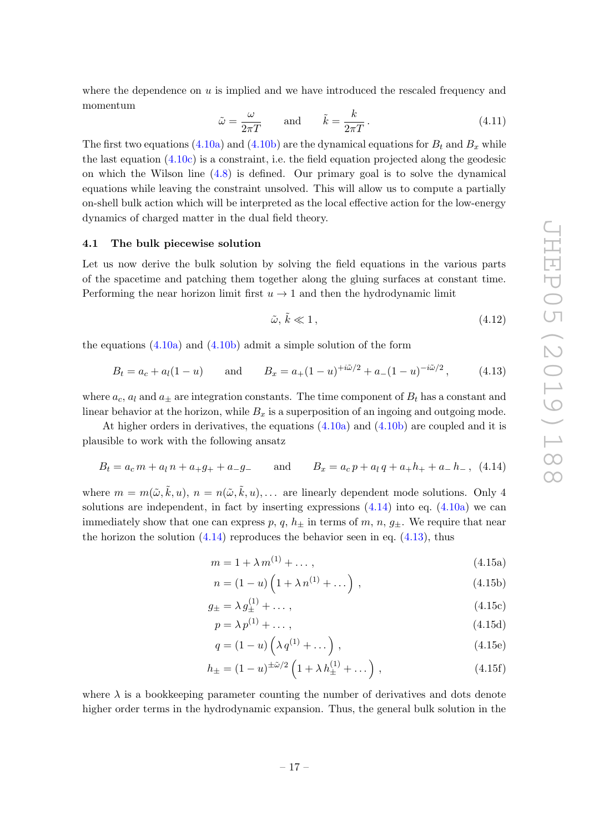where the dependence on  $u$  is implied and we have introduced the rescaled frequency and momentum

$$
\tilde{\omega} = \frac{\omega}{2\pi T} \quad \text{and} \quad \tilde{k} = \frac{k}{2\pi T} \,. \tag{4.11}
$$

The first two equations [\(4.10a\)](#page-17-3) and [\(4.10b\)](#page-17-4) are the dynamical equations for  $B_t$  and  $B_x$  while the last equation [\(4.10c\)](#page-17-5) is a constraint, i.e. the field equation projected along the geodesic on which the Wilson line  $(4.8)$  is defined. Our primary goal is to solve the dynamical equations while leaving the constraint unsolved. This will allow us to compute a partially on-shell bulk action which will be interpreted as the local effective action for the low-energy dynamics of charged matter in the dual field theory.

# <span id="page-18-0"></span>4.1 The bulk piecewise solution

Let us now derive the bulk solution by solving the field equations in the various parts of the spacetime and patching them together along the gluing surfaces at constant time. Performing the near horizon limit first  $u \to 1$  and then the hydrodynamic limit

$$
\tilde{\omega}, \tilde{k} \ll 1, \tag{4.12}
$$

the equations  $(4.10a)$  and  $(4.10b)$  admit a simple solution of the form

<span id="page-18-2"></span>
$$
B_t = a_c + a_l(1-u) \qquad \text{and} \qquad B_x = a_+(1-u)^{+i\tilde{\omega}/2} + a_-(1-u)^{-i\tilde{\omega}/2}, \tag{4.13}
$$

where  $a_c$ ,  $a_l$  and  $a_{\pm}$  are integration constants. The time component of  $B_t$  has a constant and linear behavior at the horizon, while  $B_x$  is a superposition of an ingoing and outgoing mode.

At higher orders in derivatives, the equations [\(4.10a\)](#page-17-3) and [\(4.10b\)](#page-17-4) are coupled and it is plausible to work with the following ansatz

<span id="page-18-1"></span>
$$
B_t = a_c m + a_l n + a_+ g_+ + a_- g_- \quad \text{and} \quad B_x = a_c p + a_l q + a_+ h_+ + a_- h_- , \tag{4.14}
$$

where  $m = m(\tilde{\omega}, \tilde{k}, u), n = n(\tilde{\omega}, \tilde{k}, u), \ldots$  are linearly dependent mode solutions. Only 4 solutions are independent, in fact by inserting expressions  $(4.14)$  into eq.  $(4.10a)$  we can immediately show that one can express p, q,  $h_{\pm}$  in terms of m, n,  $g_{\pm}$ . We require that near the horizon the solution  $(4.14)$  reproduces the behavior seen in eq.  $(4.13)$ , thus

$$
m = 1 + \lambda m^{(1)} + \dots, \tag{4.15a}
$$

<span id="page-18-3"></span>
$$
n = (1 - u) \left( 1 + \lambda n^{(1)} + \dots \right) , \qquad (4.15b)
$$

$$
g_{\pm} = \lambda \, g_{\pm}^{(1)} + \dots \,, \tag{4.15c}
$$

$$
p = \lambda p^{(1)} + \dots \,, \tag{4.15d}
$$

$$
q = (1 - u) \left( \lambda q^{(1)} + \dots \right) , \qquad (4.15e)
$$

$$
h_{\pm} = (1 - u)^{\pm \tilde{\omega}/2} \left( 1 + \lambda \, h_{\pm}^{(1)} + \dots \right) , \tag{4.15f}
$$

where  $\lambda$  is a bookkeeping parameter counting the number of derivatives and dots denote higher order terms in the hydrodynamic expansion. Thus, the general bulk solution in the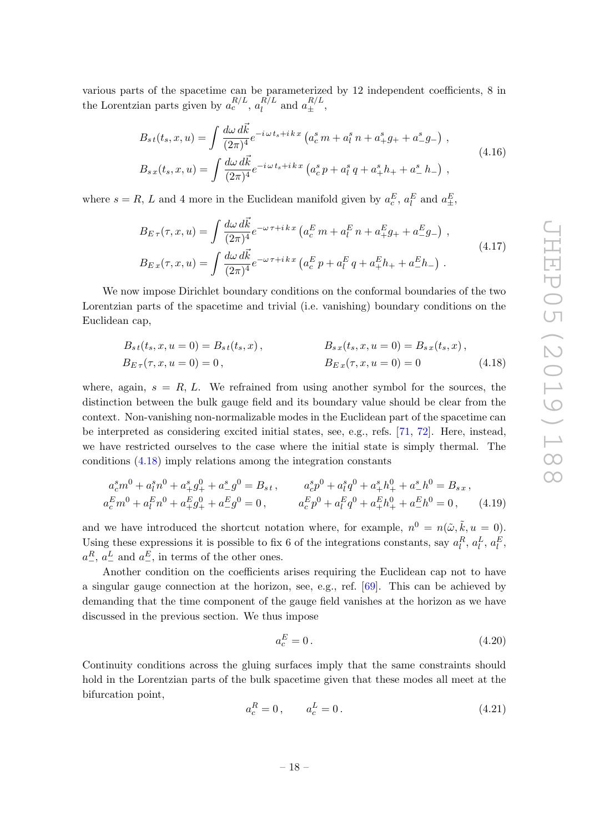various parts of the spacetime can be parameterized by 12 independent coefficients, 8 in the Lorentzian parts given by  $a_c^{R/L}$ ,  $a_l^{R/L}$  $l_l^{R/L}$  and  $a_{\pm}^{R/L}$ ,

$$
B_{st}(t_s, x, u) = \int \frac{d\omega \, d\vec{k}}{(2\pi)^4} e^{-i\omega t_s + i\,k\,x} \left( a_c^s \, m + a_l^s \, n + a_+^s g_+ + a_-^s g_- \right) \,,
$$
\n
$$
B_{s\,x}(t_s, x, u) = \int \frac{d\omega \, d\vec{k}}{(2\pi)^4} e^{-i\,\omega \, t_s + i\,k\,x} \left( a_c^s \, p + a_l^s \, q + a_+^s h_+ + a_-^s h_- \right) \,,
$$
\n
$$
(4.16)
$$

where  $s = R$ , L and 4 more in the Euclidean manifold given by  $a_c^E$ ,  $a_l^E$  and  $a_{\pm}^E$ ,

$$
B_{E\tau}(\tau, x, u) = \int \frac{d\omega \, d\vec{k}}{(2\pi)^4} e^{-\omega \, \tau + i \, k \, x} \left( a_c^E \, m + a_l^E \, n + a_\tau^E g_+ + a_\tau^E g_- \right) \,,
$$
\n
$$
B_{E\,x}(\tau, x, u) = \int \frac{d\omega \, d\vec{k}}{(2\pi)^4} e^{-\omega \, \tau + i \, k \, x} \left( a_c^E \, p + a_l^E \, q + a_\tau^E h_+ + a_\tau^E h_- \right) \,. \tag{4.17}
$$

We now impose Dirichlet boundary conditions on the conformal boundaries of the two Lorentzian parts of the spacetime and trivial (i.e. vanishing) boundary conditions on the Euclidean cap,

$$
B_{st}(t_s, x, u = 0) = B_{st}(t_s, x),
$$
  
\n
$$
B_{sx}(t_s, x, u = 0) = B_{sx}(t_s, x),
$$
  
\n
$$
B_{Ex}(\tau, x, u = 0) = 0
$$
  
\n
$$
B_{Ex}(\tau, x, u = 0) = 0
$$
  
\n(4.18)

where, again,  $s = R, L$ . We refrained from using another symbol for the sources, the distinction between the bulk gauge field and its boundary value should be clear from the context. Non-vanishing non-normalizable modes in the Euclidean part of the spacetime can be interpreted as considering excited initial states, see, e.g., refs. [\[71,](#page-40-8) [72\]](#page-40-9). Here, instead, we have restricted ourselves to the case where the initial state is simply thermal. The conditions [\(4.18\)](#page-19-0) imply relations among the integration constants

$$
a_c^s m^0 + a_l^s n^0 + a_+^s g_+^0 + a_-^s g_-^0 = B_{s,t}, \t a_c^s p^0 + a_l^s q^0 + a_+^s h_+^0 + a_-^s h_-^0 = B_{s,x},
$$
  
\n
$$
a_c^E m^0 + a_l^E n^0 + a_+^E g_+^0 + a_-^E g_-^0 = 0, \t a_c^E p^0 + a_l^E q^0 + a_+^E h_+^0 + a_-^E h_-^0 = 0,
$$
\n(4.19)

and we have introduced the shortcut notation where, for example,  $n^0 = n(\tilde{\omega}, \tilde{k}, u = 0)$ . Using these expressions it is possible to fix 6 of the integrations constants, say  $a_l^R$ ,  $a_l^L$ ,  $a_l^E$ ,  $a_-^R$ ,  $a_-^L$  and  $a_-^E$ , in terms of the other ones.

Another condition on the coefficients arises requiring the Euclidean cap not to have a singular gauge connection at the horizon, see, e.g., ref. [\[69\]](#page-40-6). This can be achieved by demanding that the time component of the gauge field vanishes at the horizon as we have discussed in the previous section. We thus impose

<span id="page-19-2"></span><span id="page-19-1"></span><span id="page-19-0"></span>
$$
a_c^E = 0.\t\t(4.20)
$$

Continuity conditions across the gluing surfaces imply that the same constraints should hold in the Lorentzian parts of the bulk spacetime given that these modes all meet at the bifurcation point,

<span id="page-19-3"></span>
$$
a_c^R = 0, \qquad a_c^L = 0. \tag{4.21}
$$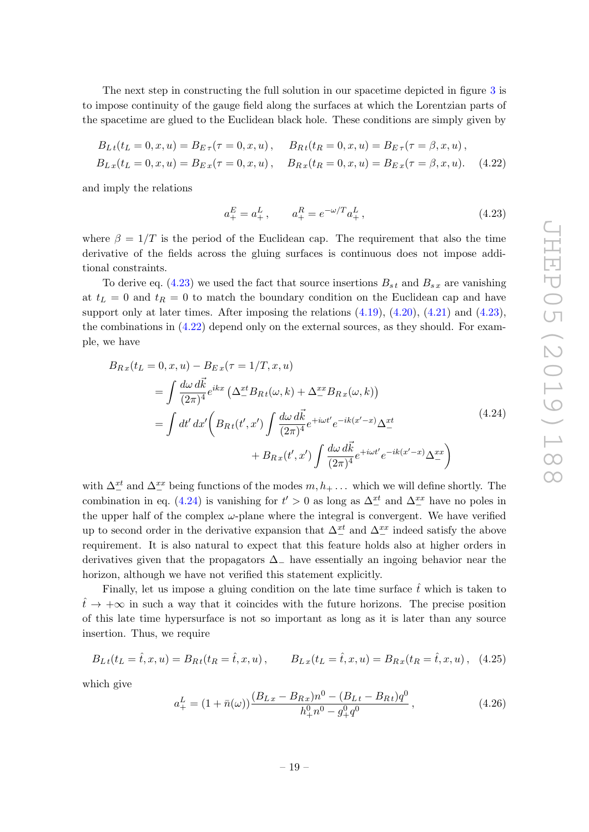The next step in constructing the full solution in our spacetime depicted in figure [3](#page-13-1) is to impose continuity of the gauge field along the surfaces at which the Lorentzian parts of the spacetime are glued to the Euclidean black hole. These conditions are simply given by

$$
B_{Lt}(t_L = 0, x, u) = B_{E\tau}(\tau = 0, x, u), \qquad B_{Rt}(t_R = 0, x, u) = B_{E\tau}(\tau = \beta, x, u),
$$
  
\n
$$
B_{Lx}(t_L = 0, x, u) = B_{Ex}(\tau = 0, x, u), \qquad B_{Rx}(t_R = 0, x, u) = B_{Ex}(\tau = \beta, x, u).
$$
 (4.22)

and imply the relations

<span id="page-20-2"></span><span id="page-20-1"></span><span id="page-20-0"></span>
$$
a_+^E = a_+^L, \qquad a_+^R = e^{-\omega/T} a_+^L, \tag{4.23}
$$

where  $\beta = 1/T$  is the period of the Euclidean cap. The requirement that also the time derivative of the fields across the gluing surfaces is continuous does not impose additional constraints.

To derive eq.  $(4.23)$  we used the fact that source insertions  $B_{st}$  and  $B_{sx}$  are vanishing at  $t_L = 0$  and  $t_R = 0$  to match the boundary condition on the Euclidean cap and have support only at later times. After imposing the relations  $(4.19)$ ,  $(4.20)$ ,  $(4.21)$  and  $(4.23)$ , the combinations in [\(4.22\)](#page-20-1) depend only on the external sources, as they should. For example, we have

$$
B_{Rx}(t_L = 0, x, u) - B_{Ex}(\tau = 1/T, x, u)
$$
  
\n
$$
= \int \frac{d\omega \, d\vec{k}}{(2\pi)^4} e^{ikx} \left(\Delta_-^{xt} B_{Rt}(\omega, k) + \Delta_-^{xx} B_{Rx}(\omega, k)\right)
$$
  
\n
$$
= \int dt' \, dx' \left(B_{Rt}(t', x') \int \frac{d\omega \, d\vec{k}}{(2\pi)^4} e^{+i\omega t'} e^{-ik(x'-x)} \Delta_-^{xt} + B_{Rx}(t', x') \int \frac{d\omega \, d\vec{k}}{(2\pi)^4} e^{+i\omega t'} e^{-ik(x'-x)} \Delta_-^{xx}\right)
$$
\n(4.24)

with  $\Delta^{xt}_{-}$  and  $\Delta^{xx}_{-}$  being functions of the modes  $m, h_+ \dots$  which we will define shortly. The combination in eq. [\(4.24\)](#page-20-2) is vanishing for  $t' > 0$  as long as  $\Delta^{xt}_{-}$  and  $\Delta^{xx}_{-}$  have no poles in the upper half of the complex  $\omega$ -plane where the integral is convergent. We have verified up to second order in the derivative expansion that  $\Delta_{-}^{xt}$  and  $\Delta_{-}^{xx}$  indeed satisfy the above requirement. It is also natural to expect that this feature holds also at higher orders in derivatives given that the propagators  $\Delta$ <sub>−</sub> have essentially an ingoing behavior near the horizon, although we have not verified this statement explicitly.

Finally, let us impose a gluing condition on the late time surface  $\hat{t}$  which is taken to  $t̄ \rightarrow +\infty$  in such a way that it coincides with the future horizons. The precise position of this late time hypersurface is not so important as long as it is later than any source insertion. Thus, we require

<span id="page-20-4"></span>
$$
B_{Lt}(t_L = \hat{t}, x, u) = B_{Rt}(t_R = \hat{t}, x, u), \qquad B_{Lx}(t_L = \hat{t}, x, u) = B_{Rx}(t_R = \hat{t}, x, u), \quad (4.25)
$$

which give

<span id="page-20-3"></span>
$$
a_{+}^{L} = (1 + \bar{n}(\omega)) \frac{(B_{Lx} - B_{Rx})n^{0} - (B_{Lt} - B_{Rt})q^{0}}{h_{+}^{0}n^{0} - g_{+}^{0}q^{0}},
$$
\n(4.26)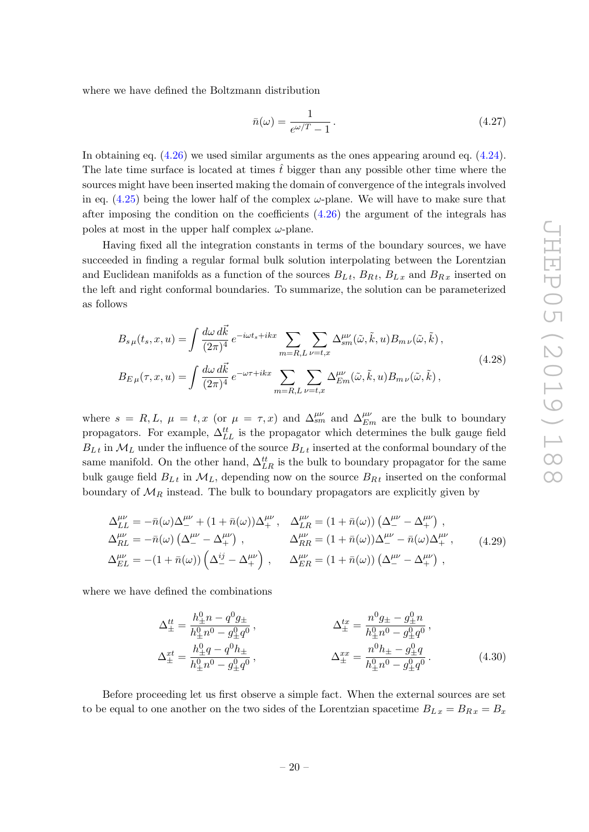where we have defined the Boltzmann distribution

<span id="page-21-0"></span>
$$
\bar{n}(\omega) = \frac{1}{e^{\omega/T} - 1} \,. \tag{4.27}
$$

In obtaining eq. [\(4.26\)](#page-20-3) we used similar arguments as the ones appearing around eq. [\(4.24\)](#page-20-2). The late time surface is located at times  $\hat{t}$  bigger than any possible other time where the sources might have been inserted making the domain of convergence of the integrals involved in eq.  $(4.25)$  being the lower half of the complex  $\omega$ -plane. We will have to make sure that after imposing the condition on the coefficients  $(4.26)$  the argument of the integrals has poles at most in the upper half complex  $\omega$ -plane.

Having fixed all the integration constants in terms of the boundary sources, we have succeeded in finding a regular formal bulk solution interpolating between the Lorentzian and Euclidean manifolds as a function of the sources  $B_{L t}$ ,  $B_{R t}$ ,  $B_{L x}$  and  $B_{R x}$  inserted on the left and right conformal boundaries. To summarize, the solution can be parameterized as follows

$$
B_{s\,\mu}(t_s, x, u) = \int \frac{d\omega \, d\vec{k}}{(2\pi)^4} e^{-i\omega t_s + ikx} \sum_{m=R,L} \sum_{\nu=t,x} \Delta_{sm}^{\mu\nu}(\tilde{\omega}, \tilde{k}, u) B_{m\,\nu}(\tilde{\omega}, \tilde{k}),
$$
  

$$
B_{E\,\mu}(\tau, x, u) = \int \frac{d\omega \, d\vec{k}}{(2\pi)^4} e^{-\omega \tau + ikx} \sum_{m=R,L} \sum_{\nu=t,x} \Delta_{Em}^{\mu\nu}(\tilde{\omega}, \tilde{k}, u) B_{m\,\nu}(\tilde{\omega}, \tilde{k}),
$$
(4.28)

where  $s = R, L, \mu = t, x$  (or  $\mu = \tau, x$ ) and  $\Delta_{sm}^{\mu\nu}$  and  $\Delta_{Em}^{\mu\nu}$  are the bulk to boundary propagators. For example,  $\Delta_{LL}^{tt}$  is the propagator which determines the bulk gauge field  $B_{L t}$  in  $\mathcal{M}_{L}$  under the influence of the source  $B_{L t}$  inserted at the conformal boundary of the same manifold. On the other hand,  $\Delta_{LR}^{tt}$  is the bulk to boundary propagator for the same bulk gauge field  $B_{L t}$  in  $\mathcal{M}_L$ , depending now on the source  $B_{R t}$  inserted on the conformal boundary of  $\mathcal{M}_R$  instead. The bulk to boundary propagators are explicitly given by

$$
\Delta_{LL}^{\mu\nu} = -\bar{n}(\omega)\Delta_{-}^{\mu\nu} + (1 + \bar{n}(\omega))\Delta_{+}^{\mu\nu}, \quad \Delta_{LR}^{\mu\nu} = (1 + \bar{n}(\omega))\left(\Delta_{-}^{\mu\nu} - \Delta_{+}^{\mu\nu}\right),
$$
  
\n
$$
\Delta_{RL}^{\mu\nu} = -\bar{n}(\omega)\left(\Delta_{-}^{\mu\nu} - \Delta_{+}^{\mu\nu}\right), \qquad \Delta_{RR}^{\mu\nu} = (1 + \bar{n}(\omega))\Delta_{-}^{\mu\nu} - \bar{n}(\omega)\Delta_{+}^{\mu\nu}, \qquad (4.29)
$$
  
\n
$$
\Delta_{EL}^{\mu\nu} = -(1 + \bar{n}(\omega))\left(\Delta_{-}^{\mu\nu} - \Delta_{+}^{\mu\nu}\right), \qquad \Delta_{ER}^{\mu\nu} = (1 + \bar{n}(\omega))\left(\Delta_{-}^{\mu\nu} - \Delta_{+}^{\mu\nu}\right),
$$

where we have defined the combinations

<span id="page-21-1"></span>
$$
\Delta_{\pm}^{tt} = \frac{h_{\pm}^0 n - q^0 g_{\pm}}{h_{\pm}^0 n^0 - g_{\pm}^0 q^0},
$$
\n
$$
\Delta_{\pm}^{tx} = \frac{n^0 g_{\pm} - g_{\pm}^0 n}{h_{\pm}^0 n^0 - g_{\pm}^0 q^0},
$$
\n
$$
\Delta_{\pm}^{xt} = \frac{h_{\pm}^0 q - q^0 h_{\pm}}{h_{\pm}^0 n^0 - g_{\pm}^0 q^0},
$$
\n
$$
\Delta_{\pm}^{xx} = \frac{n^0 h_{\pm} - g_{\pm}^0 q}{h_{\pm}^0 n^0 - g_{\pm}^0 q^0}.
$$
\n(4.30)

Before proceeding let us first observe a simple fact. When the external sources are set to be equal to one another on the two sides of the Lorentzian spacetime  $B_{Lx} = B_{Rx} = B_x$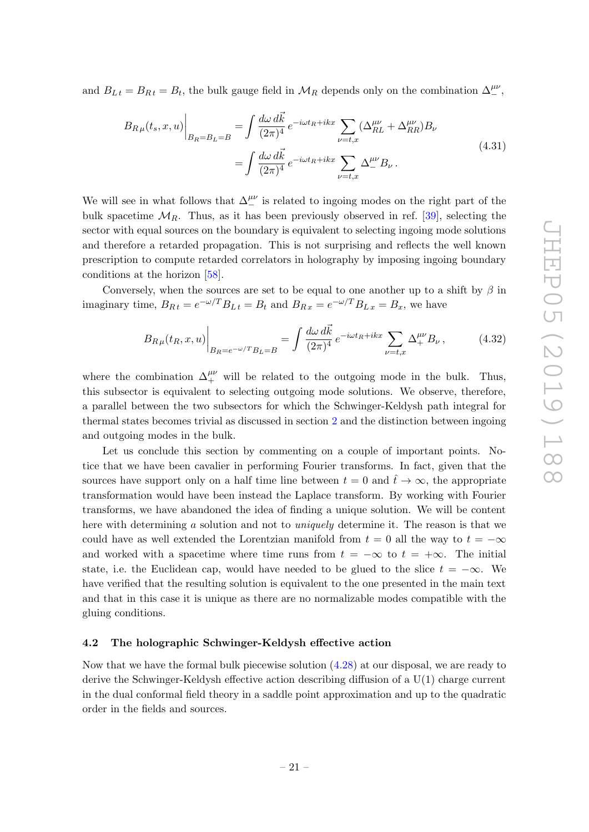and  $B_{Lt} = B_{Rt} = B_t$ , the bulk gauge field in  $\mathcal{M}_R$  depends only on the combination  $\Delta^{\mu\nu}_{-}$ ,

$$
B_{R\,\mu}(t_s, x, u)\Big|_{B_R=B_L=B} = \int \frac{d\omega \, d\vec{k}}{(2\pi)^4} e^{-i\omega t_R + i kx} \sum_{\nu=t,x} (\Delta_{RL}^{\mu\nu} + \Delta_{RR}^{\mu\nu}) B_{\nu}
$$
  

$$
= \int \frac{d\omega \, d\vec{k}}{(2\pi)^4} e^{-i\omega t_R + i kx} \sum_{\nu=t,x} \Delta_{\mu\nu}^{\mu\nu} B_{\nu} . \tag{4.31}
$$

We will see in what follows that  $\Delta^{\mu\nu}_{-}$  is related to ingoing modes on the right part of the bulk spacetime  $\mathcal{M}_R$ . Thus, as it has been previously observed in ref. [\[39\]](#page-38-12), selecting the sector with equal sources on the boundary is equivalent to selecting ingoing mode solutions and therefore a retarded propagation. This is not surprising and reflects the well known prescription to compute retarded correlators in holography by imposing ingoing boundary conditions at the horizon [\[58\]](#page-39-15).

Conversely, when the sources are set to be equal to one another up to a shift by  $\beta$  in imaginary time,  $B_{Rt} = e^{-\omega/T} B_{Lt} = B_t$  and  $B_{Rx} = e^{-\omega/T} B_{Lx} = B_x$ , we have

$$
B_{R\,\mu}(t_R, x, u)\Big|_{B_R = e^{-\omega/T} B_L = B} = \int \frac{d\omega \, d\vec{k}}{(2\pi)^4} e^{-i\omega t_R + i k x} \sum_{\nu = t, x} \Delta^{\mu\nu}_+ B_\nu \,, \tag{4.32}
$$

where the combination  $\Delta_+^{\mu\nu}$  will be related to the outgoing mode in the bulk. Thus, this subsector is equivalent to selecting outgoing mode solutions. We observe, therefore, a parallel between the two subsectors for which the Schwinger-Keldysh path integral for thermal states becomes trivial as discussed in section [2](#page-5-0) and the distinction between ingoing and outgoing modes in the bulk.

Let us conclude this section by commenting on a couple of important points. Notice that we have been cavalier in performing Fourier transforms. In fact, given that the sources have support only on a half time line between  $t = 0$  and  $\hat{t} \to \infty$ , the appropriate transformation would have been instead the Laplace transform. By working with Fourier transforms, we have abandoned the idea of finding a unique solution. We will be content here with determining a solution and not to *uniquely* determine it. The reason is that we could have as well extended the Lorentzian manifold from  $t = 0$  all the way to  $t = -\infty$ and worked with a spacetime where time runs from  $t = -\infty$  to  $t = +\infty$ . The initial state, i.e. the Euclidean cap, would have needed to be glued to the slice  $t = -\infty$ . We have verified that the resulting solution is equivalent to the one presented in the main text and that in this case it is unique as there are no normalizable modes compatible with the gluing conditions.

#### <span id="page-22-0"></span>4.2 The holographic Schwinger-Keldysh effective action

Now that we have the formal bulk piecewise solution [\(4.28\)](#page-21-0) at our disposal, we are ready to derive the Schwinger-Keldysh effective action describing diffusion of a U(1) charge current in the dual conformal field theory in a saddle point approximation and up to the quadratic order in the fields and sources.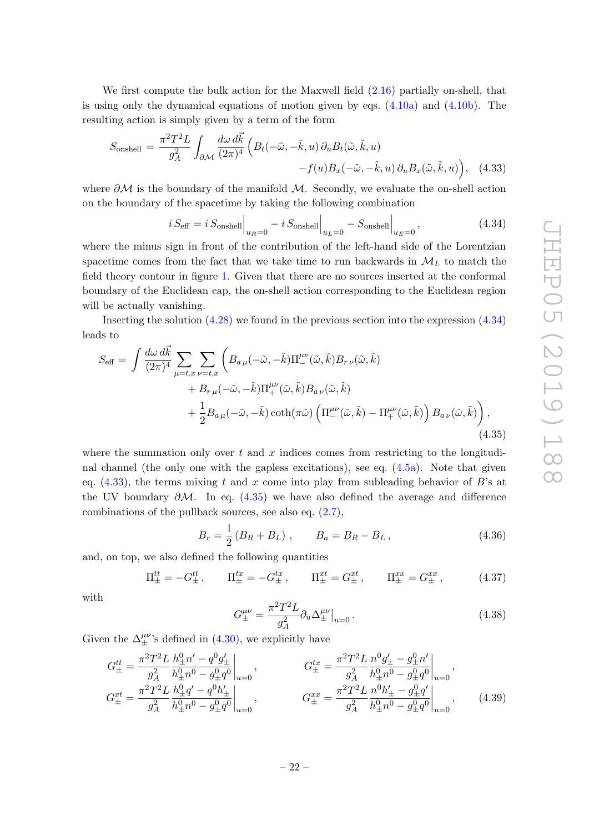We first compute the bulk action for the Maxwell field [\(2.16\)](#page-9-0) partially on-shell, that is using only the dynamical equations of motion given by eqs.  $(4.10a)$  and  $(4.10b)$ . The resulting action is simply given by a term of the form

<span id="page-23-1"></span>
$$
S_{\text{onshell}} = \frac{\pi^2 T^2 L}{g_A^2} \int_{\partial \mathcal{M}} \frac{d\omega \, d\vec{k}}{(2\pi)^4} \left( B_t(-\tilde{\omega}, -\tilde{k}, u) \, \partial_u B_t(\tilde{\omega}, \tilde{k}, u) - f(u) B_x(-\tilde{\omega}, -\tilde{k}, u) \, \partial_u B_x(\tilde{\omega}, \tilde{k}, u) \right), \quad (4.33)
$$

where  $\partial M$  is the boundary of the manifold M. Secondly, we evaluate the on-shell action on the boundary of the spacetime by taking the following combination

<span id="page-23-0"></span>
$$
i S_{\text{eff}} = i S_{\text{onshell}} \Big|_{u_R = 0} - i S_{\text{onshell}} \Big|_{u_L = 0} - S_{\text{onshell}} \Big|_{u_E = 0}, \tag{4.34}
$$

where the minus sign in front of the contribution of the left-hand side of the Lorentzian spacetime comes from the fact that we take time to run backwards in  $\mathcal{M}_L$  to match the field theory contour in figure [1.](#page-6-0) Given that there are no sources inserted at the conformal boundary of the Euclidean cap, the on-shell action corresponding to the Euclidean region will be actually vanishing.

Inserting the solution [\(4.28\)](#page-21-0) we found in the previous section into the expression [\(4.34\)](#page-23-0) leads to

$$
S_{\text{eff}} = \int \frac{d\omega \, d\vec{k}}{(2\pi)^4} \sum_{\mu=t,x} \sum_{\nu=t,x} \left( B_{a\,\mu}(-\tilde{\omega}, -\tilde{k}) \Pi_{-}^{\mu\nu}(\tilde{\omega}, \tilde{k}) B_{r\,\nu}(\tilde{\omega}, \tilde{k}) + B_{r\,\mu}(-\tilde{\omega}, -\tilde{k}) \Pi_{+}^{\mu\nu}(\tilde{\omega}, \tilde{k}) B_{a\,\nu}(\tilde{\omega}, \tilde{k}) + \frac{1}{2} B_{a\,\mu}(-\tilde{\omega}, -\tilde{k}) \coth(\pi\tilde{\omega}) \left( \Pi_{-}^{\mu\nu}(\tilde{\omega}, \tilde{k}) - \Pi_{+}^{\mu\nu}(\tilde{\omega}, \tilde{k}) \right) B_{a\,\nu}(\tilde{\omega}, \tilde{k}) \right),
$$
\n(4.35)

where the summation only over  $t$  and  $x$  indices comes from restricting to the longitudinal channel (the only one with the gapless excitations), see eq. [\(4.5a\)](#page-16-3). Note that given eq.  $(4.33)$ , the terms mixing t and x come into play from subleading behavior of B's at the UV boundary  $\partial M$ . In eq. [\(4.35\)](#page-23-2) we have also defined the average and difference combinations of the pullback sources, see also eq. [\(2.7\)](#page-7-0),

<span id="page-23-2"></span>
$$
B_r = \frac{1}{2} (B_R + B_L) , \qquad B_a = B_R - B_L , \qquad (4.36)
$$

and, on top, we also defined the following quantities

<span id="page-23-4"></span>
$$
\Pi_{\pm}^{tt} = -G_{\pm}^{tt}, \qquad \Pi_{\pm}^{tx} = -G_{\pm}^{tx}, \qquad \Pi_{\pm}^{xt} = G_{\pm}^{xt}, \qquad \Pi_{\pm}^{xx} = G_{\pm}^{xx}, \tag{4.37}
$$

with

<span id="page-23-3"></span>
$$
G_{\pm}^{\mu\nu} = \frac{\pi^2 T^2 L}{g_A^2} \partial_u \Delta_{\pm}^{\mu\nu} \Big|_{u=0} \,. \tag{4.38}
$$

Given the  $\Delta^{\mu\nu}_{\pm}$ 's defined in [\(4.30\)](#page-21-1), we explicitly have

$$
G_{\pm}^{tt} = \frac{\pi^2 T^2 L}{g_A^2} \frac{h_{\pm}^0 n' - q^0 g_{\pm}'}{h_{\pm}^0 n^0 - g_{\pm}^0 q^0} \Big|_{u=0}, \qquad G_{\pm}^{tx} = \frac{\pi^2 T^2 L}{g_A^2} \frac{n^0 g_{\pm}' - g_{\pm}^0 n'}{h_{\pm}^0 n^0 - g_{\pm}^0 q^0} \Big|_{u=0},
$$
  
\n
$$
G_{\pm}^{xt} = \frac{\pi^2 T^2 L}{g_A^2} \frac{h_{\pm}^0 q' - q^0 h_{\pm}'}{h_{\pm}^0 n^0 - g_{\pm}^0 q^0} \Big|_{u=0}, \qquad G_{\pm}^{xx} = \frac{\pi^2 T^2 L}{g_A^2} \frac{n^0 h_{\pm}' - g_{\pm}^0 q'}{h_{\pm}^0 n^0 - g_{\pm}^0 q^0} \Big|_{u=0}, \qquad (4.39)
$$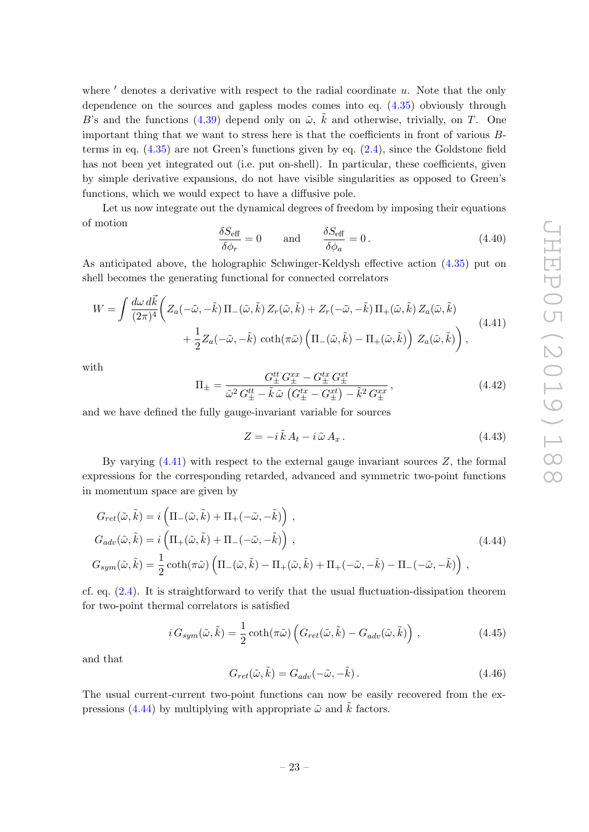where  $\prime$  denotes a derivative with respect to the radial coordinate u. Note that the only dependence on the sources and gapless modes comes into eq. [\(4.35\)](#page-23-2) obviously through B's and the functions [\(4.39\)](#page-23-3) depend only on  $\tilde{\omega}$ ,  $\tilde{k}$  and otherwise, trivially, on T. One important thing that we want to stress here is that the coefficients in front of various Bterms in eq.  $(4.35)$  are not Green's functions given by eq.  $(2.4)$ , since the Goldstone field has not been yet integrated out (i.e. put on-shell). In particular, these coefficients, given by simple derivative expansions, do not have visible singularities as opposed to Green's functions, which we would expect to have a diffusive pole.

Let us now integrate out the dynamical degrees of freedom by imposing their equations of motion

$$
\frac{\delta S_{\text{eff}}}{\delta \phi_r} = 0 \quad \text{and} \quad \frac{\delta S_{\text{eff}}}{\delta \phi_a} = 0. \tag{4.40}
$$

As anticipated above, the holographic Schwinger-Keldysh effective action [\(4.35\)](#page-23-2) put on shell becomes the generating functional for connected correlators

$$
W = \int \frac{d\omega \, d\vec{k}}{(2\pi)^4} \left( Z_a(-\tilde{\omega}, -\tilde{k}) \, \Pi_-(\tilde{\omega}, \tilde{k}) \, Z_r(\tilde{\omega}, \tilde{k}) + Z_r(-\tilde{\omega}, -\tilde{k}) \, \Pi_+(\tilde{\omega}, \tilde{k}) \, Z_a(\tilde{\omega}, \tilde{k}) \right. \\
\left. + \frac{1}{2} Z_a(-\tilde{\omega}, -\tilde{k}) \, \coth(\pi\tilde{\omega}) \left( \Pi_-(\tilde{\omega}, \tilde{k}) - \Pi_+(\tilde{\omega}, \tilde{k}) \right) \, Z_a(\tilde{\omega}, \tilde{k}) \right),
$$
\n(4.41)

with

$$
\Pi_{\pm} = \frac{G_{\pm}^{tt} G_{\pm}^{xx} - G_{\pm}^{tx} G_{\pm}^{xt}}{\tilde{\omega}^2 G_{\pm}^{tt} - \tilde{k}\tilde{\omega} \left(G_{\pm}^{tx} - G_{\pm}^{xt}\right) - \tilde{k}^2 G_{\pm}^{xx}},\tag{4.42}
$$

and we have defined the fully gauge-invariant variable for sources

<span id="page-24-1"></span><span id="page-24-0"></span>
$$
Z = -i\,\tilde{k}\,A_t - i\,\tilde{\omega}\,A_x\,. \tag{4.43}
$$

By varying  $(4.41)$  with respect to the external gauge invariant sources Z, the formal expressions for the corresponding retarded, advanced and symmetric two-point functions in momentum space are given by

$$
G_{ret}(\tilde{\omega}, \tilde{k}) = i \left( \Pi_{-}(\tilde{\omega}, \tilde{k}) + \Pi_{+}(-\tilde{\omega}, -\tilde{k}) \right),
$$
  
\n
$$
G_{adv}(\tilde{\omega}, \tilde{k}) = i \left( \Pi_{+}(\tilde{\omega}, \tilde{k}) + \Pi_{-}(-\tilde{\omega}, -\tilde{k}) \right),
$$
  
\n
$$
G_{sym}(\tilde{\omega}, \tilde{k}) = \frac{1}{2} \coth(\pi \tilde{\omega}) \left( \Pi_{-}(\tilde{\omega}, \tilde{k}) - \Pi_{+}(\tilde{\omega}, \tilde{k}) + \Pi_{+}(-\tilde{\omega}, -\tilde{k}) - \Pi_{-}(-\tilde{\omega}, -\tilde{k}) \right),
$$
\n(4.44)

cf. eq. [\(2.4\)](#page-6-2). It is straightforward to verify that the usual fluctuation-dissipation theorem for two-point thermal correlators is satisfied

$$
i G_{sym}(\tilde{\omega}, \tilde{k}) = \frac{1}{2} \coth(\pi \tilde{\omega}) \left( G_{ret}(\tilde{\omega}, \tilde{k}) - G_{adv}(\tilde{\omega}, \tilde{k}) \right), \qquad (4.45)
$$

and that

$$
G_{ret}(\tilde{\omega}, \tilde{k}) = G_{adv}(-\tilde{\omega}, -\tilde{k}).
$$
\n(4.46)

The usual current-current two-point functions can now be easily recovered from the ex-pressions [\(4.44\)](#page-24-1) by multiplying with appropriate  $\tilde{\omega}$  and  $\tilde{k}$  factors.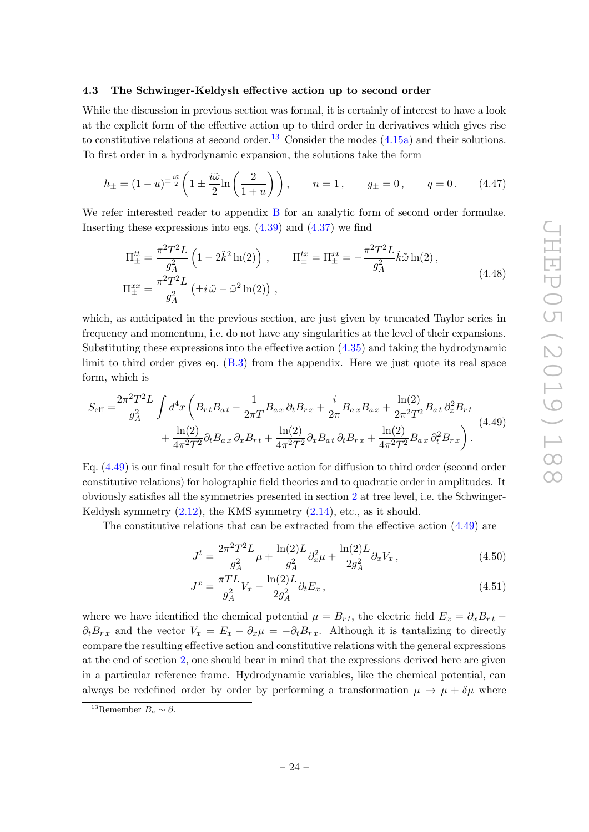#### <span id="page-25-0"></span>4.3 The Schwinger-Keldysh effective action up to second order

While the discussion in previous section was formal, it is certainly of interest to have a look at the explicit form of the effective action up to third order in derivatives which gives rise to constitutive relations at second order.<sup>[13](#page-25-1)</sup> Consider the modes  $(4.15a)$  and their solutions. To first order in a hydrodynamic expansion, the solutions take the form

$$
h_{\pm} = (1 - u)^{\pm \frac{i\tilde{\omega}}{2}} \left( 1 \pm \frac{i\tilde{\omega}}{2} \ln \left( \frac{2}{1 + u} \right) \right), \qquad n = 1, \qquad g_{\pm} = 0, \qquad q = 0. \tag{4.47}
$$

We refer interested reader to appendix [B](#page-35-1) for an analytic form of second order formulae. Inserting these expressions into eqs.  $(4.39)$  and  $(4.37)$  we find

$$
\Pi_{\pm}^{tt} = \frac{\pi^2 T^2 L}{g_A^2} \left( 1 - 2\tilde{k}^2 \ln(2) \right) , \qquad \Pi_{\pm}^{tx} = \Pi_{\pm}^{xt} = -\frac{\pi^2 T^2 L}{g_A^2} \tilde{k} \tilde{\omega} \ln(2) ,
$$
\n
$$
\Pi_{\pm}^{xx} = \frac{\pi^2 T^2 L}{g_A^2} \left( \pm i \tilde{\omega} - \tilde{\omega}^2 \ln(2) \right) , \qquad (4.48)
$$

which, as anticipated in the previous section, are just given by truncated Taylor series in frequency and momentum, i.e. do not have any singularities at the level of their expansions. Substituting these expressions into the effective action [\(4.35\)](#page-23-2) and taking the hydrodynamic limit to third order gives eq. [\(B.3\)](#page-36-0) from the appendix. Here we just quote its real space form, which is

$$
S_{\text{eff}} = \frac{2\pi^2 T^2 L}{g_A^2} \int d^4x \left( B_{rt} B_{at} - \frac{1}{2\pi T} B_{ax} \partial_t B_{rx} + \frac{i}{2\pi} B_{ax} B_{ax} + \frac{\ln(2)}{2\pi^2 T^2} B_{at} \partial_x^2 B_{rt} + \frac{\ln(2)}{4\pi^2 T^2} \partial_t B_{ax} \partial_x B_{rt} + \frac{\ln(2)}{4\pi^2 T^2} \partial_x B_{at} \partial_t B_{rx} + \frac{\ln(2)}{4\pi^2 T^2} B_{ax} \partial_t^2 B_{rx} \right). \tag{4.49}
$$

Eq. [\(4.49\)](#page-25-2) is our final result for the effective action for diffusion to third order (second order constitutive relations) for holographic field theories and to quadratic order in amplitudes. It obviously satisfies all the symmetries presented in section [2](#page-5-0) at tree level, i.e. the Schwinger-Keldysh symmetry  $(2.12)$ , the KMS symmetry  $(2.14)$ , etc., as it should.

The constitutive relations that can be extracted from the effective action [\(4.49\)](#page-25-2) are

<span id="page-25-2"></span>
$$
J^{t} = \frac{2\pi^{2}T^{2}L}{g_{A}^{2}}\mu + \frac{\ln(2)L}{g_{A}^{2}}\partial_{x}^{2}\mu + \frac{\ln(2)L}{2g_{A}^{2}}\partial_{x}V_{x},
$$
\n(4.50)

$$
J^x = \frac{\pi T L}{g_A^2} V_x - \frac{\ln(2)L}{2g_A^2} \partial_t E_x, \qquad (4.51)
$$

where we have identified the chemical potential  $\mu = B_{rt}$ , the electric field  $E_x = \partial_x B_{rt}$  –  $\partial_t B_{rx}$  and the vector  $V_x = E_x - \partial_x \mu = -\partial_t B_{rx}$ . Although it is tantalizing to directly compare the resulting effective action and constitutive relations with the general expressions at the end of section [2,](#page-5-0) one should bear in mind that the expressions derived here are given in a particular reference frame. Hydrodynamic variables, like the chemical potential, can always be redefined order by order by performing a transformation  $\mu \to \mu + \delta \mu$  where

<span id="page-25-1"></span><sup>&</sup>lt;sup>13</sup>Remember  $B_a \sim \partial$ .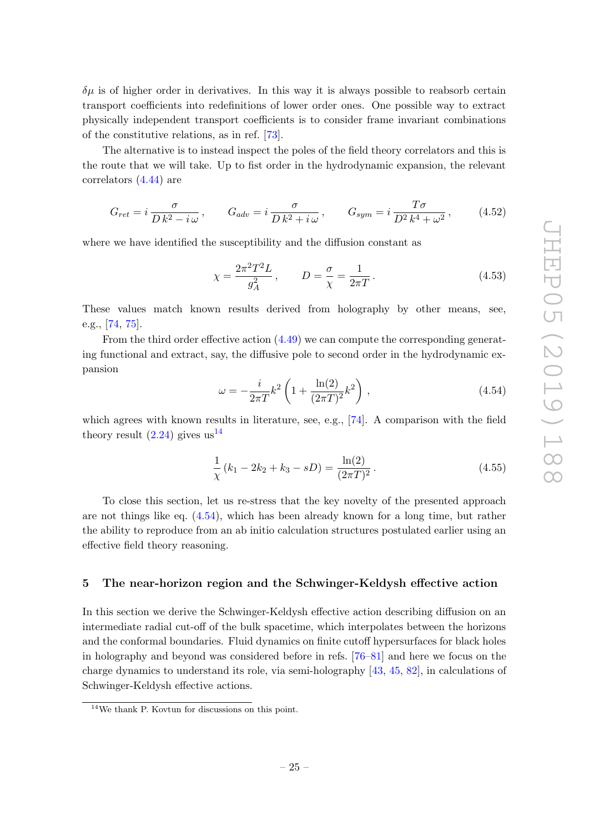$\delta\mu$  is of higher order in derivatives. In this way it is always possible to reabsorb certain transport coefficients into redefinitions of lower order ones. One possible way to extract physically independent transport coefficients is to consider frame invariant combinations of the constitutive relations, as in ref. [\[73\]](#page-40-10).

The alternative is to instead inspect the poles of the field theory correlators and this is the route that we will take. Up to fist order in the hydrodynamic expansion, the relevant correlators [\(4.44\)](#page-24-1) are

$$
G_{ret} = i \frac{\sigma}{D k^2 - i \omega}, \qquad G_{adv} = i \frac{\sigma}{D k^2 + i \omega}, \qquad G_{sym} = i \frac{T \sigma}{D^2 k^4 + \omega^2}, \qquad (4.52)
$$

where we have identified the susceptibility and the diffusion constant as

$$
\chi = \frac{2\pi^2 T^2 L}{g_A^2}, \qquad D = \frac{\sigma}{\chi} = \frac{1}{2\pi T}.
$$
 (4.53)

These values match known results derived from holography by other means, see, e.g., [\[74,](#page-40-11) [75\]](#page-40-12).

From the third order effective action [\(4.49\)](#page-25-2) we can compute the corresponding generating functional and extract, say, the diffusive pole to second order in the hydrodynamic expansion

<span id="page-26-2"></span>
$$
\omega = -\frac{i}{2\pi T} k^2 \left( 1 + \frac{\ln(2)}{(2\pi T)^2} k^2 \right) ,\qquad(4.54)
$$

which agrees with known results in literature, see, e.g., [\[74\]](#page-40-11). A comparison with the field theory result  $(2.24)$  gives us<sup>[14](#page-26-1)</sup>

$$
\frac{1}{\chi}(k_1 - 2k_2 + k_3 - sD) = \frac{\ln(2)}{(2\pi T)^2}.
$$
\n(4.55)

To close this section, let us re-stress that the key novelty of the presented approach are not things like eq.  $(4.54)$ , which has been already known for a long time, but rather the ability to reproduce from an ab initio calculation structures postulated earlier using an effective field theory reasoning.

#### <span id="page-26-0"></span>5 The near-horizon region and the Schwinger-Keldysh effective action

In this section we derive the Schwinger-Keldysh effective action describing diffusion on an intermediate radial cut-off of the bulk spacetime, which interpolates between the horizons and the conformal boundaries. Fluid dynamics on finite cutoff hypersurfaces for black holes in holography and beyond was considered before in refs. [\[76](#page-40-13)[–81\]](#page-41-0) and here we focus on the charge dynamics to understand its role, via semi-holography [\[43,](#page-39-3) [45,](#page-39-5) [82\]](#page-41-1), in calculations of Schwinger-Keldysh effective actions.

<span id="page-26-1"></span><sup>14</sup>We thank P. Kovtun for discussions on this point.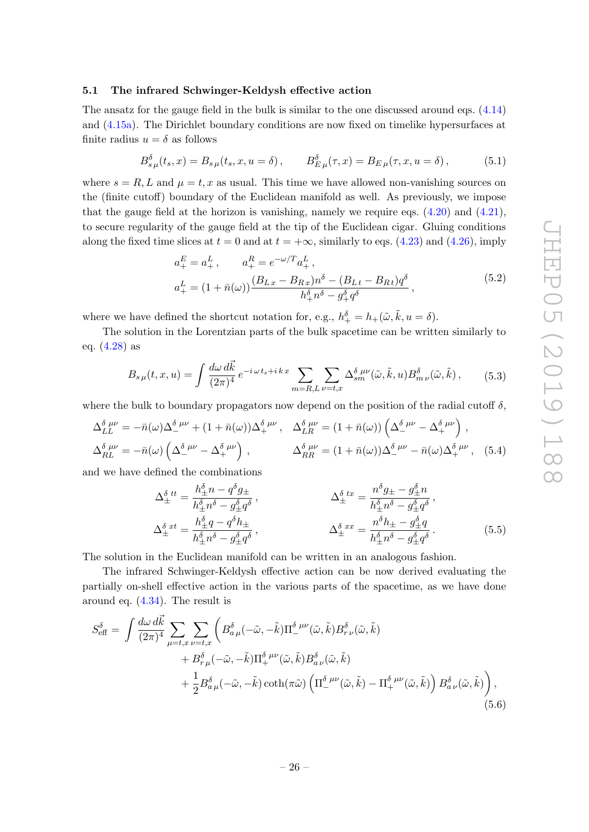# <span id="page-27-0"></span>5.1 The infrared Schwinger-Keldysh effective action

The ansatz for the gauge field in the bulk is similar to the one discussed around eqs. [\(4.14\)](#page-18-1) and [\(4.15a\)](#page-18-3). The Dirichlet boundary conditions are now fixed on timelike hypersurfaces at finite radius  $u = \delta$  as follows

$$
B_{s\,\mu}^{\delta}(t_s, x) = B_{s\,\mu}(t_s, x, u = \delta), \qquad B_{E\,\mu}^{\delta}(\tau, x) = B_{E\,\mu}(\tau, x, u = \delta), \tag{5.1}
$$

where  $s = R, L$  and  $\mu = t, x$  as usual. This time we have allowed non-vanishing sources on the (finite cutoff) boundary of the Euclidean manifold as well. As previously, we impose that the gauge field at the horizon is vanishing, namely we require eqs.  $(4.20)$  and  $(4.21)$ , to secure regularity of the gauge field at the tip of the Euclidean cigar. Gluing conditions along the fixed time slices at  $t = 0$  and at  $t = +\infty$ , similarly to eqs. [\(4.23\)](#page-20-0) and [\(4.26\)](#page-20-3), imply

$$
a_{+}^{E} = a_{+}^{L}, \t a_{+}^{R} = e^{-\omega/T} a_{+}^{L},
$$
  
\n
$$
a_{+}^{L} = (1 + \bar{n}(\omega)) \frac{(B_{Lx} - B_{Rx})n^{\delta} - (B_{Lt} - B_{Rt})q^{\delta}}{h_{+}^{\delta}n^{\delta} - g_{+}^{\delta}q^{\delta}},
$$
\n
$$
(5.2)
$$

where we have defined the shortcut notation for, e.g.,  $h_+^{\delta} = h_+(\tilde{\omega}, \tilde{k}, u = \delta)$ .

The solution in the Lorentzian parts of the bulk spacetime can be written similarly to eq. [\(4.28\)](#page-21-0) as

$$
B_{s\,\mu}(t,x,u) = \int \frac{d\omega \, d\vec{k}}{(2\pi)^4} e^{-i\,\omega \,t_s + i\,k\,x} \sum_{m=R,L} \sum_{\nu=t,x} \Delta_{sm}^{\delta\,\mu\nu}(\tilde{\omega},\tilde{k},u) B_{m\,\nu}^{\delta}(\tilde{\omega},\tilde{k})\,,\tag{5.3}
$$

where the bulk to boundary propagators now depend on the position of the radial cutoff  $\delta$ ,

$$
\Delta_{LL}^{\delta \ \mu\nu} = -\bar{n}(\omega)\Delta_{-}^{\delta \ \mu\nu} + (1 + \bar{n}(\omega))\Delta_{+}^{\delta \ \mu\nu}, \quad \Delta_{LR}^{\delta \ \mu\nu} = (1 + \bar{n}(\omega))\left(\Delta_{-}^{\delta \ \mu\nu} - \Delta_{+}^{\delta \ \mu\nu}\right),
$$

$$
\Delta_{RL}^{\delta \ \mu\nu} = -\bar{n}(\omega)\left(\Delta_{-}^{\delta \ \mu\nu} - \Delta_{+}^{\delta \ \mu\nu}\right), \qquad \Delta_{RR}^{\delta \ \mu\nu} = (1 + \bar{n}(\omega))\Delta_{-}^{\delta \ \mu\nu} - \bar{n}(\omega)\Delta_{+}^{\delta \ \mu\nu}, \quad (5.4)
$$

and we have defined the combinations

<span id="page-27-1"></span>
$$
\Delta_{\pm}^{\delta \, tt} = \frac{h_{\pm}^{\delta} n - q^{\delta} g_{\pm}}{h_{\pm}^{\delta} n^{\delta} - g_{\pm}^{\delta} q^{\delta}}, \qquad \Delta_{\pm}^{\delta \, tx} = \frac{n^{\delta} g_{\pm} - g_{\pm}^{\delta} n}{h_{\pm}^{\delta} n^{\delta} - g_{\pm}^{\delta} q^{\delta}}, \n\Delta_{\pm}^{\delta \, xt} = \frac{h_{\pm}^{\delta} q - q^{\delta} h_{\pm}}{h_{\pm}^{\delta} n^{\delta} - g_{\pm}^{\delta} q^{\delta}}, \qquad \Delta_{\pm}^{\delta \, xx} = \frac{n^{\delta} h_{\pm} - g_{\pm}^{\delta} q}{h_{\pm}^{\delta} n^{\delta} - g_{\pm}^{\delta} q^{\delta}}.
$$
\n(5.5)

The solution in the Euclidean manifold can be written in an analogous fashion.

The infrared Schwinger-Keldysh effective action can be now derived evaluating the partially on-shell effective action in the various parts of the spacetime, as we have done around eq. [\(4.34\)](#page-23-0). The result is

$$
S_{\text{eff}}^{\delta} = \int \frac{d\omega \, d\vec{k}}{(2\pi)^4} \sum_{\mu=t,x} \sum_{\nu=t,x} \left( B_{a\,\mu}^{\delta}(-\tilde{\omega}, -\tilde{k}) \Pi_{-}^{\delta\,\mu\nu}(\tilde{\omega}, \tilde{k}) B_{r\,\nu}^{\delta}(\tilde{\omega}, \tilde{k}) + B_{r\,\mu}^{\delta}(-\tilde{\omega}, -\tilde{k}) \Pi_{+}^{\delta\,\mu\nu}(\tilde{\omega}, \tilde{k}) B_{a\,\nu}^{\delta}(\tilde{\omega}, \tilde{k}) + \frac{1}{2} B_{a\,\mu}^{\delta}(-\tilde{\omega}, -\tilde{k}) \coth(\pi\tilde{\omega}) \left( \Pi_{-}^{\delta\,\mu\nu}(\tilde{\omega}, \tilde{k}) - \Pi_{+}^{\delta\,\mu\nu}(\tilde{\omega}, \tilde{k}) \right) B_{a\,\nu}^{\delta}(\tilde{\omega}, \tilde{k}) \right),
$$
\n(5.6)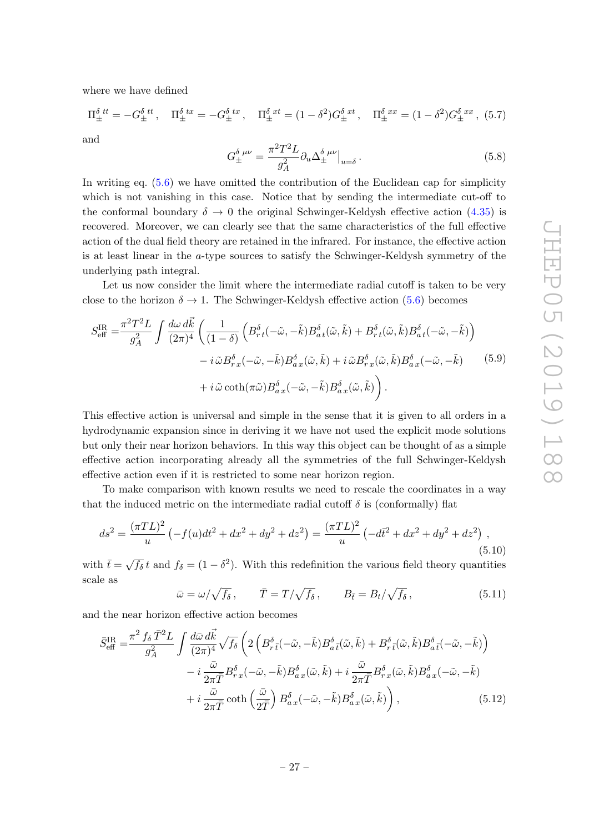where we have defined

$$
\Pi_{\pm}^{\delta \;tt} = -G_{\pm}^{\delta \;tt}, \quad \Pi_{\pm}^{\delta \;tx} = -G_{\pm}^{\delta \;tx}, \quad \Pi_{\pm}^{\delta \;xt} = (1 - \delta^2)G_{\pm}^{\delta \;xt}, \quad \Pi_{\pm}^{\delta \;xx} = (1 - \delta^2)G_{\pm}^{\delta \;xx}, \tag{5.7}
$$

and

<span id="page-28-0"></span>
$$
G_{\pm}^{\delta \ \mu\nu} = \frac{\pi^2 T^2 L}{g_A^2} \partial_u \Delta_{\pm}^{\delta \ \mu\nu} \big|_{u=\delta} \,. \tag{5.8}
$$

In writing eq.  $(5.6)$  we have omitted the contribution of the Euclidean cap for simplicity which is not vanishing in this case. Notice that by sending the intermediate cut-off to the conformal boundary  $\delta \to 0$  the original Schwinger-Keldysh effective action [\(4.35\)](#page-23-2) is recovered. Moreover, we can clearly see that the same characteristics of the full effective action of the dual field theory are retained in the infrared. For instance, the effective action is at least linear in the a-type sources to satisfy the Schwinger-Keldysh symmetry of the underlying path integral.

Let us now consider the limit where the intermediate radial cutoff is taken to be very close to the horizon  $\delta \to 1$ . The Schwinger-Keldysh effective action [\(5.6\)](#page-27-1) becomes

$$
S_{\text{eff}}^{\text{IR}} = \frac{\pi^2 T^2 L}{g_A^2} \int \frac{d\omega \, d\vec{k}}{(2\pi)^4} \left( \frac{1}{(1-\delta)} \left( B_{rt}^{\delta}(-\tilde{\omega}, -\tilde{k}) B_{at}^{\delta}(\tilde{\omega}, \tilde{k}) + B_{rt}^{\delta}(\tilde{\omega}, \tilde{k}) B_{at}^{\delta}(-\tilde{\omega}, -\tilde{k}) \right) \right) - i \tilde{\omega} B_{rx}^{\delta}(-\tilde{\omega}, -\tilde{k}) B_{ax}^{\delta}(\tilde{\omega}, \tilde{k}) + i \tilde{\omega} B_{rx}^{\delta}(\tilde{\omega}, \tilde{k}) B_{ax}^{\delta}(-\tilde{\omega}, -\tilde{k}) \qquad (5.9) + i \tilde{\omega} \coth(\pi \tilde{\omega}) B_{ax}^{\delta}(-\tilde{\omega}, -\tilde{k}) B_{ax}^{\delta}(\tilde{\omega}, \tilde{k}) \right).
$$

This effective action is universal and simple in the sense that it is given to all orders in a hydrodynamic expansion since in deriving it we have not used the explicit mode solutions but only their near horizon behaviors. In this way this object can be thought of as a simple effective action incorporating already all the symmetries of the full Schwinger-Keldysh effective action even if it is restricted to some near horizon region.

To make comparison with known results we need to rescale the coordinates in a way that the induced metric on the intermediate radial cutoff  $\delta$  is (conformally) flat

$$
ds^{2} = \frac{(\pi TL)^{2}}{u} \left( -f(u)dt^{2} + dx^{2} + dy^{2} + dz^{2} \right) = \frac{(\pi TL)^{2}}{u} \left( -d\bar{t}^{2} + dx^{2} + dy^{2} + dz^{2} \right) ,
$$
\n(5.10)

with  $\bar{t}=\sqrt{f_\delta} t$  and  $f_\delta = (1-\delta^2)$ . With this redefinition the various field theory quantities scale as

$$
\bar{\omega} = \omega / \sqrt{f_{\delta}}, \qquad \bar{T} = T / \sqrt{f_{\delta}}, \qquad B_{\bar{t}} = B_t / \sqrt{f_{\delta}}, \qquad (5.11)
$$

and the near horizon effective action becomes

$$
\bar{S}_{\text{eff}}^{\text{IR}} = \frac{\pi^2 f_\delta \bar{T}^2 L}{g_A^2} \int \frac{d\bar{\omega} \, d\vec{k}}{(2\pi)^4} \sqrt{f_\delta} \left( 2 \left( B_{r\bar{t}}^\delta (-\tilde{\omega}, -\tilde{k}) B_{a\bar{t}}^\delta (\tilde{\omega}, \tilde{k}) + B_{r\bar{t}}^\delta (\tilde{\omega}, \tilde{k}) B_{a\bar{t}}^\delta (-\tilde{\omega}, -\tilde{k}) \right) \right) \n- i \frac{\bar{\omega}}{2\pi \bar{T}} B_{r\bar{x}}^\delta (-\tilde{\omega}, -\tilde{k}) B_{a\bar{x}}^\delta (\tilde{\omega}, \tilde{k}) + i \frac{\bar{\omega}}{2\pi \bar{T}} B_{r\bar{x}}^\delta (\tilde{\omega}, \tilde{k}) B_{a\bar{x}}^\delta (-\tilde{\omega}, -\tilde{k}) \n+ i \frac{\bar{\omega}}{2\pi \bar{T}} \coth \left( \frac{\bar{\omega}}{2\bar{T}} \right) B_{a\bar{x}}^\delta (-\tilde{\omega}, -\tilde{k}) B_{a\bar{x}}^\delta (\tilde{\omega}, \tilde{k}) \right), \tag{5.12}
$$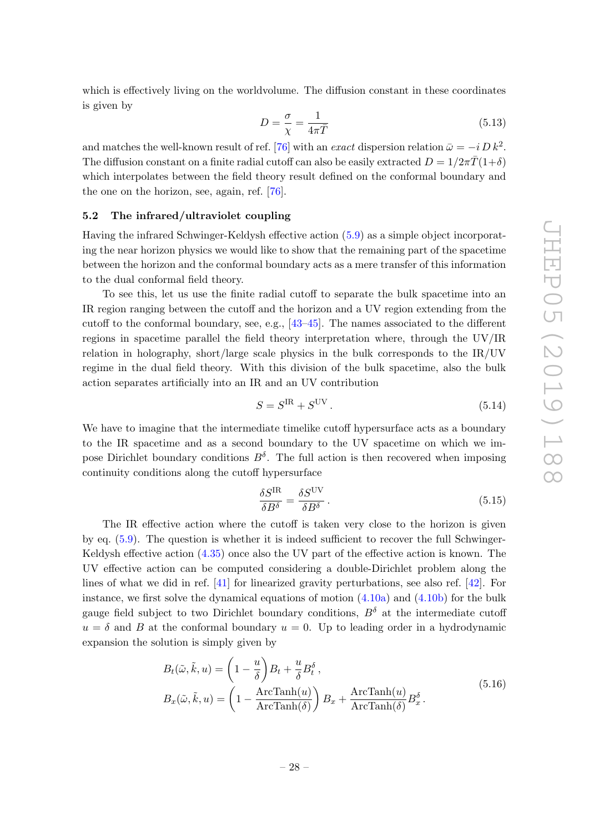which is effectively living on the worldvolume. The diffusion constant in these coordinates is given by

$$
D = \frac{\sigma}{\chi} = \frac{1}{4\pi\bar{T}}\tag{5.13}
$$

and matches the well-known result of ref. [\[76\]](#page-40-13) with an *exact* dispersion relation  $\bar{\omega} = -i D k^2$ . The diffusion constant on a finite radial cutoff can also be easily extracted  $D = 1/2\pi \bar{T}(1+\delta)$ which interpolates between the field theory result defined on the conformal boundary and the one on the horizon, see, again, ref. [\[76\]](#page-40-13).

#### <span id="page-29-0"></span>5.2 The infrared/ultraviolet coupling

Having the infrared Schwinger-Keldysh effective action [\(5.9\)](#page-28-0) as a simple object incorporating the near horizon physics we would like to show that the remaining part of the spacetime between the horizon and the conformal boundary acts as a mere transfer of this information to the dual conformal field theory.

To see this, let us use the finite radial cutoff to separate the bulk spacetime into an IR region ranging between the cutoff and the horizon and a UV region extending from the cutoff to the conformal boundary, see, e.g., [\[43](#page-39-3)[–45\]](#page-39-5). The names associated to the different regions in spacetime parallel the field theory interpretation where, through the UV/IR relation in holography, short/large scale physics in the bulk corresponds to the IR/UV regime in the dual field theory. With this division of the bulk spacetime, also the bulk action separates artificially into an IR and an UV contribution

$$
S = SIR + SUV.
$$
 (5.14)

We have to imagine that the intermediate timelike cutoff hypersurface acts as a boundary to the IR spacetime and as a second boundary to the UV spacetime on which we impose Dirichlet boundary conditions  $B^{\delta}$ . The full action is then recovered when imposing continuity conditions along the cutoff hypersurface

<span id="page-29-2"></span><span id="page-29-1"></span>
$$
\frac{\delta S^{\text{IR}}}{\delta B^{\delta}} = \frac{\delta S^{\text{UV}}}{\delta B^{\delta}}.
$$
\n(5.15)

The IR effective action where the cutoff is taken very close to the horizon is given by eq. [\(5.9\)](#page-28-0). The question is whether it is indeed sufficient to recover the full Schwinger-Keldysh effective action [\(4.35\)](#page-23-2) once also the UV part of the effective action is known. The UV effective action can be computed considering a double-Dirichlet problem along the lines of what we did in ref. [\[41\]](#page-39-1) for linearized gravity perturbations, see also ref. [\[42\]](#page-39-2). For instance, we first solve the dynamical equations of motion  $(4.10a)$  and  $(4.10b)$  for the bulk gauge field subject to two Dirichlet boundary conditions,  $B^{\delta}$  at the intermediate cutoff  $u = \delta$  and B at the conformal boundary  $u = 0$ . Up to leading order in a hydrodynamic expansion the solution is simply given by

$$
B_t(\tilde{\omega}, \tilde{k}, u) = \left(1 - \frac{u}{\delta}\right)B_t + \frac{u}{\delta}B_t^{\delta},
$$
  
\n
$$
B_x(\tilde{\omega}, \tilde{k}, u) = \left(1 - \frac{\text{ArcTanh}(u)}{\text{ArcTanh}(\delta)}\right)B_x + \frac{\text{ArcTanh}(u)}{\text{ArcTanh}(\delta)}B_x^{\delta}.
$$
\n(5.16)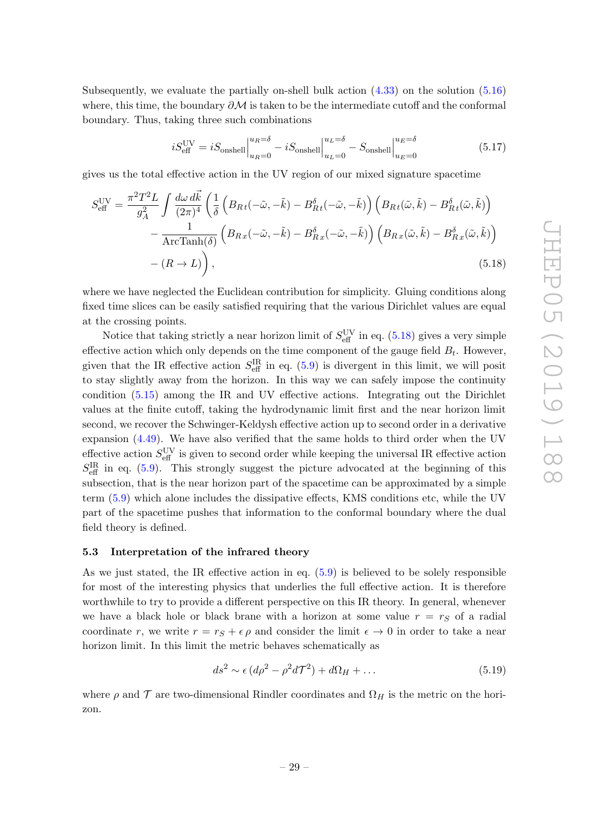Subsequently, we evaluate the partially on-shell bulk action [\(4.33\)](#page-23-1) on the solution [\(5.16\)](#page-29-1) where, this time, the boundary  $\partial \mathcal{M}$  is taken to be the intermediate cutoff and the conformal boundary. Thus, taking three such combinations

<span id="page-30-1"></span>
$$
iS_{\text{eff}}^{\text{UV}} = iS_{\text{onshell}}\Big|_{u_R=0}^{u_R=\delta} - iS_{\text{onshell}}\Big|_{u_L=0}^{u_L=\delta} - S_{\text{onshell}}\Big|_{u_E=0}^{u_E=\delta}
$$
(5.17)

gives us the total effective action in the UV region of our mixed signature spacetime

$$
S_{\text{eff}}^{\text{UV}} = \frac{\pi^2 T^2 L}{g_A^2} \int \frac{d\omega \, d\vec{k}}{(2\pi)^4} \left( \frac{1}{\delta} \left( B_{Rt}(-\tilde{\omega}, -\tilde{k}) - B_{Rt}^{\delta}(-\tilde{\omega}, -\tilde{k}) \right) \left( B_{Rt}(\tilde{\omega}, \tilde{k}) - B_{Rt}^{\delta}(\tilde{\omega}, \tilde{k}) \right) \right) - \frac{1}{\text{ArcTanh}(\delta)} \left( B_{Rx}(-\tilde{\omega}, -\tilde{k}) - B_{Rx}^{\delta}(-\tilde{\omega}, -\tilde{k}) \right) \left( B_{Rx}(\tilde{\omega}, \tilde{k}) - B_{Rx}^{\delta}(\tilde{\omega}, \tilde{k}) \right) - (R \to L) \right), \tag{5.18}
$$

where we have neglected the Euclidean contribution for simplicity. Gluing conditions along fixed time slices can be easily satisfied requiring that the various Dirichlet values are equal at the crossing points.

Notice that taking strictly a near horizon limit of  $S_{\text{eff}}^{\text{UV}}$  in eq. [\(5.18\)](#page-30-1) gives a very simple effective action which only depends on the time component of the gauge field  $B_t$ . However, given that the IR effective action  $S_{\text{eff}}^{\text{IR}}$  in eq. [\(5.9\)](#page-28-0) is divergent in this limit, we will posit to stay slightly away from the horizon. In this way we can safely impose the continuity condition [\(5.15\)](#page-29-2) among the IR and UV effective actions. Integrating out the Dirichlet values at the finite cutoff, taking the hydrodynamic limit first and the near horizon limit second, we recover the Schwinger-Keldysh effective action up to second order in a derivative expansion [\(4.49\)](#page-25-2). We have also verified that the same holds to third order when the UV effective action  $S_{\text{eff}}^{\text{UV}}$  is given to second order while keeping the universal IR effective action  $S_{\text{eff}}^{\text{IR}}$  in eq. [\(5.9\)](#page-28-0). This strongly suggest the picture advocated at the beginning of this subsection, that is the near horizon part of the spacetime can be approximated by a simple term [\(5.9\)](#page-28-0) which alone includes the dissipative effects, KMS conditions etc, while the UV part of the spacetime pushes that information to the conformal boundary where the dual field theory is defined.

#### <span id="page-30-0"></span>5.3 Interpretation of the infrared theory

As we just stated, the IR effective action in eq. [\(5.9\)](#page-28-0) is believed to be solely responsible for most of the interesting physics that underlies the full effective action. It is therefore worthwhile to try to provide a different perspective on this IR theory. In general, whenever we have a black hole or black brane with a horizon at some value  $r = r<sub>S</sub>$  of a radial coordinate r, we write  $r = r_S + \epsilon \rho$  and consider the limit  $\epsilon \to 0$  in order to take a near horizon limit. In this limit the metric behaves schematically as

$$
ds^2 \sim \epsilon \left( d\rho^2 - \rho^2 d\mathcal{T}^2 \right) + d\Omega_H + \dots \tag{5.19}
$$

where  $\rho$  and  $\mathcal T$  are two-dimensional Rindler coordinates and  $\Omega_H$  is the metric on the horizon.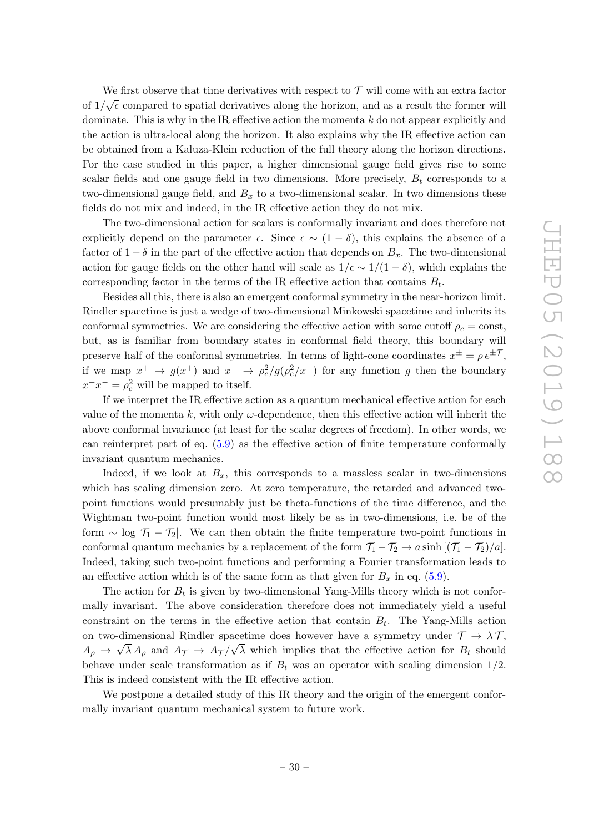We first observe that time derivatives with respect to  $\mathcal T$  will come with an extra factor of  $1/\sqrt{\epsilon}$  compared to spatial derivatives along the horizon, and as a result the former will dominate. This is why in the IR effective action the momenta k do not appear explicitly and the action is ultra-local along the horizon. It also explains why the IR effective action can be obtained from a Kaluza-Klein reduction of the full theory along the horizon directions. For the case studied in this paper, a higher dimensional gauge field gives rise to some scalar fields and one gauge field in two dimensions. More precisely,  $B_t$  corresponds to a two-dimensional gauge field, and  $B_x$  to a two-dimensional scalar. In two dimensions these fields do not mix and indeed, in the IR effective action they do not mix.

The two-dimensional action for scalars is conformally invariant and does therefore not explicitly depend on the parameter  $\epsilon$ . Since  $\epsilon \sim (1-\delta)$ , this explains the absence of a factor of  $1 - \delta$  in the part of the effective action that depends on  $B_x$ . The two-dimensional action for gauge fields on the other hand will scale as  $1/\epsilon \sim 1/(1-\delta)$ , which explains the corresponding factor in the terms of the IR effective action that contains  $B_t$ .

Besides all this, there is also an emergent conformal symmetry in the near-horizon limit. Rindler spacetime is just a wedge of two-dimensional Minkowski spacetime and inherits its conformal symmetries. We are considering the effective action with some cutoff  $\rho_c = \text{const}$ , but, as is familiar from boundary states in conformal field theory, this boundary will preserve half of the conformal symmetries. In terms of light-cone coordinates  $x^{\pm} = \rho e^{\pm T}$ , if we map  $x^+ \to g(x^+)$  and  $x^- \to \rho_c^2/g(\rho_c^2/x_-)$  for any function g then the boundary  $x^+x^- = \rho_c^2$  will be mapped to itself.

If we interpret the IR effective action as a quantum mechanical effective action for each value of the momenta k, with only  $\omega$ -dependence, then this effective action will inherit the above conformal invariance (at least for the scalar degrees of freedom). In other words, we can reinterpret part of eq. [\(5.9\)](#page-28-0) as the effective action of finite temperature conformally invariant quantum mechanics.

Indeed, if we look at  $B_x$ , this corresponds to a massless scalar in two-dimensions which has scaling dimension zero. At zero temperature, the retarded and advanced twopoint functions would presumably just be theta-functions of the time difference, and the Wightman two-point function would most likely be as in two-dimensions, i.e. be of the form  $\sim$  log  $|\mathcal{T}_1 - \mathcal{T}_2|$ . We can then obtain the finite temperature two-point functions in conformal quantum mechanics by a replacement of the form  $\mathcal{T}_1 - \mathcal{T}_2 \rightarrow a \sinh[(\mathcal{T}_1 - \mathcal{T}_2)/a]$ . Indeed, taking such two-point functions and performing a Fourier transformation leads to an effective action which is of the same form as that given for  $B_x$  in eq. [\(5.9\)](#page-28-0).

The action for  $B_t$  is given by two-dimensional Yang-Mills theory which is not conformally invariant. The above consideration therefore does not immediately yield a useful constraint on the terms in the effective action that contain  $B_t$ . The Yang-Mills action on two-dimensional Rindler spacetime does however have a symmetry under  $\mathcal{T} \to \lambda \mathcal{T}$ ,  $A_{\rho} \to \sqrt{\lambda} A_{\rho}$  and  $A_{\tau} \to A_{\tau}/\sqrt{\lambda}$  which implies that the effective action for  $B_t$  should behave under scale transformation as if  $B_t$  was an operator with scaling dimension  $1/2$ . This is indeed consistent with the IR effective action.

We postpone a detailed study of this IR theory and the origin of the emergent conformally invariant quantum mechanical system to future work.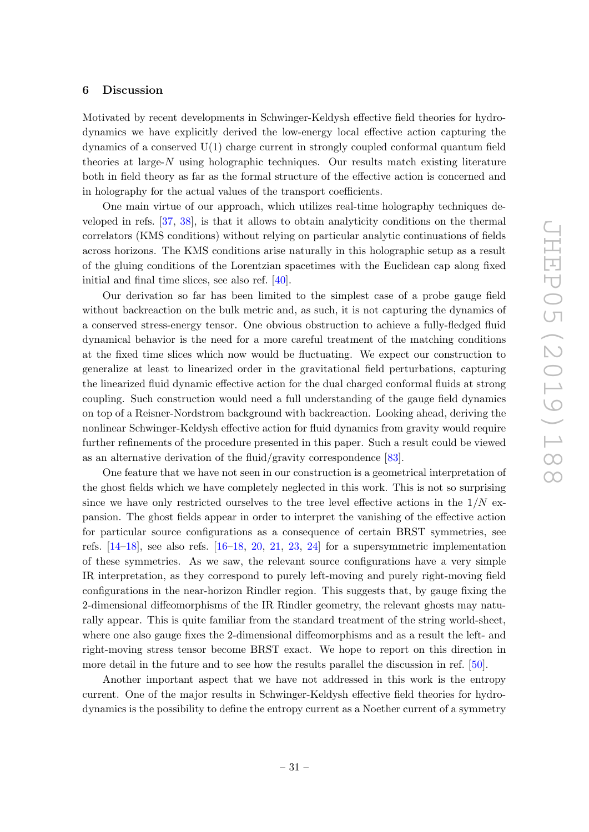#### <span id="page-32-0"></span>6 Discussion

Motivated by recent developments in Schwinger-Keldysh effective field theories for hydrodynamics we have explicitly derived the low-energy local effective action capturing the dynamics of a conserved U(1) charge current in strongly coupled conformal quantum field theories at large- $N$  using holographic techniques. Our results match existing literature both in field theory as far as the formal structure of the effective action is concerned and in holography for the actual values of the transport coefficients.

One main virtue of our approach, which utilizes real-time holography techniques developed in refs. [\[37,](#page-38-10) [38\]](#page-38-11), is that it allows to obtain analyticity conditions on the thermal correlators (KMS conditions) without relying on particular analytic continuations of fields across horizons. The KMS conditions arise naturally in this holographic setup as a result of the gluing conditions of the Lorentzian spacetimes with the Euclidean cap along fixed initial and final time slices, see also ref. [\[40\]](#page-39-0).

Our derivation so far has been limited to the simplest case of a probe gauge field without backreaction on the bulk metric and, as such, it is not capturing the dynamics of a conserved stress-energy tensor. One obvious obstruction to achieve a fully-fledged fluid dynamical behavior is the need for a more careful treatment of the matching conditions at the fixed time slices which now would be fluctuating. We expect our construction to generalize at least to linearized order in the gravitational field perturbations, capturing the linearized fluid dynamic effective action for the dual charged conformal fluids at strong coupling. Such construction would need a full understanding of the gauge field dynamics on top of a Reisner-Nordstrom background with backreaction. Looking ahead, deriving the nonlinear Schwinger-Keldysh effective action for fluid dynamics from gravity would require further refinements of the procedure presented in this paper. Such a result could be viewed as an alternative derivation of the fluid/gravity correspondence [\[83\]](#page-41-2).

One feature that we have not seen in our construction is a geometrical interpretation of the ghost fields which we have completely neglected in this work. This is not so surprising since we have only restricted ourselves to the tree level effective actions in the  $1/N$  expansion. The ghost fields appear in order to interpret the vanishing of the effective action for particular source configurations as a consequence of certain BRST symmetries, see refs.  $[14-18]$  $[14-18]$ , see also refs.  $[16-18, 20, 21, 23, 24]$  $[16-18, 20, 21, 23, 24]$  $[16-18, 20, 21, 23, 24]$  $[16-18, 20, 21, 23, 24]$  $[16-18, 20, 21, 23, 24]$  $[16-18, 20, 21, 23, 24]$  $[16-18, 20, 21, 23, 24]$  $[16-18, 20, 21, 23, 24]$  $[16-18, 20, 21, 23, 24]$  for a supersymmetric implementation of these symmetries. As we saw, the relevant source configurations have a very simple IR interpretation, as they correspond to purely left-moving and purely right-moving field configurations in the near-horizon Rindler region. This suggests that, by gauge fixing the 2-dimensional diffeomorphisms of the IR Rindler geometry, the relevant ghosts may naturally appear. This is quite familiar from the standard treatment of the string world-sheet, where one also gauge fixes the 2-dimensional diffeomorphisms and as a result the left- and right-moving stress tensor become BRST exact. We hope to report on this direction in more detail in the future and to see how the results parallel the discussion in ref. [\[50\]](#page-39-10).

Another important aspect that we have not addressed in this work is the entropy current. One of the major results in Schwinger-Keldysh effective field theories for hydrodynamics is the possibility to define the entropy current as a Noether current of a symmetry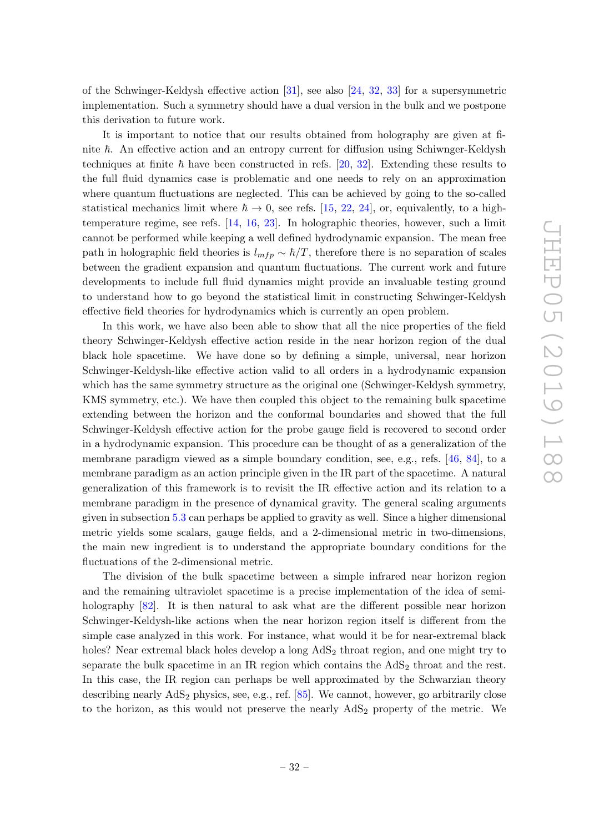of the Schwinger-Keldysh effective action [\[31\]](#page-38-4), see also [\[24,](#page-38-0) [32,](#page-38-5) [33\]](#page-38-6) for a supersymmetric implementation. Such a symmetry should have a dual version in the bulk and we postpone this derivation to future work.

It is important to notice that our results obtained from holography are given at finite  $\hbar$ . An effective action and an entropy current for diffusion using Schiwnger-Keldysh techniques at finite  $\hbar$  have been constructed in refs. [\[20,](#page-37-12) [32\]](#page-38-5). Extending these results to the full fluid dynamics case is problematic and one needs to rely on an approximation where quantum fluctuations are neglected. This can be achieved by going to the so-called statistical mechanics limit where  $\hbar \to 0$ , see refs. [\[15,](#page-37-15) [22,](#page-38-16) [24\]](#page-38-0), or, equivalently, to a hightemperature regime, see refs. [\[14,](#page-37-10) [16,](#page-37-14) [23\]](#page-38-14). In holographic theories, however, such a limit cannot be performed while keeping a well defined hydrodynamic expansion. The mean free path in holographic field theories is  $l_{mfp} \sim \hbar/T$ , therefore there is no separation of scales between the gradient expansion and quantum fluctuations. The current work and future developments to include full fluid dynamics might provide an invaluable testing ground to understand how to go beyond the statistical limit in constructing Schwinger-Keldysh effective field theories for hydrodynamics which is currently an open problem.

In this work, we have also been able to show that all the nice properties of the field theory Schwinger-Keldysh effective action reside in the near horizon region of the dual black hole spacetime. We have done so by defining a simple, universal, near horizon Schwinger-Keldysh-like effective action valid to all orders in a hydrodynamic expansion which has the same symmetry structure as the original one (Schwinger-Keldysh symmetry, KMS symmetry, etc.). We have then coupled this object to the remaining bulk spacetime extending between the horizon and the conformal boundaries and showed that the full Schwinger-Keldysh effective action for the probe gauge field is recovered to second order in a hydrodynamic expansion. This procedure can be thought of as a generalization of the membrane paradigm viewed as a simple boundary condition, see, e.g., refs. [\[46,](#page-39-6) [84\]](#page-41-3), to a membrane paradigm as an action principle given in the IR part of the spacetime. A natural generalization of this framework is to revisit the IR effective action and its relation to a membrane paradigm in the presence of dynamical gravity. The general scaling arguments given in subsection [5.3](#page-30-0) can perhaps be applied to gravity as well. Since a higher dimensional metric yields some scalars, gauge fields, and a 2-dimensional metric in two-dimensions, the main new ingredient is to understand the appropriate boundary conditions for the fluctuations of the 2-dimensional metric.

The division of the bulk spacetime between a simple infrared near horizon region and the remaining ultraviolet spacetime is a precise implementation of the idea of semi-holography [\[82\]](#page-41-1). It is then natural to ask what are the different possible near horizon Schwinger-Keldysh-like actions when the near horizon region itself is different from the simple case analyzed in this work. For instance, what would it be for near-extremal black holes? Near extremal black holes develop a long  $AdS<sub>2</sub>$  throat region, and one might try to separate the bulk spacetime in an IR region which contains the  $AdS<sub>2</sub>$  throat and the rest. In this case, the IR region can perhaps be well approximated by the Schwarzian theory describing nearly  $AdS<sub>2</sub>$  physics, see, e.g., ref. [\[85\]](#page-41-4). We cannot, however, go arbitrarily close to the horizon, as this would not preserve the nearly  $AdS<sub>2</sub>$  property of the metric. We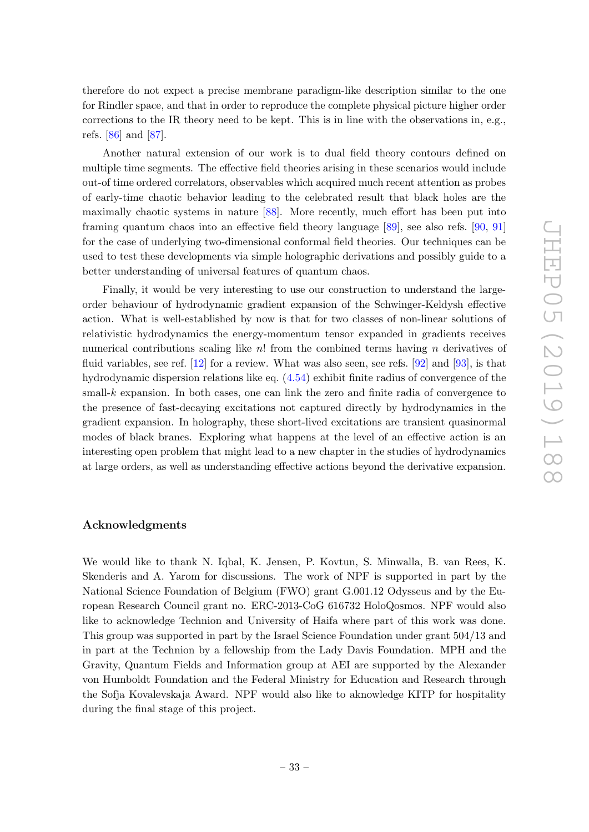therefore do not expect a precise membrane paradigm-like description similar to the one for Rindler space, and that in order to reproduce the complete physical picture higher order corrections to the IR theory need to be kept. This is in line with the observations in, e.g., refs. [\[86\]](#page-41-5) and [\[87\]](#page-41-6).

Another natural extension of our work is to dual field theory contours defined on multiple time segments. The effective field theories arising in these scenarios would include out-of time ordered correlators, observables which acquired much recent attention as probes of early-time chaotic behavior leading to the celebrated result that black holes are the maximally chaotic systems in nature [\[88\]](#page-41-7). More recently, much effort has been put into framing quantum chaos into an effective field theory language [\[89\]](#page-41-8), see also refs. [\[90,](#page-41-9) [91\]](#page-41-10) for the case of underlying two-dimensional conformal field theories. Our techniques can be used to test these developments via simple holographic derivations and possibly guide to a better understanding of universal features of quantum chaos.

Finally, it would be very interesting to use our construction to understand the largeorder behaviour of hydrodynamic gradient expansion of the Schwinger-Keldysh effective action. What is well-established by now is that for two classes of non-linear solutions of relativistic hydrodynamics the energy-momentum tensor expanded in gradients receives numerical contributions scaling like  $n!$  from the combined terms having n derivatives of fluid variables, see ref. [\[12\]](#page-37-11) for a review. What was also seen, see refs. [\[92\]](#page-41-11) and [\[93\]](#page-41-12), is that hydrodynamic dispersion relations like eq. [\(4.54\)](#page-26-2) exhibit finite radius of convergence of the small- $k$  expansion. In both cases, one can link the zero and finite radia of convergence to the presence of fast-decaying excitations not captured directly by hydrodynamics in the gradient expansion. In holography, these short-lived excitations are transient quasinormal modes of black branes. Exploring what happens at the level of an effective action is an interesting open problem that might lead to a new chapter in the studies of hydrodynamics at large orders, as well as understanding effective actions beyond the derivative expansion.

#### Acknowledgments

We would like to thank N. Iqbal, K. Jensen, P. Kovtun, S. Minwalla, B. van Rees, K. Skenderis and A. Yarom for discussions. The work of NPF is supported in part by the National Science Foundation of Belgium (FWO) grant G.001.12 Odysseus and by the European Research Council grant no. ERC-2013-CoG 616732 HoloQosmos. NPF would also like to acknowledge Technion and University of Haifa where part of this work was done. This group was supported in part by the Israel Science Foundation under grant 504/13 and in part at the Technion by a fellowship from the Lady Davis Foundation. MPH and the Gravity, Quantum Fields and Information group at AEI are supported by the Alexander von Humboldt Foundation and the Federal Ministry for Education and Research through the Sofja Kovalevskaja Award. NPF would also like to aknowledge KITP for hospitality during the final stage of this project.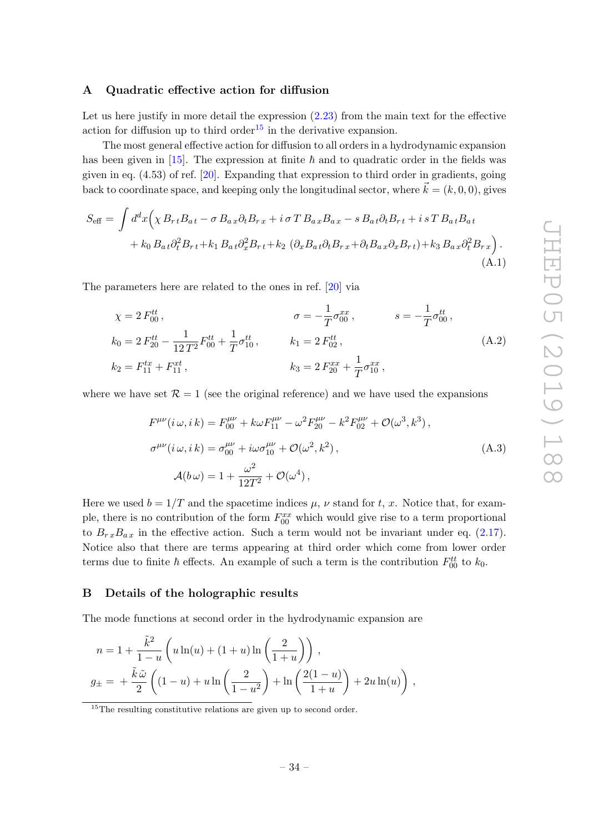### <span id="page-35-0"></span>A Quadratic effective action for diffusion

Let us here justify in more detail the expression  $(2.23)$  from the main text for the effective action for diffusion up to third order<sup>[15](#page-35-2)</sup> in the derivative expansion.

The most general effective action for diffusion to all orders in a hydrodynamic expansion has been given in [\[15\]](#page-37-15). The expression at finite  $\hbar$  and to quadratic order in the fields was given in eq. (4.53) of ref. [\[20\]](#page-37-12). Expanding that expression to third order in gradients, going back to coordinate space, and keeping only the longitudinal sector, where  $\vec{k} = (k, 0, 0)$ , gives

$$
S_{\text{eff}} = \int d^d x \Big( \chi B_{rt} B_{at} - \sigma B_{ax} \partial_t B_{rx} + i \sigma T B_{ax} B_{ax} - s B_{at} \partial_t B_{rt} + i s T B_{at} B_{at} + k_0 B_{at} \partial_t^2 B_{rt} + k_1 B_{at} \partial_x^2 B_{rt} + k_2 \left( \partial_x B_{at} \partial_t B_{rx} + \partial_t B_{ax} \partial_x B_{rt} \right) + k_3 B_{ax} \partial_t^2 B_{rx} \Big) .
$$
\n(A.1)

The parameters here are related to the ones in ref. [\[20\]](#page-37-12) via

$$
\chi = 2 F_{00}^{tt}, \qquad \sigma = -\frac{1}{T} \sigma_{00}^{xx}, \qquad s = -\frac{1}{T} \sigma_{00}^{tt},
$$
  
\n
$$
k_0 = 2 F_{20}^{tt} - \frac{1}{12 T^2} F_{00}^{tt} + \frac{1}{T} \sigma_{10}^{tt}, \qquad k_1 = 2 F_{02}^{tt},
$$
  
\n
$$
k_2 = F_{11}^{tx} + F_{11}^{xt}, \qquad k_3 = 2 F_{20}^{xx} + \frac{1}{T} \sigma_{10}^{xx},
$$
  
\n(A.2)

where we have set  $\mathcal{R} = 1$  (see the original reference) and we have used the expansions

$$
F^{\mu\nu}(i\,\omega, i\,k) = F^{\mu\nu}_{00} + k\omega F^{\mu\nu}_{11} - \omega^2 F^{\mu\nu}_{20} - k^2 F^{\mu\nu}_{02} + \mathcal{O}(\omega^3, k^3),
$$
  
\n
$$
\sigma^{\mu\nu}(i\,\omega, i\,k) = \sigma^{\mu\nu}_{00} + i\omega \sigma^{\mu\nu}_{10} + \mathcal{O}(\omega^2, k^2),
$$
  
\n
$$
\mathcal{A}(b\,\omega) = 1 + \frac{\omega^2}{12T^2} + \mathcal{O}(\omega^4),
$$
\n(A.3)

Here we used  $b = 1/T$  and the spacetime indices  $\mu$ ,  $\nu$  stand for t, x. Notice that, for example, there is no contribution of the form  $F_{00}^{xx}$  which would give rise to a term proportional to  $B_{rx}B_{ax}$  in the effective action. Such a term would not be invariant under eq. [\(2.17\)](#page-9-4). Notice also that there are terms appearing at third order which come from lower order terms due to finite  $\hbar$  effects. An example of such a term is the contribution  $F_{00}^{tt}$  to  $k_0$ .

# <span id="page-35-1"></span>B Details of the holographic results

The mode functions at second order in the hydrodynamic expansion are

$$
n = 1 + \frac{\tilde{k}^2}{1 - u} \left( u \ln(u) + (1 + u) \ln\left(\frac{2}{1 + u}\right) \right),
$$
  

$$
g_{\pm} = + \frac{\tilde{k}\tilde{\omega}}{2} \left( (1 - u) + u \ln\left(\frac{2}{1 - u^2}\right) + \ln\left(\frac{2(1 - u)}{1 + u}\right) + 2u \ln(u) \right),
$$

<span id="page-35-2"></span> $\frac{15}{15}$ The resulting constitutive relations are given up to second order.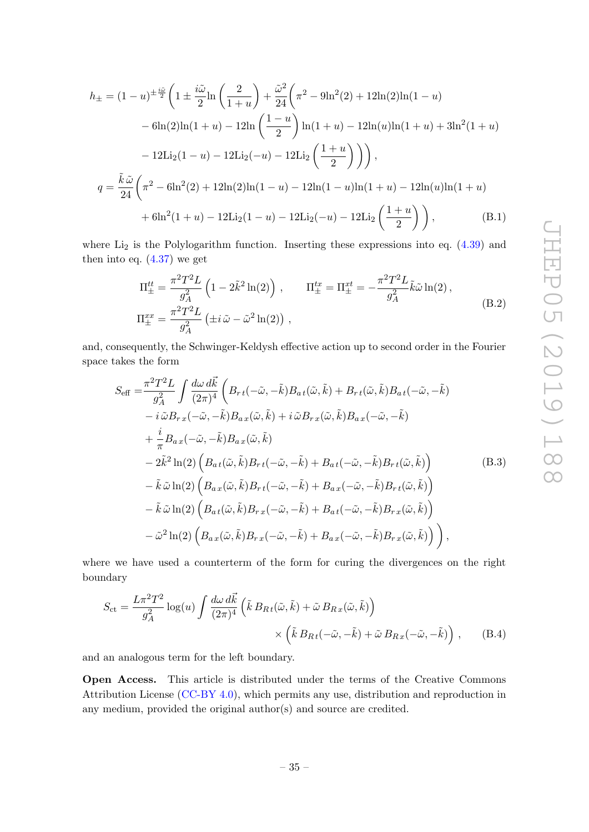$$
h_{\pm} = (1 - u)^{\pm \frac{i\tilde{\omega}}{2}} \left( 1 \pm \frac{i\tilde{\omega}}{2} \ln \left( \frac{2}{1+u} \right) + \frac{\tilde{\omega}^2}{24} \left( \pi^2 - 9 \ln^2(2) + 12 \ln(2) \ln(1-u) \right. \\ \left. - 6 \ln(2) \ln(1+u) - 12 \ln \left( \frac{1-u}{2} \right) \ln(1+u) - 12 \ln(u) \ln(1+u) + 3 \ln^2(1+u) \right. \\ \left. - 12 \text{Li}_2(1-u) - 12 \text{Li}_2(-u) - 12 \text{Li}_2\left( \frac{1+u}{2} \right) \right) \right),
$$
  

$$
q = \frac{\tilde{k}\tilde{\omega}}{24} \left( \pi^2 - 6\ln^2(2) + 12\ln(2)\ln(1-u) - 12\ln(1-u)\ln(1+u) - 12\ln(u)\ln(1+u) \right. \\ \left. + 6\ln^2(1+u) - 12\text{Li}_2(1-u) - 12\text{Li}_2(-u) - 12\text{Li}_2\left( \frac{1+u}{2} \right) \right), \tag{B.1}
$$

where  $Li<sub>2</sub>$  is the Polylogarithm function. Inserting these expressions into eq.  $(4.39)$  and then into eq.  $(4.37)$  we get

$$
\Pi_{\pm}^{tt} = \frac{\pi^2 T^2 L}{g_A^2} \left( 1 - 2\tilde{k}^2 \ln(2) \right) , \qquad \Pi_{\pm}^{tx} = \Pi_{\pm}^{xt} = -\frac{\pi^2 T^2 L}{g_A^2} \tilde{k} \tilde{\omega} \ln(2) ,
$$
\n
$$
\Pi_{\pm}^{xx} = \frac{\pi^2 T^2 L}{g_A^2} \left( \pm i \tilde{\omega} - \tilde{\omega}^2 \ln(2) \right) , \qquad (B.2)
$$

and, consequently, the Schwinger-Keldysh effective action up to second order in the Fourier space takes the form

<span id="page-36-0"></span>
$$
S_{\text{eff}} = \frac{\pi^2 T^2 L}{g_A^2} \int \frac{d\omega \, d\vec{k}}{(2\pi)^4} \left( B_{rt}(-\tilde{\omega}, -\tilde{k}) B_{at}(\tilde{\omega}, \tilde{k}) + B_{rt}(\tilde{\omega}, \tilde{k}) B_{at}(-\tilde{\omega}, -\tilde{k}) \right. \n- i \tilde{\omega} B_{rx}(-\tilde{\omega}, -\tilde{k}) B_{ax}(\tilde{\omega}, \tilde{k}) + i \tilde{\omega} B_{rx}(\tilde{\omega}, \tilde{k}) B_{ax}(-\tilde{\omega}, -\tilde{k}) \n+ \frac{i}{\pi} B_{ax}(-\tilde{\omega}, -\tilde{k}) B_{ax}(\tilde{\omega}, \tilde{k}) \n- 2\tilde{k}^2 \ln(2) \left( B_{at}(\tilde{\omega}, \tilde{k}) B_{rt}(-\tilde{\omega}, -\tilde{k}) + B_{at}(-\tilde{\omega}, -\tilde{k}) B_{rt}(\tilde{\omega}, \tilde{k}) \right) \n- \tilde{k} \tilde{\omega} \ln(2) \left( B_{ax}(\tilde{\omega}, \tilde{k}) B_{rt}(-\tilde{\omega}, -\tilde{k}) + B_{ax}(-\tilde{\omega}, -\tilde{k}) B_{rt}(\tilde{\omega}, \tilde{k}) \right) \n- \tilde{k} \tilde{\omega} \ln(2) \left( B_{at}(\tilde{\omega}, \tilde{k}) B_{rx}(-\tilde{\omega}, -\tilde{k}) + B_{at}(-\tilde{\omega}, -\tilde{k}) B_{rx}(\tilde{\omega}, \tilde{k}) \right) \n- \tilde{\omega}^2 \ln(2) \left( B_{ax}(\tilde{\omega}, \tilde{k}) B_{rx}(-\tilde{\omega}, -\tilde{k}) + B_{ax}(-\tilde{\omega}, -\tilde{k}) B_{rx}(\tilde{\omega}, \tilde{k}) \right),
$$
\n(B.3)

where we have used a counterterm of the form for curing the divergences on the right boundary

$$
S_{\rm ct} = \frac{L\pi^2 T^2}{g_A^2} \log(u) \int \frac{d\omega \, d\vec{k}}{(2\pi)^4} \left( \tilde{k} \, B_{Rt}(\tilde{\omega}, \tilde{k}) + \tilde{\omega} \, B_{Rx}(\tilde{\omega}, \tilde{k}) \right) \times \left( \tilde{k} \, B_{Rt}(-\tilde{\omega}, -\tilde{k}) + \tilde{\omega} \, B_{Rx}(-\tilde{\omega}, -\tilde{k}) \right) \,, \tag{B.4}
$$

and an analogous term for the left boundary.

Open Access. This article is distributed under the terms of the Creative Commons Attribution License [\(CC-BY 4.0\)](https://creativecommons.org/licenses/by/4.0/), which permits any use, distribution and reproduction in any medium, provided the original author(s) and source are credited.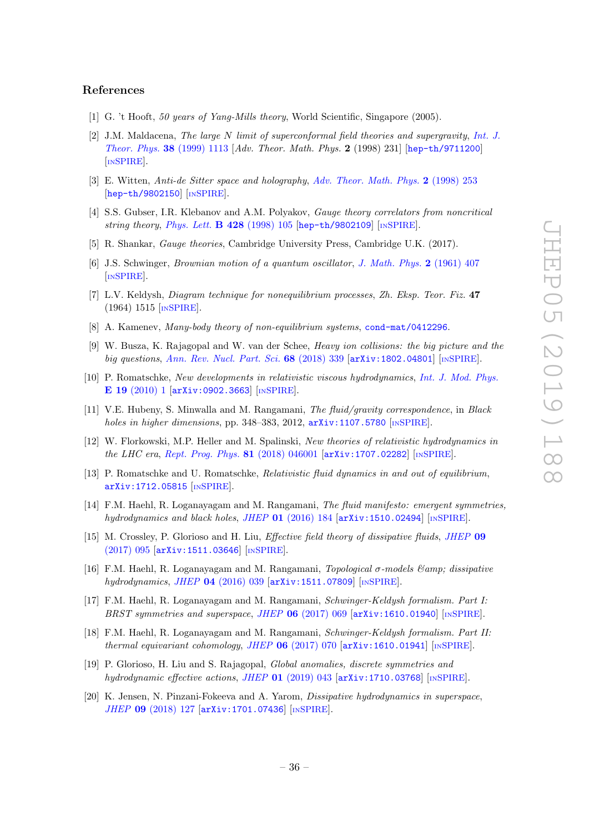# References

- <span id="page-37-0"></span>[1] G. 't Hooft, 50 years of Yang-Mills theory, World Scientific, Singapore (2005).
- <span id="page-37-1"></span>[2] J.M. Maldacena, The large N limit of superconformal field theories and supergravity, [Int. J.](https://doi.org/10.1023/A:1026654312961) [Theor. Phys.](https://doi.org/10.1023/A:1026654312961) 38 (1999) 1113 [Adv. Theor. Math. Phys. 2 (1998) 231] [[hep-th/9711200](https://arxiv.org/abs/hep-th/9711200)] [IN[SPIRE](https://inspirehep.net/search?p=find+EPRINT+hep-th/9711200)].
- [3] E. Witten, Anti-de Sitter space and holography, [Adv. Theor. Math. Phys.](https://doi.org/10.4310/ATMP.1998.v2.n2.a2) 2 (1998) 253 [[hep-th/9802150](https://arxiv.org/abs/hep-th/9802150)] [IN[SPIRE](https://inspirehep.net/search?p=find+EPRINT+hep-th/9802150)].
- <span id="page-37-2"></span>[4] S.S. Gubser, I.R. Klebanov and A.M. Polyakov, Gauge theory correlators from noncritical string theory, [Phys. Lett.](https://doi.org/10.1016/S0370-2693(98)00377-3) **B 428** (1998) 105 [[hep-th/9802109](https://arxiv.org/abs/hep-th/9802109)] [IN[SPIRE](https://inspirehep.net/search?p=find+EPRINT+hep-th/9802109)].
- <span id="page-37-3"></span>[5] R. Shankar, Gauge theories, Cambridge University Press, Cambridge U.K. (2017).
- <span id="page-37-4"></span>[6] J.S. Schwinger, Brownian motion of a quantum oscillator, [J. Math. Phys.](https://doi.org/10.1063/1.1703727) 2 (1961) 407 [IN[SPIRE](https://inspirehep.net/search?p=find+J+%22J.Math.Phys.,2,407%22)].
- <span id="page-37-5"></span>[7] L.V. Keldysh, Diagram technique for nonequilibrium processes, Zh. Eksp. Teor. Fiz. 47 (1964) 1515 [IN[SPIRE](https://inspirehep.net/search?p=find+J+%22Zh.Eksp.Teor.Fiz.,47,1515%22)].
- <span id="page-37-6"></span>[8] A. Kamenev, *Many-body theory of non-equilibrium systems*, [cond-mat/0412296](https://arxiv.org/abs/cond-mat/0412296).
- <span id="page-37-7"></span>[9] W. Busza, K. Rajagopal and W. van der Schee, Heavy ion collisions: the big picture and the big questions, [Ann. Rev. Nucl. Part. Sci.](https://doi.org/10.1146/annurev-nucl-101917-020852) 68 (2018) 339 [[arXiv:1802.04801](https://arxiv.org/abs/1802.04801)] [IN[SPIRE](https://inspirehep.net/search?p=find+EPRINT+arXiv:1802.04801)].
- <span id="page-37-8"></span>[10] P. Romatschke, New developments in relativistic viscous hydrodynamics, [Int. J. Mod. Phys.](https://doi.org/10.1142/S0218301310014613) E 19 [\(2010\) 1](https://doi.org/10.1142/S0218301310014613) [[arXiv:0902.3663](https://arxiv.org/abs/0902.3663)] [IN[SPIRE](https://inspirehep.net/search?p=find+EPRINT+arXiv:0902.3663)].
- [11] V.E. Hubeny, S. Minwalla and M. Rangamani, The fluid/gravity correspondence, in Black holes in higher dimensions, pp. 348–383, 2012,  $arXiv:1107.5780$  [IN[SPIRE](https://inspirehep.net/search?p=find+EPRINT+arXiv:1107.5780)].
- <span id="page-37-11"></span>[12] W. Florkowski, M.P. Heller and M. Spalinski, New theories of relativistic hydrodynamics in the LHC era, [Rept. Prog. Phys.](https://doi.org/10.1088/1361-6633/aaa091)  $81$  (2018) 046001  $\arXiv:1707.02282$  $\arXiv:1707.02282$  [IN[SPIRE](https://inspirehep.net/search?p=find+EPRINT+arXiv:1707.02282)].
- <span id="page-37-9"></span>[13] P. Romatschke and U. Romatschke, Relativistic fluid dynamics in and out of equilibrium, [arXiv:1712.05815](https://arxiv.org/abs/1712.05815) [IN[SPIRE](https://inspirehep.net/search?p=find+EPRINT+arXiv:1712.05815)].
- <span id="page-37-10"></span>[14] F.M. Haehl, R. Loganayagam and M. Rangamani, The fluid manifesto: emergent symmetries, hydrodynamics and black holes, JHEP  $01$  [\(2016\) 184](https://doi.org/10.1007/JHEP01(2016)184)  $\left[$ [arXiv:1510.02494](https://arxiv.org/abs/1510.02494) $\right]$   $\left[$ IN[SPIRE](https://inspirehep.net/search?p=find+EPRINT+arXiv:1510.02494) $\right]$ .
- <span id="page-37-15"></span>[15] M. Crossley, P. Glorioso and H. Liu, Effective field theory of dissipative fluids, [JHEP](https://doi.org/10.1007/JHEP09(2017)095) 09 [\(2017\) 095](https://doi.org/10.1007/JHEP09(2017)095) [[arXiv:1511.03646](https://arxiv.org/abs/1511.03646)] [IN[SPIRE](https://inspirehep.net/search?p=find+EPRINT+arXiv:1511.03646)].
- <span id="page-37-14"></span>[16] F.M. Haehl, R. Loganayagam and M. Rangamani, *Topological*  $\sigma$ -models  $\mathcal{B}$ *amp*; dissipative hydrodynamics, JHEP 04 [\(2016\) 039](https://doi.org/10.1007/JHEP04(2016)039) [[arXiv:1511.07809](https://arxiv.org/abs/1511.07809)] [IN[SPIRE](https://inspirehep.net/search?p=find+EPRINT+arXiv:1511.07809)].
- [17] F.M. Haehl, R. Loganayagam and M. Rangamani, Schwinger-Keldysh formalism. Part I: BRST symmetries and superspace, JHEP 06 [\(2017\) 069](https://doi.org/10.1007/JHEP06(2017)069) [[arXiv:1610.01940](https://arxiv.org/abs/1610.01940)] [IN[SPIRE](https://inspirehep.net/search?p=find+EPRINT+arXiv:1610.01940)].
- <span id="page-37-13"></span>[18] F.M. Haehl, R. Loganayagam and M. Rangamani, Schwinger-Keldysh formalism. Part II: thermal equivariant cohomology, JHEP  $06$  [\(2017\) 070](https://doi.org/10.1007/JHEP06(2017)070)  $\left[$ [arXiv:1610.01941](https://arxiv.org/abs/1610.01941) $\right]$   $\left[$ IN[SPIRE](https://inspirehep.net/search?p=find+EPRINT+arXiv:1610.01941) $\right]$ .
- [19] P. Glorioso, H. Liu and S. Rajagopal, Global anomalies, discrete symmetries and hydrodynamic effective actions, JHEP  $01$  [\(2019\) 043](https://doi.org/10.1007/JHEP01(2019)043) [[arXiv:1710.03768](https://arxiv.org/abs/1710.03768)] [IN[SPIRE](https://inspirehep.net/search?p=find+EPRINT+arXiv:1710.03768)].
- <span id="page-37-12"></span>[20] K. Jensen, N. Pinzani-Fokeeva and A. Yarom, Dissipative hydrodynamics in superspace, JHEP 09 [\(2018\) 127](https://doi.org/10.1007/JHEP09(2018)127) [[arXiv:1701.07436](https://arxiv.org/abs/1701.07436)] [IN[SPIRE](https://inspirehep.net/search?p=find+EPRINT+arXiv:1701.07436)].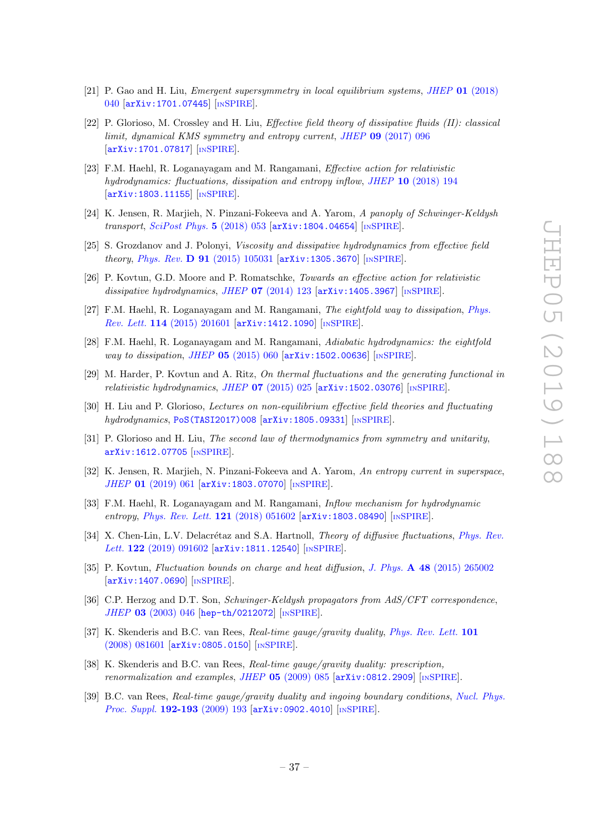- <span id="page-38-13"></span>[21] P. Gao and H. Liu, *Emergent supersymmetry in local equilibrium systems, JHEP* 01 [\(2018\)](https://doi.org/10.1007/JHEP01(2018)040) [040](https://doi.org/10.1007/JHEP01(2018)040) [[arXiv:1701.07445](https://arxiv.org/abs/1701.07445)] [IN[SPIRE](https://inspirehep.net/search?p=find+EPRINT+arXiv:1701.07445)].
- <span id="page-38-16"></span>[22] P. Glorioso, M. Crossley and H. Liu, Effective field theory of dissipative fluids (II): classical limit, dynamical KMS symmetry and entropy current, JHEP 09 [\(2017\) 096](https://doi.org/10.1007/JHEP09(2017)096) [[arXiv:1701.07817](https://arxiv.org/abs/1701.07817)] [IN[SPIRE](https://inspirehep.net/search?p=find+EPRINT+arXiv:1701.07817)].
- <span id="page-38-14"></span>[23] F.M. Haehl, R. Loganayagam and M. Rangamani, Effective action for relativistic hydrodynamics: fluctuations, dissipation and entropy inflow, JHEP 10 [\(2018\) 194](https://doi.org/10.1007/JHEP10(2018)194) [[arXiv:1803.11155](https://arxiv.org/abs/1803.11155)] [IN[SPIRE](https://inspirehep.net/search?p=find+EPRINT+arXiv:1803.11155)].
- <span id="page-38-0"></span>[24] K. Jensen, R. Mariieh, N. Pinzani-Fokeeva and A. Yarom, A panoply of Schwinger-Keldysh transport, [SciPost Phys.](https://doi.org/10.21468/SciPostPhys.5.5.053) 5 (2018) 053 [[arXiv:1804.04654](https://arxiv.org/abs/1804.04654)] [IN[SPIRE](https://inspirehep.net/search?p=find+EPRINT+arXiv:1804.04654)].
- <span id="page-38-1"></span>[25] S. Grozdanov and J. Polonyi, Viscosity and dissipative hydrodynamics from effective field theory, Phys. Rev. **D 91** [\(2015\) 105031](https://doi.org/10.1103/PhysRevD.91.105031) [[arXiv:1305.3670](https://arxiv.org/abs/1305.3670)] [IN[SPIRE](https://inspirehep.net/search?p=find+EPRINT+arXiv:1305.3670)].
- [26] P. Kovtun, G.D. Moore and P. Romatschke, Towards an effective action for relativistic dissipative hydrodynamics, JHEP  $07$  [\(2014\) 123](https://doi.org/10.1007/JHEP07(2014)123) [[arXiv:1405.3967](https://arxiv.org/abs/1405.3967)] [IN[SPIRE](https://inspirehep.net/search?p=find+EPRINT+arXiv:1405.3967)].
- [27] F.M. Haehl, R. Loganayagam and M. Rangamani, The eightfold way to dissipation, [Phys.](https://doi.org/10.1103/PhysRevLett.114.201601) Rev. Lett. 114 [\(2015\) 201601](https://doi.org/10.1103/PhysRevLett.114.201601) [[arXiv:1412.1090](https://arxiv.org/abs/1412.1090)] [IN[SPIRE](https://inspirehep.net/search?p=find+EPRINT+arXiv:1412.1090)].
- <span id="page-38-15"></span>[28] F.M. Haehl, R. Loganayagam and M. Rangamani, Adiabatic hydrodynamics: the eightfold way to dissipation, JHEP 05 [\(2015\) 060](https://doi.org/10.1007/JHEP05(2015)060) [[arXiv:1502.00636](https://arxiv.org/abs/1502.00636)] [IN[SPIRE](https://inspirehep.net/search?p=find+EPRINT+arXiv:1502.00636)].
- <span id="page-38-2"></span>[29] M. Harder, P. Kovtun and A. Ritz, On thermal fluctuations and the generating functional in relativistic hydrodynamics, JHEP  $07$  [\(2015\) 025](https://doi.org/10.1007/JHEP07(2015)025) [[arXiv:1502.03076](https://arxiv.org/abs/1502.03076)] [IN[SPIRE](https://inspirehep.net/search?p=find+EPRINT+arXiv:1502.03076)].
- <span id="page-38-3"></span>[30] H. Liu and P. Glorioso, Lectures on non-equilibrium effective field theories and fluctuating hydrodynamics, [PoS\(TASI2017\)008](https://pos.sissa.it/contribution?id=PoS(TASI2017)008) [[arXiv:1805.09331](https://arxiv.org/abs/1805.09331)] [IN[SPIRE](https://inspirehep.net/search?p=find+EPRINT+arXiv:1805.09331)].
- <span id="page-38-4"></span>[31] P. Glorioso and H. Liu, The second law of thermodynamics from symmetry and unitarity, [arXiv:1612.07705](https://arxiv.org/abs/1612.07705) [IN[SPIRE](https://inspirehep.net/search?p=find+EPRINT+arXiv:1612.07705)].
- <span id="page-38-5"></span>[32] K. Jensen, R. Marjieh, N. Pinzani-Fokeeva and A. Yarom, An entropy current in superspace, JHEP 01 [\(2019\) 061](https://doi.org/10.1007/JHEP01(2019)061) [[arXiv:1803.07070](https://arxiv.org/abs/1803.07070)] [IN[SPIRE](https://inspirehep.net/search?p=find+EPRINT+arXiv:1803.07070)].
- <span id="page-38-6"></span>[33] F.M. Haehl, R. Loganayagam and M. Rangamani, Inflow mechanism for hydrodynamic entropy, [Phys. Rev. Lett.](https://doi.org/10.1103/PhysRevLett.121.051602) 121 (2018) 051602 [[arXiv:1803.08490](https://arxiv.org/abs/1803.08490)] [IN[SPIRE](https://inspirehep.net/search?p=find+EPRINT+arXiv:1803.08490)].
- <span id="page-38-7"></span>[34] X. Chen-Lin, L.V. Delacrétaz and S.A. Hartnoll, *Theory of diffusive fluctuations*, *[Phys. Rev.](https://doi.org/10.1103/PhysRevLett.122.091602)* Lett. 122 [\(2019\) 091602](https://doi.org/10.1103/PhysRevLett.122.091602) [[arXiv:1811.12540](https://arxiv.org/abs/1811.12540)] [IN[SPIRE](https://inspirehep.net/search?p=find+EPRINT+arXiv:1811.12540)].
- <span id="page-38-8"></span>[35] P. Kovtun, Fluctuation bounds on charge and heat diffusion, J. Phys. A 48 [\(2015\) 265002](https://doi.org/10.1088/1751-8113/48/26/265002) [[arXiv:1407.0690](https://arxiv.org/abs/1407.0690)] [IN[SPIRE](https://inspirehep.net/search?p=find+EPRINT+arXiv:1407.0690)].
- <span id="page-38-9"></span>[36] C.P. Herzog and D.T. Son, Schwinger-Keldysh propagators from AdS/CFT correspondence, JHEP 03 [\(2003\) 046](https://doi.org/10.1088/1126-6708/2003/03/046) [[hep-th/0212072](https://arxiv.org/abs/hep-th/0212072)] [IN[SPIRE](https://inspirehep.net/search?p=find+EPRINT+hep-th/0212072)].
- <span id="page-38-10"></span>[37] K. Skenderis and B.C. van Rees, Real-time gauge/gravity duality, [Phys. Rev. Lett.](https://doi.org/10.1103/PhysRevLett.101.081601) 101 [\(2008\) 081601](https://doi.org/10.1103/PhysRevLett.101.081601) [[arXiv:0805.0150](https://arxiv.org/abs/0805.0150)] [IN[SPIRE](https://inspirehep.net/search?p=find+EPRINT+arXiv:0805.0150)].
- <span id="page-38-11"></span>[38] K. Skenderis and B.C. van Rees, Real-time gauge/gravity duality: prescription, renormalization and examples, JHEP  $05$  [\(2009\) 085](https://doi.org/10.1088/1126-6708/2009/05/085) [[arXiv:0812.2909](https://arxiv.org/abs/0812.2909)] [IN[SPIRE](https://inspirehep.net/search?p=find+EPRINT+arXiv:0812.2909)].
- <span id="page-38-12"></span>[39] B.C. van Rees, Real-time gauge/gravity duality and ingoing boundary conditions, [Nucl. Phys.](https://doi.org/10.1016/j.nuclphysBPS.2009.07.078) [Proc. Suppl.](https://doi.org/10.1016/j.nuclphysBPS.2009.07.078) 192-193 (2009) 193 [[arXiv:0902.4010](https://arxiv.org/abs/0902.4010)] [IN[SPIRE](https://inspirehep.net/search?p=find+EPRINT+arXiv:0902.4010)].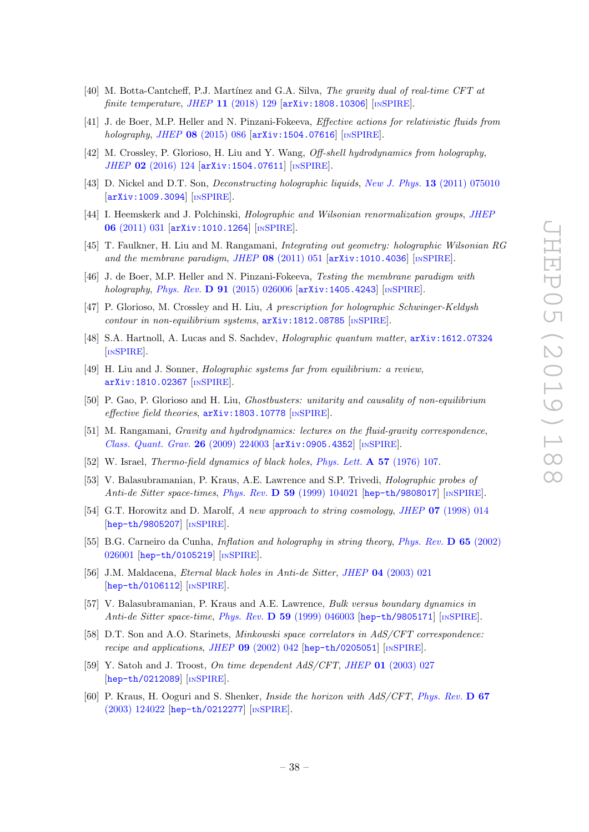- <span id="page-39-0"></span>[40] M. Botta-Cantcheff, P.J. Martínez and G.A. Silva, The gravity dual of real-time CFT at finite temperature, JHEP  $11$  [\(2018\) 129](https://doi.org/10.1007/JHEP11(2018)129) [[arXiv:1808.10306](https://arxiv.org/abs/1808.10306)] [IN[SPIRE](https://inspirehep.net/search?p=find+EPRINT+arXiv:1808.10306)].
- <span id="page-39-1"></span>[41] J. de Boer, M.P. Heller and N. Pinzani-Fokeeva, Effective actions for relativistic fluids from holography, JHEP 08 [\(2015\) 086](https://doi.org/10.1007/JHEP08(2015)086) [[arXiv:1504.07616](https://arxiv.org/abs/1504.07616)] [IN[SPIRE](https://inspirehep.net/search?p=find+EPRINT+arXiv:1504.07616)].
- <span id="page-39-2"></span>[42] M. Crossley, P. Glorioso, H. Liu and Y. Wang, Off-shell hydrodynamics from holography, JHEP 02 [\(2016\) 124](https://doi.org/10.1007/JHEP02(2016)124) [[arXiv:1504.07611](https://arxiv.org/abs/1504.07611)] [IN[SPIRE](https://inspirehep.net/search?p=find+EPRINT+arXiv:1504.07611)].
- <span id="page-39-3"></span>[43] D. Nickel and D.T. Son, Deconstructing holographic liquids, New J. Phys. 13 [\(2011\) 075010](https://doi.org/10.1088/1367-2630/13/7/075010) [[arXiv:1009.3094](https://arxiv.org/abs/1009.3094)] [IN[SPIRE](https://inspirehep.net/search?p=find+EPRINT+arXiv:1009.3094)].
- <span id="page-39-4"></span>[44] I. Heemskerk and J. Polchinski, Holographic and Wilsonian renormalization groups, [JHEP](https://doi.org/10.1007/JHEP06(2011)031) 06 [\(2011\) 031](https://doi.org/10.1007/JHEP06(2011)031) [[arXiv:1010.1264](https://arxiv.org/abs/1010.1264)] [IN[SPIRE](https://inspirehep.net/search?p=find+EPRINT+arXiv:1010.1264)].
- <span id="page-39-5"></span>[45] T. Faulkner, H. Liu and M. Rangamani, Integrating out geometry: holographic Wilsonian RG and the membrane paradigm, JHEP  $\overline{08}$  [\(2011\) 051](https://doi.org/10.1007/JHEP08(2011)051) [[arXiv:1010.4036](https://arxiv.org/abs/1010.4036)] [IN[SPIRE](https://inspirehep.net/search?p=find+EPRINT+arXiv:1010.4036)].
- <span id="page-39-6"></span>[46] J. de Boer, M.P. Heller and N. Pinzani-Fokeeva, Testing the membrane paradigm with holography, Phys. Rev. **D 91** [\(2015\) 026006](https://doi.org/10.1103/PhysRevD.91.026006) [[arXiv:1405.4243](https://arxiv.org/abs/1405.4243)] [IN[SPIRE](https://inspirehep.net/search?p=find+EPRINT+arXiv:1405.4243)].
- <span id="page-39-7"></span>[47] P. Glorioso, M. Crossley and H. Liu, A prescription for holographic Schwinger-Keldysh  $contour in non-equilibrium systems, arXiv:1812.08785$  $contour in non-equilibrium systems, arXiv:1812.08785$  [IN[SPIRE](https://inspirehep.net/search?p=find+EPRINT+arXiv:1812.08785)].
- <span id="page-39-8"></span>[48] S.A. Hartnoll, A. Lucas and S. Sachdev, Holographic quantum matter, [arXiv:1612.07324](https://arxiv.org/abs/1612.07324) [IN[SPIRE](https://inspirehep.net/search?p=find+EPRINT+arXiv:1612.07324)].
- <span id="page-39-9"></span>[49] H. Liu and J. Sonner, Holographic systems far from equilibrium: a review, [arXiv:1810.02367](https://arxiv.org/abs/1810.02367) [IN[SPIRE](https://inspirehep.net/search?p=find+EPRINT+arXiv:1810.02367)].
- <span id="page-39-10"></span>[50] P. Gao, P. Glorioso and H. Liu, Ghostbusters: unitarity and causality of non-equilibrium effective field theories,  $arXiv:1803.10778$  [IN[SPIRE](https://inspirehep.net/search?p=find+EPRINT+arXiv:1803.10778)].
- <span id="page-39-11"></span>[51] M. Rangamani, Gravity and hydrodynamics: lectures on the fluid-gravity correspondence, [Class. Quant. Grav.](https://doi.org/10.1088/0264-9381/26/22/224003) 26 (2009) 224003 [[arXiv:0905.4352](https://arxiv.org/abs/0905.4352)] [IN[SPIRE](https://inspirehep.net/search?p=find+EPRINT+arXiv:0905.4352)].
- <span id="page-39-12"></span>[52] W. Israel, Thermo-field dynamics of black holes, [Phys. Lett.](http://dx.doi.org/10.1016/0375-9601(76)90178-X) A 57 (1976) 107.
- [53] V. Balasubramanian, P. Kraus, A.E. Lawrence and S.P. Trivedi, Holographic probes of Anti-de Sitter space-times, Phys. Rev.  $\bf{D}$  59 [\(1999\) 104021](https://doi.org/10.1103/PhysRevD.59.104021) [[hep-th/9808017](https://arxiv.org/abs/hep-th/9808017)] [IN[SPIRE](https://inspirehep.net/search?p=find+EPRINT+hep-th/9808017)].
- [54] G.T. Horowitz and D. Marolf, A new approach to string cosmology, JHEP 07 [\(1998\) 014](https://doi.org/10.1088/1126-6708/1998/07/014) [[hep-th/9805207](https://arxiv.org/abs/hep-th/9805207)] [IN[SPIRE](https://inspirehep.net/search?p=find+EPRINT+hep-th/9805207)].
- [55] B.G. Carneiro da Cunha, Inflation and holography in string theory, [Phys. Rev.](https://doi.org/10.1103/PhysRevD.65.026001) D 65 (2002) [026001](https://doi.org/10.1103/PhysRevD.65.026001) [[hep-th/0105219](https://arxiv.org/abs/hep-th/0105219)] [IN[SPIRE](https://inspirehep.net/search?p=find+EPRINT+hep-th/0105219)].
- <span id="page-39-13"></span>[56] J.M. Maldacena, Eternal black holes in Anti-de Sitter, JHEP 04 [\(2003\) 021](https://doi.org/10.1088/1126-6708/2003/04/021) [[hep-th/0106112](https://arxiv.org/abs/hep-th/0106112)] [IN[SPIRE](https://inspirehep.net/search?p=find+EPRINT+hep-th/0106112)].
- <span id="page-39-14"></span>[57] V. Balasubramanian, P. Kraus and A.E. Lawrence, Bulk versus boundary dynamics in Anti-de Sitter space-time, Phys. Rev.  $\bf{D}$  59 [\(1999\) 046003](https://doi.org/10.1103/PhysRevD.59.046003) [[hep-th/9805171](https://arxiv.org/abs/hep-th/9805171)] [IN[SPIRE](https://inspirehep.net/search?p=find+EPRINT+hep-th/9805171)].
- <span id="page-39-15"></span>[58] D.T. Son and A.O. Starinets, *Minkowski space correlators in AdS/CFT correspondence:* recipe and applications, JHEP 09 [\(2002\) 042](https://doi.org/10.1088/1126-6708/2002/09/042) [[hep-th/0205051](https://arxiv.org/abs/hep-th/0205051)] [IN[SPIRE](https://inspirehep.net/search?p=find+EPRINT+hep-th/0205051)].
- [59] Y. Satoh and J. Troost, On time dependent AdS/CFT, JHEP 01 [\(2003\) 027](https://doi.org/10.1088/1126-6708/2003/01/027) [[hep-th/0212089](https://arxiv.org/abs/hep-th/0212089)] [IN[SPIRE](https://inspirehep.net/search?p=find+EPRINT+hep-th/0212089)].
- [60] P. Kraus, H. Ooguri and S. Shenker, Inside the horizon with AdS/CFT, [Phys. Rev.](https://doi.org/10.1103/PhysRevD.67.124022) D 67 [\(2003\) 124022](https://doi.org/10.1103/PhysRevD.67.124022) [[hep-th/0212277](https://arxiv.org/abs/hep-th/0212277)] [IN[SPIRE](https://inspirehep.net/search?p=find+EPRINT+hep-th/0212277)].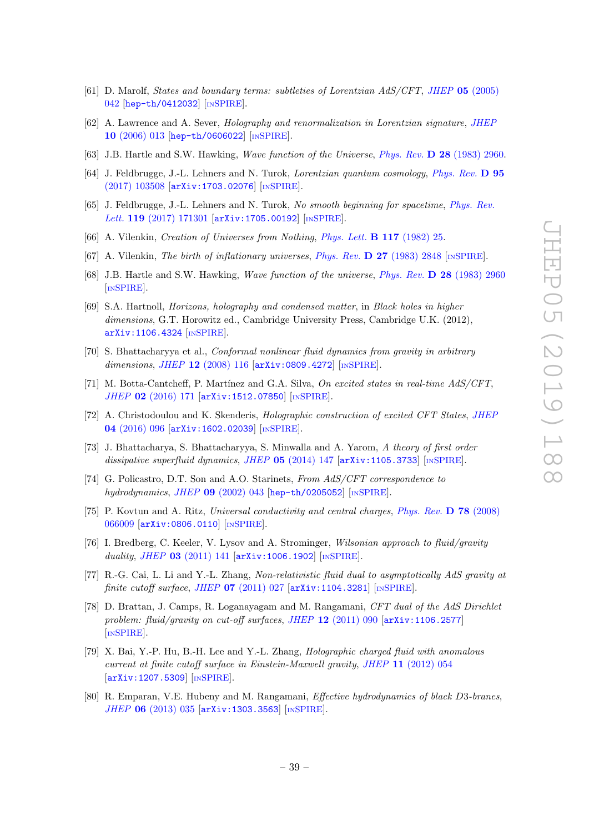- [61] D. Marolf, States and boundary terms: subtleties of Lorentzian AdS/CFT, JHEP 05 [\(2005\)](https://doi.org/10.1088/1126-6708/2005/05/042) [042](https://doi.org/10.1088/1126-6708/2005/05/042) [[hep-th/0412032](https://arxiv.org/abs/hep-th/0412032)] [IN[SPIRE](https://inspirehep.net/search?p=find+EPRINT+hep-th/0412032)].
- <span id="page-40-0"></span>[62] A. Lawrence and A. Sever, Holography and renormalization in Lorentzian signature, [JHEP](https://doi.org/10.1088/1126-6708/2006/10/013) 10 [\(2006\) 013](https://doi.org/10.1088/1126-6708/2006/10/013) [[hep-th/0606022](https://arxiv.org/abs/hep-th/0606022)] [IN[SPIRE](https://inspirehep.net/search?p=find+EPRINT+hep-th/0606022)].
- <span id="page-40-1"></span>[63] J.B. Hartle and S.W. Hawking, Wave function of the Universe, Phys. Rev. D 28 [\(1983\) 2960.](http://dx.doi.org/10.1103/PhysRevD.28.2960)
- <span id="page-40-2"></span>[64] J. Feldbrugge, J.-L. Lehners and N. Turok, Lorentzian quantum cosmology, [Phys. Rev.](https://doi.org/10.1103/PhysRevD.95.103508) D 95 [\(2017\) 103508](https://doi.org/10.1103/PhysRevD.95.103508) [[arXiv:1703.02076](https://arxiv.org/abs/1703.02076)] [IN[SPIRE](https://inspirehep.net/search?p=find+EPRINT+arXiv:1703.02076)].
- <span id="page-40-3"></span>[65] J. Feldbrugge, J.-L. Lehners and N. Turok, No smooth beginning for spacetime, [Phys. Rev.](https://doi.org/10.1103/PhysRevLett.119.171301) Lett. 119  $(2017)$  171301  $\ar{xiv:1705.00192}$  [IN[SPIRE](https://inspirehep.net/search?p=find+EPRINT+arXiv:1705.00192)].
- <span id="page-40-4"></span>[66] A. Vilenkin, Creation of Universes from Nothing, [Phys. Lett.](http://dx.doi.org/10.1016/0370-2693(82)90866-8) B 117 (1982) 25.
- [67] A. Vilenkin, The birth of inflationary universes, Phys. Rev. D 27 [\(1983\) 2848](https://doi.org/10.1103/PhysRevD.27.2848) [IN[SPIRE](https://inspirehep.net/search?p=find+J+%22Phys.Rev.,D27,2848%22)].
- <span id="page-40-5"></span>[68] J.B. Hartle and S.W. Hawking, Wave function of the universe, Phys. Rev. D 28 [\(1983\) 2960](https://doi.org/10.1103/PhysRevD.28.2960) [IN[SPIRE](https://inspirehep.net/search?p=find+J+%22Phys.Rev.,D28,2960%22)].
- <span id="page-40-6"></span>[69] S.A. Hartnoll, Horizons, holography and condensed matter, in Black holes in higher dimensions, G.T. Horowitz ed., Cambridge University Press, Cambridge U.K. (2012), [arXiv:1106.4324](https://arxiv.org/abs/1106.4324) [IN[SPIRE](https://inspirehep.net/search?p=find+EPRINT+arXiv:1106.4324)].
- <span id="page-40-7"></span>[70] S. Bhattacharyya et al., Conformal nonlinear fluid dynamics from gravity in arbitrary dimensions, JHEP  $12$  [\(2008\) 116](https://doi.org/10.1088/1126-6708/2008/12/116)  $\text{arXiv:}$ 0809.4272 [IN[SPIRE](https://inspirehep.net/search?p=find+EPRINT+arXiv:0809.4272)].
- <span id="page-40-8"></span>[71] M. Botta-Cantcheff, P. Martínez and G.A. Silva, On excited states in real-time AdS/CFT, JHEP 02 [\(2016\) 171](https://doi.org/10.1007/JHEP02(2016)171) [[arXiv:1512.07850](https://arxiv.org/abs/1512.07850)] [IN[SPIRE](https://inspirehep.net/search?p=find+EPRINT+arXiv:1512.07850)].
- <span id="page-40-9"></span>[72] A. Christodoulou and K. Skenderis, Holographic construction of excited CFT States, [JHEP](https://doi.org/10.1007/JHEP04(2016)096) 04 [\(2016\) 096](https://doi.org/10.1007/JHEP04(2016)096) [[arXiv:1602.02039](https://arxiv.org/abs/1602.02039)] [IN[SPIRE](https://inspirehep.net/search?p=find+EPRINT+arXiv:1602.02039)].
- <span id="page-40-10"></span>[73] J. Bhattacharya, S. Bhattacharyya, S. Minwalla and A. Yarom, A theory of first order dissipative superfluid dynamics, JHEP 05 [\(2014\) 147](https://doi.org/10.1007/JHEP05(2014)147) [[arXiv:1105.3733](https://arxiv.org/abs/1105.3733)] [IN[SPIRE](https://inspirehep.net/search?p=find+EPRINT+arXiv:1105.3733)].
- <span id="page-40-11"></span>[74] G. Policastro, D.T. Son and A.O. Starinets, From AdS/CFT correspondence to hydrodynamics, JHEP 09 [\(2002\) 043](https://doi.org/10.1088/1126-6708/2002/09/043) [[hep-th/0205052](https://arxiv.org/abs/hep-th/0205052)] [IN[SPIRE](https://inspirehep.net/search?p=find+EPRINT+hep-th/0205052)].
- <span id="page-40-12"></span>[75] P. Kovtun and A. Ritz, Universal conductivity and central charges, [Phys. Rev.](https://doi.org/10.1103/PhysRevD.78.066009) D 78 (2008) [066009](https://doi.org/10.1103/PhysRevD.78.066009) [[arXiv:0806.0110](https://arxiv.org/abs/0806.0110)] [IN[SPIRE](https://inspirehep.net/search?p=find+EPRINT+arXiv:0806.0110)].
- <span id="page-40-13"></span>[76] I. Bredberg, C. Keeler, V. Lysov and A. Strominger, Wilsonian approach to fluid/gravity duality, JHEP 03 [\(2011\) 141](https://doi.org/10.1007/JHEP03(2011)141) [[arXiv:1006.1902](https://arxiv.org/abs/1006.1902)] [IN[SPIRE](https://inspirehep.net/search?p=find+EPRINT+arXiv:1006.1902)].
- [77] R.-G. Cai, L. Li and Y.-L. Zhang, Non-relativistic fluid dual to asymptotically AdS gravity at finite cutoff surface, JHEP  $07$  [\(2011\) 027](https://doi.org/10.1007/JHEP07(2011)027) [[arXiv:1104.3281](https://arxiv.org/abs/1104.3281)] [IN[SPIRE](https://inspirehep.net/search?p=find+EPRINT+arXiv:1104.3281)].
- [78] D. Brattan, J. Camps, R. Loganayagam and M. Rangamani, CFT dual of the AdS Dirichlet problem: fluid/gravity on cut-off surfaces, JHEP  $12$  [\(2011\) 090](https://doi.org/10.1007/JHEP12(2011)090) [[arXiv:1106.2577](https://arxiv.org/abs/1106.2577)] [IN[SPIRE](https://inspirehep.net/search?p=find+EPRINT+arXiv:1106.2577)].
- [79] X. Bai, Y.-P. Hu, B.-H. Lee and Y.-L. Zhang, Holographic charged fluid with anomalous current at finite cutoff surface in Einstein-Maxwell gravity, JHEP 11 [\(2012\) 054](https://doi.org/10.1007/JHEP11(2012)054) [[arXiv:1207.5309](https://arxiv.org/abs/1207.5309)] [IN[SPIRE](https://inspirehep.net/search?p=find+EPRINT+arXiv:1207.5309)].
- [80] R. Emparan, V.E. Hubeny and M. Rangamani, Effective hydrodynamics of black D3-branes, JHEP 06 [\(2013\) 035](https://doi.org/10.1007/JHEP06(2013)035) [[arXiv:1303.3563](https://arxiv.org/abs/1303.3563)] [IN[SPIRE](https://inspirehep.net/search?p=find+EPRINT+arXiv:1303.3563)].